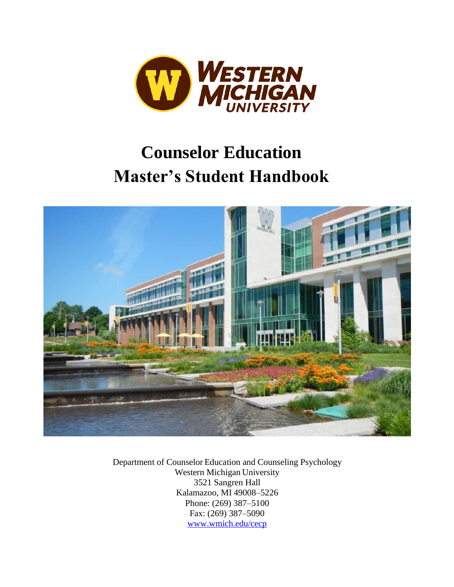

# **Counselor Education Master's Student Handbook**



Department of Counselor Education and Counseling Psychology Western Michigan University 3521 Sangren Hall Kalamazoo, MI 49008–5226 Phone: (269) 387–5100 Fax: (269) 387–5090 [www.wmich.edu/cecp](http://www.wmich.edu/cecp)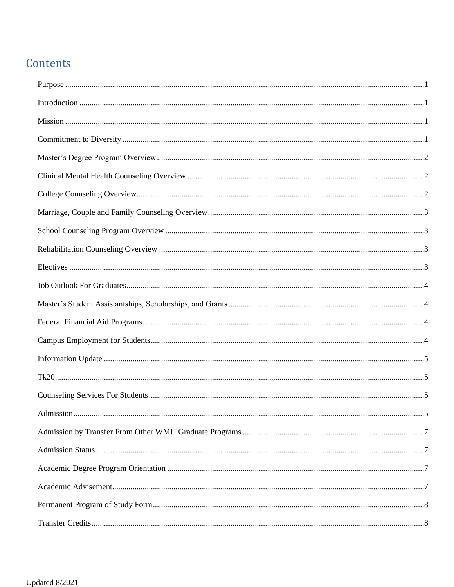## Contents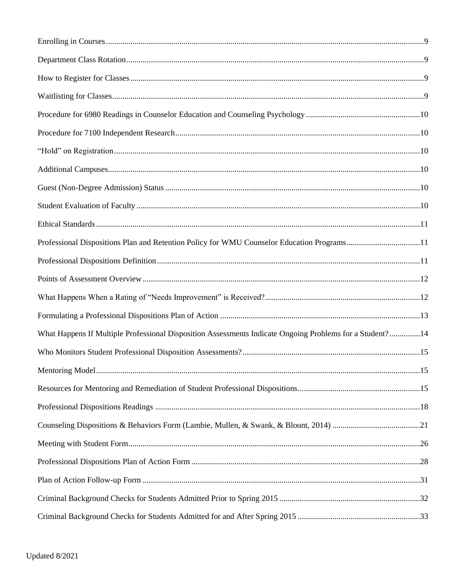| Professional Dispositions Plan and Retention Policy for WMU Counselor Education Programs11               |  |
|----------------------------------------------------------------------------------------------------------|--|
|                                                                                                          |  |
|                                                                                                          |  |
|                                                                                                          |  |
|                                                                                                          |  |
| What Happens If Multiple Professional Disposition Assessments Indicate Ongoing Problems for a Student?14 |  |
|                                                                                                          |  |
|                                                                                                          |  |
|                                                                                                          |  |
|                                                                                                          |  |
|                                                                                                          |  |
|                                                                                                          |  |
|                                                                                                          |  |
|                                                                                                          |  |
|                                                                                                          |  |
|                                                                                                          |  |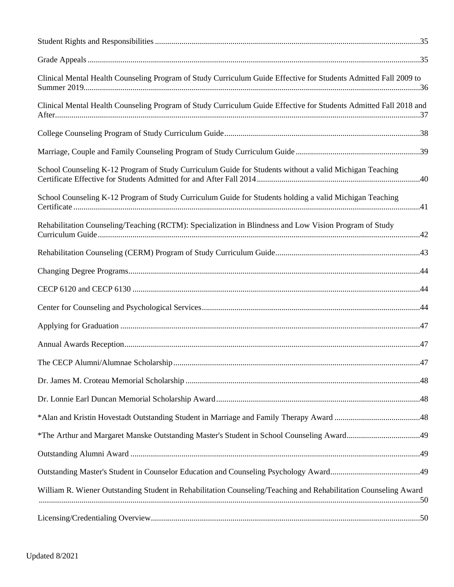| Clinical Mental Health Counseling Program of Study Curriculum Guide Effective for Students Admitted Fall 2009 to  |  |
|-------------------------------------------------------------------------------------------------------------------|--|
| Clinical Mental Health Counseling Program of Study Curriculum Guide Effective for Students Admitted Fall 2018 and |  |
|                                                                                                                   |  |
|                                                                                                                   |  |
| School Counseling K-12 Program of Study Curriculum Guide for Students without a valid Michigan Teaching           |  |
| School Counseling K-12 Program of Study Curriculum Guide for Students holding a valid Michigan Teaching           |  |
| Rehabilitation Counseling/Teaching (RCTM): Specialization in Blindness and Low Vision Program of Study            |  |
|                                                                                                                   |  |
|                                                                                                                   |  |
|                                                                                                                   |  |
|                                                                                                                   |  |
|                                                                                                                   |  |
|                                                                                                                   |  |
|                                                                                                                   |  |
|                                                                                                                   |  |
|                                                                                                                   |  |
|                                                                                                                   |  |
| *The Arthur and Margaret Manske Outstanding Master's Student in School Counseling Award49                         |  |
|                                                                                                                   |  |
|                                                                                                                   |  |
| William R. Wiener Outstanding Student in Rehabilitation Counseling/Teaching and Rehabilitation Counseling Award   |  |
|                                                                                                                   |  |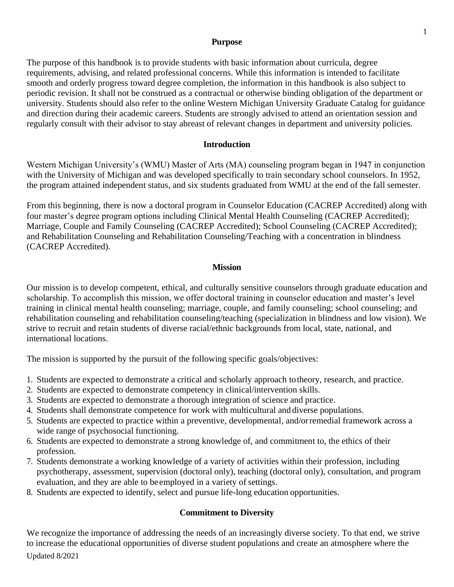#### **Purpose**

<span id="page-5-0"></span>The purpose of this handbook is to provide students with basic information about curricula, degree requirements, advising, and related professional concerns. While this information is intended to facilitate smooth and orderly progress toward degree completion, the information in this handbook is also subject to periodic revision. It shall not be construed as a contractual or otherwise binding obligation of the department or university. Students should also refer to the online Western Michigan University Graduate Catalog for guidance and direction during their academic careers. Students are strongly advised to attend an orientation session and regularly consult with their advisor to stay abreast of relevant changes in department and university policies.

#### **Introduction**

<span id="page-5-1"></span>Western Michigan University's (WMU) Master of Arts (MA) counseling program began in 1947 in conjunction with the University of Michigan and was developed specifically to train secondary school counselors. In 1952, the program attained independent status, and six students graduated from WMU at the end of the fall semester.

From this beginning, there is now a doctoral program in Counselor Education (CACREP Accredited) along with four master's degree program options including Clinical Mental Health Counseling (CACREP Accredited); Marriage, Couple and Family Counseling (CACREP Accredited); School Counseling (CACREP Accredited); and Rehabilitation Counseling and Rehabilitation Counseling/Teaching with a concentration in blindness (CACREP Accredited).

#### **Mission**

<span id="page-5-2"></span>Our mission is to develop competent, ethical, and culturally sensitive counselors through graduate education and scholarship. To accomplish this mission, we offer doctoral training in counselor education and master's level training in clinical mental health counseling; marriage, couple, and family counseling; school counseling; and rehabilitation counseling and rehabilitation counseling/teaching (specialization in blindness and low vision). We strive to recruit and retain students of diverse racial/ethnic backgrounds from local, state, national, and international locations.

The mission is supported by the pursuit of the following specific goals/objectives:

- 1. Students are expected to demonstrate a critical and scholarly approach totheory, research, and practice.
- 2. Students are expected to demonstrate competency in clinical/intervention skills.
- 3. Students are expected to demonstrate a thorough integration of science and practice.
- 4. Students shall demonstrate competence for work with multicultural and diverse populations.
- 5. Students are expected to practice within a preventive, developmental, and/orremedial framework across a wide range of psychosocial functioning.
- 6. Students are expected to demonstrate a strong knowledge of, and commitment to, the ethics of their profession.
- 7. Students demonstrate a working knowledge of a variety of activities within their profession, including psychotherapy, assessment, supervision (doctoral only), teaching (doctoral only), consultation, and program evaluation, and they are able to beemployed in a variety of settings.
- <span id="page-5-3"></span>8. Students are expected to identify, select and pursue life-long education opportunities.

## **Commitment to Diversity**

Updated 8/2021 We recognize the importance of addressing the needs of an increasingly diverse society. To that end, we strive to increase the educational opportunities of diverse student populations and create an atmosphere where the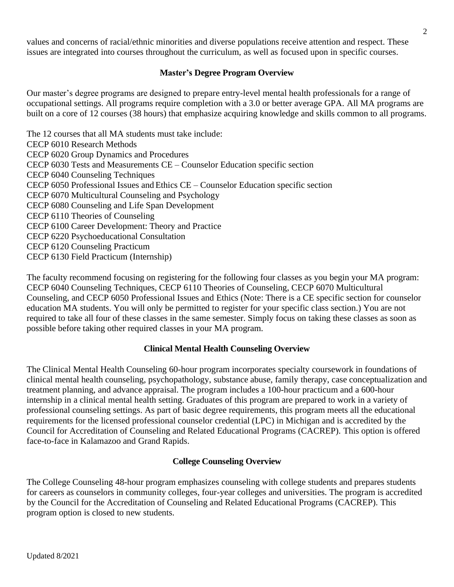values and concerns of racial/ethnic minorities and diverse populations receive attention and respect. These issues are integrated into courses throughout the curriculum, as well as focused upon in specific courses.

## **Master's Degree Program Overview**

<span id="page-6-0"></span>Our master's degree programs are designed to prepare entry-level mental health professionals for a range of occupational settings. All programs require completion with a 3.0 or better average GPA. All MA programs are built on a core of 12 courses (38 hours) that emphasize acquiring knowledge and skills common to all programs.

The 12 courses that all MA students must take include: CECP 6010 Research Methods CECP 6020 Group Dynamics and Procedures CECP 6030 Tests and Measurements CE – Counselor Education specific section CECP 6040 Counseling Techniques CECP 6050 Professional Issues and Ethics CE – Counselor Education specific section CECP 6070 Multicultural Counseling and Psychology CECP 6080 Counseling and Life Span Development CECP 6110 Theories of Counseling CECP 6100 Career Development: Theory and Practice CECP 6220 Psychoeducational Consultation CECP 6120 Counseling Practicum CECP 6130 Field Practicum (Internship)

The faculty recommend focusing on registering for the following four classes as you begin your MA program: CECP 6040 Counseling Techniques, CECP 6110 Theories of Counseling, CECP 6070 Multicultural Counseling, and CECP 6050 Professional Issues and Ethics (Note: There is a CE specific section for counselor education MA students. You will only be permitted to register for your specific class section.) You are not required to take all four of these classes in the same semester. Simply focus on taking these classes as soon as possible before taking other required classes in your MA program.

## **Clinical Mental Health Counseling Overview**

<span id="page-6-1"></span>The Clinical Mental Health Counseling 60-hour program incorporates specialty coursework in foundations of clinical mental health counseling, psychopathology, substance abuse, family therapy, case conceptualization and treatment planning, and advance appraisal. The program includes a 100-hour practicum and a 600-hour internship in a clinical mental health setting. Graduates of this program are prepared to work in a variety of professional counseling settings. As part of basic degree requirements, this program meets all the educational requirements for the licensed professional counselor credential (LPC) in Michigan and is accredited by the Council for Accreditation of Counseling and Related Educational Programs (CACREP). This option is offered face-to-face in Kalamazoo and Grand Rapids.

#### **College Counseling Overview**

<span id="page-6-2"></span>The College Counseling 48-hour program emphasizes counseling with college students and prepares students for careers as counselors in community colleges, four-year colleges and universities. The program is accredited by the Council for the Accreditation of Counseling and Related Educational Programs (CACREP). This program option is closed to new students.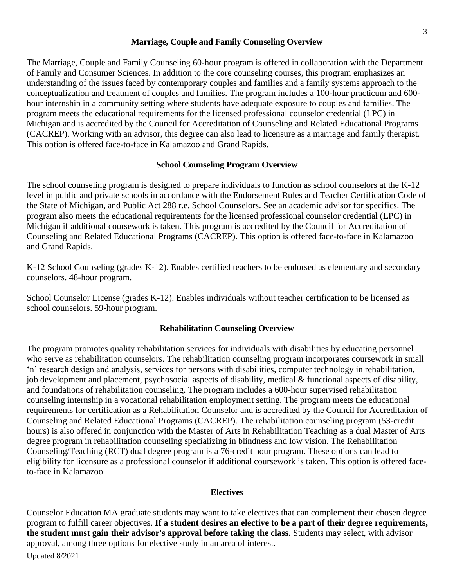#### **Marriage, Couple and Family Counseling Overview**

<span id="page-7-0"></span>The Marriage, Couple and Family Counseling 60-hour program is offered in collaboration with the Department of Family and Consumer Sciences. In addition to the core counseling courses, this program emphasizes an understanding of the issues faced by contemporary couples and families and a family systems approach to the conceptualization and treatment of couples and families. The program includes a 100-hour practicum and 600 hour internship in a community setting where students have adequate exposure to couples and families. The program meets the educational requirements for the licensed professional counselor credential (LPC) in Michigan and is accredited by the Council for Accreditation of Counseling and Related Educational Programs (CACREP). Working with an advisor, this degree can also lead to licensure as a marriage and family therapist. This option is offered face-to-face in Kalamazoo and Grand Rapids.

#### **School Counseling Program Overview**

<span id="page-7-1"></span>The school counseling program is designed to prepare individuals to function as school counselors at the K-12 level in public and private schools in accordance with the Endorsement Rules and Teacher Certification Code of the State of Michigan, and Public Act 288 r.e. School Counselors. See an academic advisor for specifics. The program also meets the educational requirements for the licensed professional counselor credential (LPC) in Michigan if additional coursework is taken. This program is accredited by the Council for Accreditation of Counseling and Related Educational Programs (CACREP). This option is offered face-to-face in Kalamazoo and Grand Rapids.

K-12 School Counseling (grades K-12). Enables certified teachers to be endorsed as elementary and secondary counselors. 48-hour program.

School Counselor License (grades K-12). Enables individuals without teacher certification to be licensed as school counselors. 59-hour program.

#### **Rehabilitation Counseling Overview**

<span id="page-7-2"></span>The program promotes quality rehabilitation services for individuals with disabilities by educating personnel who serve as rehabilitation counselors. The rehabilitation counseling program incorporates coursework in small 'n' research design and analysis, services for persons with disabilities, computer technology in rehabilitation, job development and placement, psychosocial aspects of disability, medical & functional aspects of disability, and foundations of rehabilitation counseling. The program includes a 600-hour supervised rehabilitation counseling internship in a vocational rehabilitation employment setting. The program meets the educational requirements for certification as a Rehabilitation Counselor and is accredited by the Council for Accreditation of Counseling and Related Educational Programs (CACREP). The rehabilitation counseling program (53-credit hours) is also offered in conjunction with the Master of Arts in Rehabilitation Teaching as a dual Master of Arts degree program in rehabilitation counseling specializing in blindness and low vision. The Rehabilitation Counseling/Teaching (RCT) dual degree program is a 76-credit hour program. These options can lead to eligibility for licensure as a professional counselor if additional coursework is taken. This option is offered faceto-face in Kalamazoo.

#### **Electives**

<span id="page-7-3"></span>Updated 8/2021 Counselor Education MA graduate students may want to take electives that can complement their chosen degree program to fulfill career objectives. **If a student desires an elective to be a part of their degree requirements, the student must gain their advisor's approval before taking the class.** Students may select, with advisor approval, among three options for elective study in an area of interest.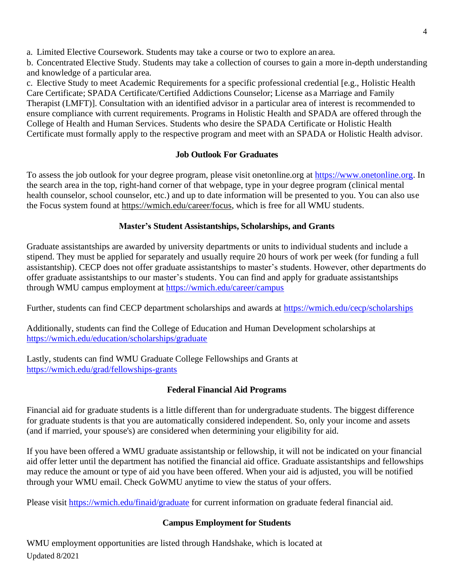a. Limited Elective Coursework. Students may take a course or two to explore an area.

b. Concentrated Elective Study. Students may take a collection of courses to gain a more in-depth understanding and knowledge of a particular area.

c. Elective Study to meet Academic Requirements for a specific professional credential [e.g., Holistic Health Care Certificate; SPADA Certificate/Certified Addictions Counselor; License as a Marriage and Family Therapist (LMFT)]. Consultation with an identified advisor in a particular area of interest is recommended to ensure compliance with current requirements. Programs in Holistic Health and SPADA are offered through the College of Health and Human Services. Students who desire the SPADA Certificate or Holistic Health Certificate must formally apply to the respective program and meet with an SPADA or Holistic Health advisor.

## **Job Outlook For Graduates**

<span id="page-8-0"></span>To assess the job outlook for your degree program, please visit onetonline.org at [https://www.onetonline.org.](https://www.onetonline.org/) In the search area in the top, right-hand corner of that webpage, type in your degree program (clinical mental health counselor, school counselor, etc.) and up to date information will be presented to you. You can also use the Focus system found at [https://wmich.edu/career/focus,](https://wmich.edu/career/focus) which is free for all WMU students.

## **Master's Student Assistantships, Scholarships, and Grants**

<span id="page-8-1"></span>Graduate assistantships are awarded by university departments or units to individual students and include a stipend. They must be applied for separately and usually require 20 hours of work per week (for funding a full assistantship). CECP does not offer graduate assistantships to master's students. However, other departments do offer graduate assistantships to our master's students. You can find and apply for graduate assistantships through WMU campus employment at<https://wmich.edu/career/campus>

Further, students can find CECP department scholarships and awards at<https://wmich.edu/cecp/scholarships>

Additionally, students can find the College of Education and Human Development scholarships at <https://wmich.edu/education/scholarships/graduate>

Lastly, students can find WMU Graduate College Fellowships and Grants at <https://wmich.edu/grad/fellowships-grants>

## **Federal Financial Aid Programs**

<span id="page-8-2"></span>Financial aid for graduate students is a little different than for undergraduate students. The biggest difference for graduate students is that you are automatically considered independent. So, only your income and assets (and if married, your spouse's) are considered when determining your eligibility for aid.

If you have been offered a WMU graduate assistantship or fellowship, it will not be indicated on your financial aid offer letter until the department has notified the financial aid office. Graduate assistantships and fellowships may reduce the amount or type of aid you have been offered. When your aid is adjusted, you will be notified through your WMU email. Check GoWMU anytime to view the status of your offers.

<span id="page-8-3"></span>Please visit<https://wmich.edu/finaid/graduate> for current information on graduate federal financial aid.

## **Campus Employment for Students**

Updated 8/2021 WMU employment opportunities are listed through Handshake, which is located at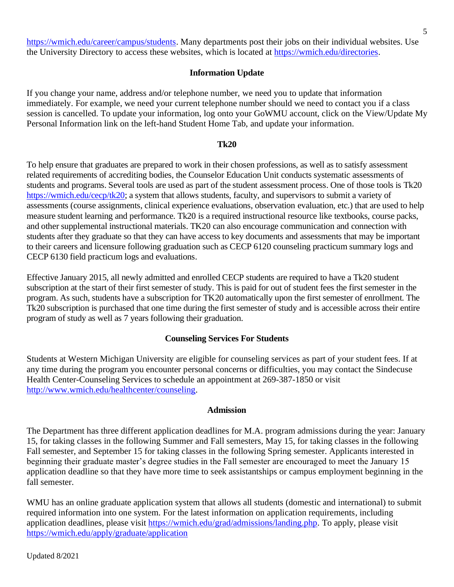[https://wmich.edu/career/campus/students.](https://wmich.edu/career/campus/students) Many departments post their jobs on their individual websites. Use the University Directory to access these websites, which is located at [https://wmich.edu/directories.](https://wmich.edu/directories)

#### **Information Update**

<span id="page-9-0"></span>If you change your name, address and/or telephone number, we need you to update that information immediately. For example, we need your current telephone number should we need to contact you if a class session is cancelled. To update your information, log onto your GoWMU account, click on the View/Update My Personal Information link on the left-hand Student Home Tab, and update your information.

#### **Tk20**

<span id="page-9-1"></span>To help ensure that graduates are prepared to work in their chosen professions, as well as to satisfy assessment related requirements of accrediting bodies, the Counselor Education Unit conducts systematic assessments of students and programs. Several tools are used as part of the student assessment process. One of those tools is Tk20 [https://wmich.edu/cecp/tk20;](https://wmich.edu/cecp/tk20) a system that allows students, faculty, and supervisors to submit a variety of assessments (course assignments, clinical experience evaluations, observation evaluation, etc.) that are used to help measure student learning and performance. Tk20 is a required instructional resource like textbooks, course packs, and other supplemental instructional materials. TK20 can also encourage communication and connection with students after they graduate so that they can have access to key documents and assessments that may be important to their careers and licensure following graduation such as CECP 6120 counseling practicum summary logs and CECP 6130 field practicum logs and evaluations.

Effective January 2015, all newly admitted and enrolled CECP students are required to have a Tk20 student subscription at the start of their first semester of study. This is paid for out of student fees the first semester in the program. As such, students have a subscription for TK20 automatically upon the first semester of enrollment. The Tk20 subscription is purchased that one time during the first semester of study and is accessible across their entire program of study as well as 7 years following their graduation.

#### **Counseling Services For Students**

<span id="page-9-2"></span>Students at Western Michigan University are eligible for counseling services as part of your student fees. If at any time during the program you encounter personal concerns or difficulties, you may contact the Sindecuse Health Center-Counseling Services to schedule an appointment at 269-387-1850 or visi[t](http://www.wmich.edu/healthcenter/counseling) [http://www.wmich.edu/healthcenter/counseling.](http://www.wmich.edu/healthcenter/counseling)

#### **Admission**

<span id="page-9-3"></span>The Department has three different application deadlines for M.A. program admissions during the year: January 15, for taking classes in the following Summer and Fall semesters, May 15, for taking classes in the following Fall semester, and September 15 for taking classes in the following Spring semester. Applicants interested in beginning their graduate master's degree studies in the Fall semester are encouraged to meet the January 15 application deadline so that they have more time to seek assistantships or campus employment beginning in the fall semester.

WMU has an online graduate application system that allows all students (domestic and international) to submit required information into one system. For the latest information on application requirements, including application deadlines, please visit [https://wmich.edu/grad/admissions/landing.php.](https://wmich.edu/grad/admissions/landing.php) To apply, please visit <https://wmich.edu/apply/graduate/application>

Updated 8/2021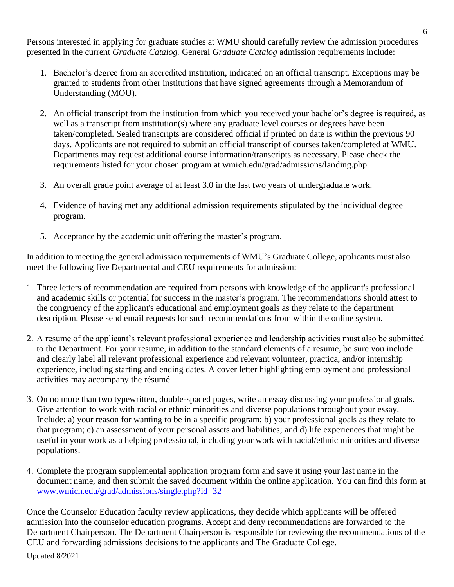Persons interested in applying for graduate studies at WMU should carefully review the admission procedures presented in the current *Graduate Catalog.* General *Graduate Catalog* admission requirements include:

- 1. Bachelor's degree from an accredited institution, indicated on an official transcript. Exceptions may be granted to students from other institutions that have signed agreements through a Memorandum of Understanding (MOU).
- 2. An official transcript from the institution from which you received your bachelor's degree is required, as well as a transcript from institution(s) where any graduate level courses or degrees have been taken/completed. Sealed transcripts are considered official if printed on date is within the previous 90 days. Applicants are not required to submit an official transcript of courses taken/completed at WMU. Departments may request additional course information/transcripts as necessary. Please check the requirements listed for your chosen program at wmich.edu/grad/admissions/landing.php.
- 3. An overall grade point average of at least 3.0 in the last two years of undergraduate work.
- 4. Evidence of having met any additional admission requirements stipulated by the individual degree program.
- 5. Acceptance by the academic unit offering the master's program.

In addition to meeting the general admission requirements of WMU's Graduate College, applicants must also meet the following five Departmental and CEU requirements for admission:

- 1. Three letters of recommendation are required from persons with knowledge of the applicant's professional and academic skills or potential for success in the master's program. The recommendations should attest to the congruency of the applicant's educational and employment goals as they relate to the department description. Please send email requests for such recommendations from within the online system.
- 2. A resume of the applicant's relevant professional experience and leadership activities must also be submitted to the Department. For your resume, in addition to the standard elements of a resume, be sure you include and clearly label all relevant professional experience and relevant volunteer, practica, and/or internship experience, including starting and ending dates. A cover letter highlighting employment and professional activities may accompany the résumé
- 3. On no more than two typewritten, double-spaced pages, write an essay discussing your professional goals. Give attention to work with racial or ethnic minorities and diverse populations throughout your essay. Include: a) your reason for wanting to be in a specific program; b) your professional goals as they relate to that program; c) an assessment of your personal assets and liabilities; and d) life experiences that might be useful in your work as a helping professional, including your work with racial/ethnic minorities and diverse populations.
- 4. Complete the program supplemental application program form and save it using your last name in the document name, and then submit the saved document within the online application. You can find this form at [www.wmich.edu/grad/admissions/single.php?id=32](http://www.wmich.edu/grad/admissions/single.php?id=32)

Once the Counselor Education faculty review applications, they decide which applicants will be offered admission into the counselor education programs. Accept and deny recommendations are forwarded to the Department Chairperson. The Department Chairperson is responsible for reviewing the recommendations of the CEU and forwarding admissions decisions to the applicants and The Graduate College.

Updated 8/2021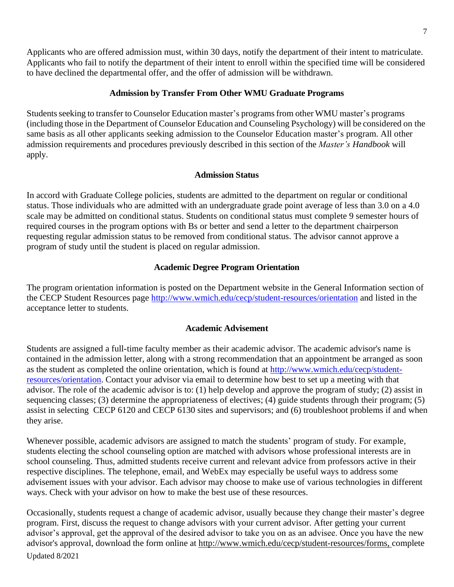Applicants who are offered admission must, within 30 days, notify the department of their intent to matriculate. Applicants who fail to notify the department of their intent to enroll within the specified time will be considered to have declined the departmental offer, and the offer of admission will be withdrawn.

#### **Admission by Transfer From Other WMU Graduate Programs**

<span id="page-11-0"></span>Students seeking to transfer to Counselor Education master's programs from other WMU master's programs (including those in the Department of Counselor Education and Counseling Psychology) will be considered on the same basis as all other applicants seeking admission to the Counselor Education master's program. All other admission requirements and procedures previously described in this section of the *Master's Handbook* will apply.

#### **Admission Status**

<span id="page-11-1"></span>In accord with Graduate College policies, students are admitted to the department on regular or conditional status. Those individuals who are admitted with an undergraduate grade point average of less than 3.0 on a 4.0 scale may be admitted on conditional status. Students on conditional status must complete 9 semester hours of required courses in the program options with Bs or better and send a letter to the department chairperson requesting regular admission status to be removed from conditional status. The advisor cannot approve a program of study until the student is placed on regular admission.

#### **Academic Degree Program Orientation**

<span id="page-11-2"></span>The program orientation information is posted on the Department website in the General Information section of the CECP Student Resources page<http://www.wmich.edu/cecp/student-resources/orientation> and listed in the acceptance letter to students.

#### **Academic Advisement**

<span id="page-11-3"></span>Students are assigned a full-time faculty member as their academic advisor. The academic advisor's name is contained in the admission letter, along with a strong recommendation that an appointment be arranged as soon as the student as completed the online orientation, which is found at [http://www.wmich.edu/cecp/student](http://www.wmich.edu/cecp/student-resources/orientation)[resources/orientation.](http://www.wmich.edu/cecp/student-resources/orientation) Contact your advisor via email to determine how best to set up a meeting with that advisor. The role of the academic advisor is to: (1) help develop and approve the program of study; (2) assist in sequencing classes; (3) determine the appropriateness of electives; (4) guide students through their program; (5) assist in selecting CECP 6120 and CECP 6130 sites and supervisors; and (6) troubleshoot problems if and when they arise.

Whenever possible, academic advisors are assigned to match the students' program of study. For example, students electing the school counseling option are matched with advisors whose professional interests are in school counseling. Thus, admitted students receive current and relevant advice from professors active in their respective disciplines. The telephone, email, and WebEx may especially be useful ways to address some advisement issues with your advisor. Each advisor may choose to make use of various technologies in different ways. Check with your advisor on how to make the best use of these resources.

Updated 8/2021 Occasionally, students request a change of academic advisor, usually because they change their master's degree program. First, discuss the request to change advisors with your current advisor. After getting your current advisor's approval, get the approval of the desired advisor to take you on as an advisee. Once you have the new advisor's approval, download the form online at [http://www.wmich.edu/cecp/student-resources/forms, c](http://www.wmich.edu/cecp/student-resources/forms,)omplete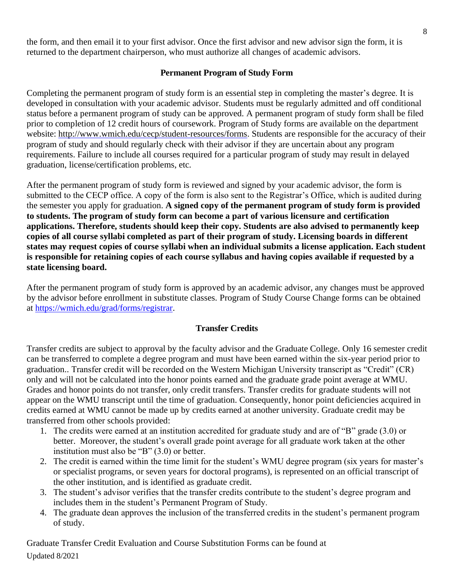the form, and then email it to your first advisor. Once the first advisor and new advisor sign the form, it is returned to the department chairperson, who must authorize all changes of academic advisors.

#### **Permanent Program of Study Form**

<span id="page-12-0"></span>Completing the permanent program of study form is an essential step in completing the master's degree. It is developed in consultation with your academic advisor. Students must be regularly admitted and off conditional status before a permanent program of study can be approved. A permanent program of study form shall be filed prior to completion of 12 credit hours of coursework. Program of Study forms are available on the department website: [http://www.wmich.edu/cecp/student-resources/forms.](http://www.wmich.edu/cecp/student-resources/forms) Students are responsible for the accuracy of their program of study and should regularly check with their advisor if they are uncertain about any program requirements. Failure to include all courses required for a particular program of study may result in delayed graduation, license/certification problems, etc.

After the permanent program of study form is reviewed and signed by your academic advisor, the form is submitted to the CECP office. A copy of the form is also sent to the Registrar's Office, which is audited during the semester you apply for graduation. **A signed copy of the permanent program of study form is provided to students. The program of study form can become a part of various licensure and certification applications. Therefore, students should keep their copy. Students are also advised to permanently keep copies of all course syllabi completed as part of their program of study. Licensing boards in different states may request copies of course syllabi when an individual submits a license application. Each student is responsible for retaining copies of each course syllabus and having copies available if requested by a state licensing board.** 

After the permanent program of study form is approved by an academic advisor, any changes must be approved by the advisor before enrollment in substitute classes. Program of Study Course Change forms can be obtained at [https://wmich.edu/grad/forms/registrar.](https://wmich.edu/grad/forms/registrar)

## **Transfer Credits**

<span id="page-12-1"></span>Transfer credits are subject to approval by the faculty advisor and the Graduate College. Only 16 semester credit can be transferred to complete a degree program and must have been earned within the six-year period prior to graduation.. Transfer credit will be recorded on the Western Michigan University transcript as "Credit" (CR) only and will not be calculated into the honor points earned and the graduate grade point average at WMU. Grades and honor points do not transfer, only credit transfers. Transfer credits for graduate students will not appear on the WMU transcript until the time of graduation. Consequently, honor point deficiencies acquired in credits earned at WMU cannot be made up by credits earned at another university. Graduate credit may be transferred from other schools provided:

- 1. The credits were earned at an institution accredited for graduate study and are of "B" grade (3.0) or better. Moreover, the student's overall grade point average for all graduate work taken at the other institution must also be "B" (3.0) or better.
- 2. The credit is earned within the time limit for the student's WMU degree program (six years for master's or specialist programs, or seven years for doctoral programs), is represented on an official transcript of the other institution, and is identified as graduate credit.
- 3. The student's advisor verifies that the transfer credits contribute to the student's degree program and includes them in the student's Permanent Program of Study.
- 4. The graduate dean approves the inclusion of the transferred credits in the student's permanent program of study.

Updated 8/2021 Graduate Transfer Credit Evaluation and Course Substitution Forms can be found at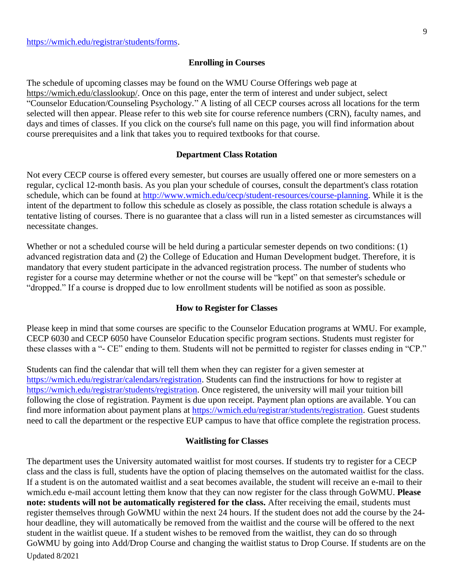#### **Enrolling in Courses**

<span id="page-13-0"></span>The schedule of upcoming classes may be found on the WMU Course Offerings web page at [https://wmich.edu/classlookup/.](https://wmich.edu/classlookup/) Once on this page, enter the term of interest and under subject, select "Counselor Education/Counseling Psychology." A listing of all CECP courses across all locations for the term selected will then appear. Please refer to this web site for course reference numbers (CRN), faculty names, and days and times of classes. If you click on the course's full name on this page, you will find information about course prerequisites and a link that takes you to required textbooks for that course.

#### **Department Class Rotation**

<span id="page-13-1"></span>Not every CECP course is offered every semester, but courses are usually offered one or more semesters on a regular, cyclical 12-month basis. As you plan your schedule of courses, consult the department's class rotation schedule, which can be found at [http://www.wmich.edu/cecp/student-resources/course-planning.](http://www.wmich.edu/cecp/student-resources/course-planning) While it is the intent of the department to follow this schedule as closely as possible, the class rotation schedule is always a tentative listing of courses. There is no guarantee that a class will run in a listed semester as circumstances will necessitate changes.

Whether or not a scheduled course will be held during a particular semester depends on two conditions: (1) advanced registration data and (2) the College of Education and Human Development budget. Therefore, it is mandatory that every student participate in the advanced registration process. The number of students who register for a course may determine whether or not the course will be "kept" on that semester's schedule or "dropped." If a course is dropped due to low enrollment students will be notified as soon as possible.

#### **How to Register for Classes**

<span id="page-13-2"></span>Please keep in mind that some courses are specific to the Counselor Education programs at WMU. For example, CECP 6030 and CECP 6050 have Counselor Education specific program sections. Students must register for these classes with a "- CE" ending to them. Students will not be permitted to register for classes ending in "CP."

Students can find the calendar that will tell them when they can register for a given semester at [https://wmich.edu/registrar/calendars/registration.](https://wmich.edu/registrar/calendars/registration) Students can find the instructions for how to register at [https://wmich.edu/registrar/students/registration.](https://wmich.edu/registrar/students/registration) Once registered, the university will mail your tuition bill following the close of registration. Payment is due upon receipt. Payment plan options are available. You can find more information about payment plans at [https://wmich.edu/registrar/students/registration.](https://wmich.edu/registrar/students/registration) Guest students need to call the department or the respective EUP campus to have that office complete the registration process.

#### **Waitlisting for Classes**

<span id="page-13-3"></span>Updated 8/2021 The department uses the University automated waitlist for most courses. If students try to register for a CECP class and the class is full, students have the option of placing themselves on the automated waitlist for the class. If a student is on the automated waitlist and a seat becomes available, the student will receive an e-mail to their wmich.edu e-mail account letting them know that they can now register for the class through GoWMU. **Please note: students will not be automatically registered for the class.** After receiving the email, students must register themselves through GoWMU within the next 24 hours. If the student does not add the course by the 24 hour deadline, they will automatically be removed from the waitlist and the course will be offered to the next student in the waitlist queue. If a student wishes to be removed from the waitlist, they can do so through GoWMU by going into Add/Drop Course and changing the waitlist status to Drop Course. If students are on the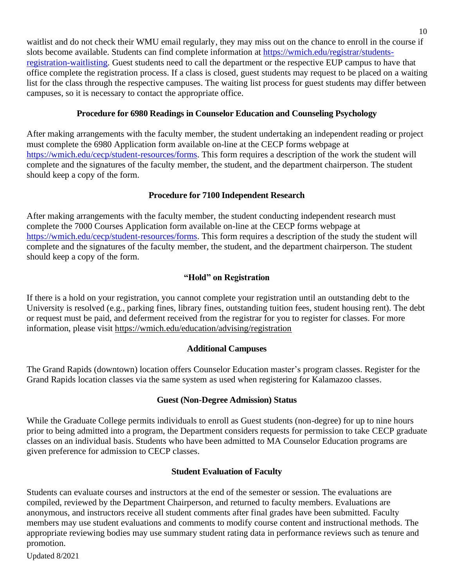waitlist and do not check their WMU email regularly, they may miss out on the chance to enroll in the course if slots become available. Students can find complete information at [https://wmich.edu/registrar/students](https://wmich.edu/registrar/students-registration-waitlisting)[registration-waitlisting.](https://wmich.edu/registrar/students-registration-waitlisting) Guest students need to call the department or the respective EUP campus to have that office complete the registration process. If a class is closed, guest students may request to be placed on a waiting list for the class through the respective campuses. The waiting list process for guest students may differ between campuses, so it is necessary to contact the appropriate office.

## **Procedure for 6980 Readings in Counselor Education and Counseling Psychology**

<span id="page-14-0"></span>After making arrangements with the faculty member, the student undertaking an independent reading or project must complete the 6980 Application form available on-line at the CECP forms webpage at [https://wmich.edu/cecp/student-resources/forms.](https://wmich.edu/cecp/student-resources/forms) This form requires a description of the work the student will complete and the signatures of the faculty member, the student, and the department chairperson. The student should keep a copy of the form.

## **Procedure for 7100 Independent Research**

<span id="page-14-1"></span>After making arrangements with the faculty member, the student conducting independent research must complete the 7000 Courses Application form available on-line at the CECP forms webpage at [https://wmich.edu/cecp/student-resources/forms.](https://wmich.edu/cecp/student-resources/forms) This form requires a description of the study the student will complete and the signatures of the faculty member, the student, and the department chairperson. The student should keep a copy of the form.

## **"Hold" on Registration**

<span id="page-14-2"></span>If there is a hold on your registration, you cannot complete your registration until an outstanding debt to the University is resolved (e.g., parking fines, library fines, outstanding tuition fees, student housing rent). The debt or request must be paid, and deferment received from the registrar for you to register for classes. For more information, please visit<https://wmich.edu/education/advising/registration>

## **Additional Campuses**

<span id="page-14-3"></span>The Grand Rapids (downtown) location offers Counselor Education master's program classes. Register for the Grand Rapids location classes via the same system as used when registering for Kalamazoo classes.

## **Guest (Non-Degree Admission) Status**

<span id="page-14-4"></span>While the Graduate College permits individuals to enroll as Guest students (non-degree) for up to nine hours prior to being admitted into a program, the Department considers requests for permission to take CECP graduate classes on an individual basis. Students who have been admitted to MA Counselor Education programs are given preference for admission to CECP classes.

## **Student Evaluation of Faculty**

<span id="page-14-5"></span>Students can evaluate courses and instructors at the end of the semester or session. The evaluations are compiled, reviewed by the Department Chairperson, and returned to faculty members. Evaluations are anonymous, and instructors receive all student comments after final grades have been submitted. Faculty members may use student evaluations and comments to modify course content and instructional methods. The appropriate reviewing bodies may use summary student rating data in performance reviews such as tenure and promotion.

Updated 8/2021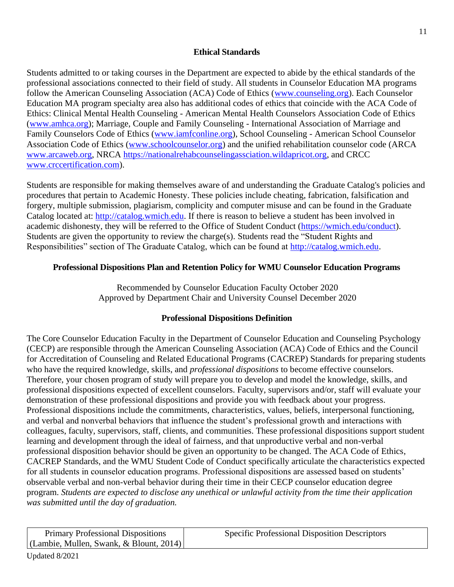## **Ethical Standards**

<span id="page-15-0"></span>Students admitted to or taking courses in the Department are expected to abide by the ethical standards of the professional associations connected to their field of study. All students in Counselor Education MA programs follow the American Counseling Association (ACA) Code of Ethics [\(www.counseling.org\)](http://www.counseling.org/). Each Counselor Education MA program specialty area also has additional codes of ethics that coincide with the ACA Code of Ethics: Clinical Mental Health Counseling - American Mental Health Counselors Association Code of Ethics [\(www.amhca.org\)](http://www.amhca.org/); Marriage, Couple and Family Counseling - International Association of Marriage and Family Counselors Code of Ethics [\(www.iamfconline.org\)](http://www.iamfconline.org/), School Counseling - American School Counselor Association Code of Ethics [\(www.schoolcounselor.org\)](http://www.schoolcounselor.org/) and the unified rehabilitation counselor code (ARCA [www.arcaweb.org,](http://www.arcaweb.org/) NRCA [https://nationalrehabcounselingassciation.wildapricot.org,](https://nationalrehabcounselingassciation.wildapricot.org/) and CRCC [www.crccertification.com\)](http://www.crccertification.com/).

Students are responsible for making themselves aware of and understanding the Graduate Catalog's policies and procedures that pertain to Academic Honesty. These policies include cheating, fabrication, falsification and forgery, multiple submission, plagiarism, complicity and computer misuse and can be found in the Graduate Catalog located at: [http://catalog.wmich.edu.](http://catalog.wmich.edu/) If there is reason to believe a student has been involved in academic dishonesty, they will be referred to the Office of Student Conduct [\(https://wmich.edu/conduct\)](https://wmich.edu/conduct). Students are given the opportunity to review the charge(s). Students read the "Student Rights and Responsibilities" section of The Graduate Catalog, which can be found at [http://catalog.wmich.edu.](http://catalog.wmich.edu/)

## <span id="page-15-1"></span>**Professional Dispositions Plan and Retention Policy for WMU Counselor Education Programs**

Recommended by Counselor Education Faculty October 2020 Approved by Department Chair and University Counsel December 2020

## **Professional Dispositions Definition**

<span id="page-15-2"></span>The Core Counselor Education Faculty in the Department of Counselor Education and Counseling Psychology (CECP) are responsible through the American Counseling Association (ACA) Code of Ethics and the Council for Accreditation of Counseling and Related Educational Programs (CACREP) Standards for preparing students who have the required knowledge, skills, and *professional dispositions* to become effective counselors. Therefore, your chosen program of study will prepare you to develop and model the knowledge, skills, and professional dispositions expected of excellent counselors. Faculty, supervisors and/or, staff will evaluate your demonstration of these professional dispositions and provide you with feedback about your progress. Professional dispositions include the commitments, characteristics, values, beliefs, interpersonal functioning, and verbal and nonverbal behaviors that influence the student's professional growth and interactions with colleagues, faculty, supervisors, staff, clients, and communities. These professional dispositions support student learning and development through the ideal of fairness, and that unproductive verbal and non-verbal professional disposition behavior should be given an opportunity to be changed. The ACA Code of Ethics, CACREP Standards, and the WMU Student Code of Conduct specifically articulate the characteristics expected for all students in counselor education programs. Professional dispositions are assessed based on students' observable verbal and non-verbal behavior during their time in their CECP counselor education degree program. *Students are expected to disclose any unethical or unlawful activity from the time their application was submitted until the day of graduation.*

Primary Professional Dispositions (Lambie, Mullen, Swank, & Blount, 2014) Specific Professional Disposition Descriptors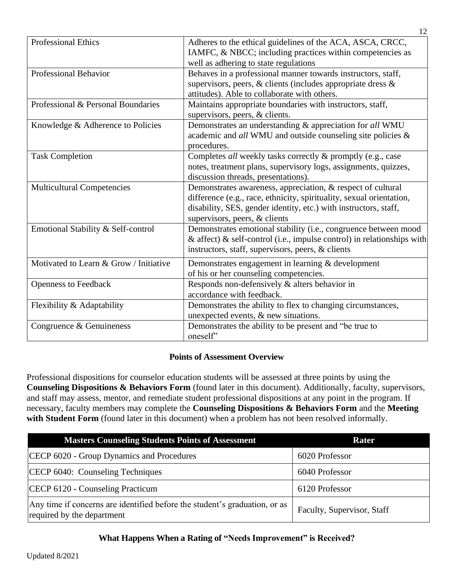| <b>Professional Ethics</b>             | Adheres to the ethical guidelines of the ACA, ASCA, CRCC,<br>IAMFC, & NBCC; including practices within competencies as<br>well as adhering to state regulations                                                                          |
|----------------------------------------|------------------------------------------------------------------------------------------------------------------------------------------------------------------------------------------------------------------------------------------|
| <b>Professional Behavior</b>           | Behaves in a professional manner towards instructors, staff,<br>supervisors, peers, & clients (includes appropriate dress &<br>attitudes). Able to collaborate with others.                                                              |
| Professional & Personal Boundaries     | Maintains appropriate boundaries with instructors, staff,<br>supervisors, peers, & clients.                                                                                                                                              |
| Knowledge & Adherence to Policies      | Demonstrates an understanding & appreciation for all WMU<br>academic and all WMU and outside counseling site policies &<br>procedures.                                                                                                   |
| <b>Task Completion</b>                 | Completes all weekly tasks correctly & promptly (e.g., case<br>notes, treatment plans, supervisory logs, assignments, quizzes,<br>discussion threads, presentations).                                                                    |
| <b>Multicultural Competencies</b>      | Demonstrates awareness, appreciation, & respect of cultural<br>difference (e.g., race, ethnicity, spirituality, sexual orientation,<br>disability, SES, gender identity, etc.) with instructors, staff,<br>supervisors, peers, & clients |
| Emotional Stability & Self-control     | Demonstrates emotional stability (i.e., congruence between mood<br>& affect) & self-control (i.e., impulse control) in relationships with<br>instructors, staff, supervisors, peers, & clients                                           |
| Motivated to Learn & Grow / Initiative | Demonstrates engagement in learning $&$ development<br>of his or her counseling competencies.                                                                                                                                            |
| <b>Openness to Feedback</b>            | Responds non-defensively & alters behavior in<br>accordance with feedback.                                                                                                                                                               |
| Flexibility & Adaptability             | Demonstrates the ability to flex to changing circumstances,<br>unexpected events, & new situations.                                                                                                                                      |
| Congruence & Genuineness               | Demonstrates the ability to be present and "be true to<br>oneself'                                                                                                                                                                       |

12

## **Points of Assessment Overview**

<span id="page-16-0"></span>Professional dispositions for counselor education students will be assessed at three points by using the **Counseling Dispositions & Behaviors Form** (found later in this document). Additionally, faculty, supervisors, and staff may assess, mentor, and remediate student professional dispositions at any point in the program. If necessary, faculty members may complete the **Counseling Dispositions & Behaviors Form** and the **Meeting**  with Student Form (found later in this document) when a problem has not been resolved informally.

| <b>Masters Counseling Students Points of Assessment</b>                                                  | Rater                      |
|----------------------------------------------------------------------------------------------------------|----------------------------|
| CECP 6020 - Group Dynamics and Procedures                                                                | 6020 Professor             |
| CECP 6040: Counseling Techniques                                                                         | 6040 Professor             |
| CECP 6120 - Counseling Practicum                                                                         | 6120 Professor             |
| Any time if concerns are identified before the student's graduation, or as<br>required by the department | Faculty, Supervisor, Staff |

## <span id="page-16-1"></span>**What Happens When a Rating of "Needs Improvement" is Received?**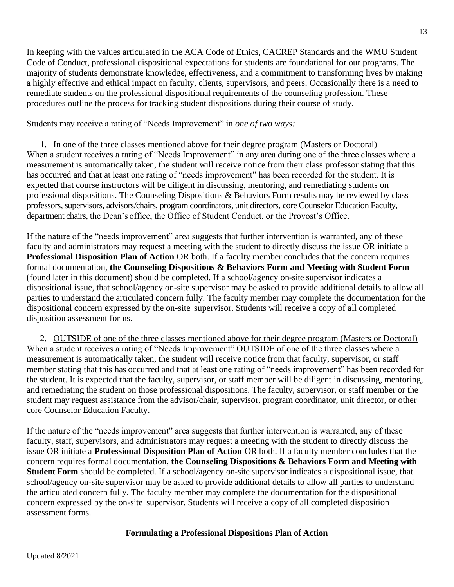In keeping with the values articulated in the ACA Code of Ethics, CACREP Standards and the WMU Student Code of Conduct, professional dispositional expectations for students are foundational for our programs. The majority of students demonstrate knowledge, effectiveness, and a commitment to transforming lives by making a highly effective and ethical impact on faculty, clients, supervisors, and peers. Occasionally there is a need to remediate students on the professional dispositional requirements of the counseling profession. These procedures outline the process for tracking student dispositions during their course of study.

Students may receive a rating of "Needs Improvement" in *one of two ways:*

1. In one of the three classes mentioned above for their degree program (Masters or Doctoral) When a student receives a rating of "Needs Improvement" in any area during one of the three classes where a measurement is automatically taken, the student will receive notice from their class professor stating that this has occurred and that at least one rating of "needs improvement" has been recorded for the student. It is expected that course instructors will be diligent in discussing, mentoring, and remediating students on professional dispositions. The Counseling Dispositions & Behaviors Form results may be reviewed by class professors, supervisors, advisors/chairs, program coordinators, unit directors, core Counselor Education Faculty, department chairs, the Dean's office, the Office of Student Conduct, or the Provost's Office.

If the nature of the "needs improvement" area suggests that further intervention is warranted, any of these faculty and administrators may request a meeting with the student to directly discuss the issue OR initiate a **Professional Disposition Plan of Action** OR both. If a faculty member concludes that the concern requires formal documentation, **the Counseling Dispositions & Behaviors Form and Meeting with Student Form**  (found later in this document) should be completed. If a school/agency on-site supervisor indicates a dispositional issue, that school/agency on-site supervisor may be asked to provide additional details to allow all parties to understand the articulated concern fully. The faculty member may complete the documentation for the dispositional concern expressed by the on-site supervisor. Students will receive a copy of all completed disposition assessment forms.

2. OUTSIDE of one of the three classes mentioned above for their degree program (Masters or Doctoral) When a student receives a rating of "Needs Improvement" OUTSIDE of one of the three classes where a measurement is automatically taken, the student will receive notice from that faculty, supervisor, or staff member stating that this has occurred and that at least one rating of "needs improvement" has been recorded for the student. It is expected that the faculty, supervisor, or staff member will be diligent in discussing, mentoring, and remediating the student on those professional dispositions. The faculty, supervisor, or staff member or the student may request assistance from the advisor/chair, supervisor, program coordinator, unit director, or other core Counselor Education Faculty.

<span id="page-17-0"></span>If the nature of the "needs improvement" area suggests that further intervention is warranted, any of these faculty, staff, supervisors, and administrators may request a meeting with the student to directly discuss the issue OR initiate a **Professional Disposition Plan of Action** OR both. If a faculty member concludes that the concern requires formal documentation, **the Counseling Dispositions & Behaviors Form and Meeting with Student Form** should be completed. If a school/agency on-site supervisor indicates a dispositional issue, that school/agency on-site supervisor may be asked to provide additional details to allow all parties to understand the articulated concern fully. The faculty member may complete the documentation for the dispositional concern expressed by the on-site supervisor. Students will receive a copy of all completed disposition assessment forms.

#### **Formulating a Professional Dispositions Plan of Action**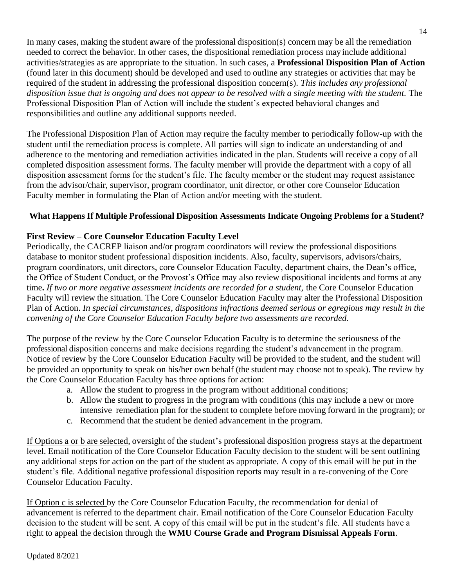In many cases, making the student aware of the professional disposition(s) concern may be all the remediation needed to correct the behavior. In other cases, the dispositional remediation process may include additional activities/strategies as are appropriate to the situation. In such cases, a **Professional Disposition Plan of Action**  (found later in this document) should be developed and used to outline any strategies or activities that may be required of the student in addressing the professional disposition concern(s). *This includes any professional*  disposition issue that is ongoing and does not appear to be resolved with a single meeting with the student. The Professional Disposition Plan of Action will include the student's expected behavioral changes and responsibilities and outline any additional supports needed.

The Professional Disposition Plan of Action may require the faculty member to periodically follow-up with the student until the remediation process is complete. All parties will sign to indicate an understanding of and adherence to the mentoring and remediation activities indicated in the plan. Students will receive a copy of all completed disposition assessment forms. The faculty member will provide the department with a copy of all disposition assessment forms for the student's file. The faculty member or the student may request assistance from the advisor/chair, supervisor, program coordinator, unit director, or other core Counselor Education Faculty member in formulating the Plan of Action and/or meeting with the student.

#### <span id="page-18-0"></span>**What Happens If Multiple Professional Disposition Assessments Indicate Ongoing Problems for a Student?**

#### **First Review – Core Counselor Education Faculty Level**

Periodically, the CACREP liaison and/or program coordinators will review the professional dispositions database to monitor student professional disposition incidents. Also, faculty, supervisors, advisors/chairs, program coordinators, unit directors, core Counselor Education Faculty, department chairs, the Dean's office, the Office of Student Conduct, or the Provost's Office may also review dispositional incidents and forms at any time**.** *If two or more negative assessment incidents are recorded for a student,* the Core Counselor Education Faculty will review the situation. The Core Counselor Education Faculty may alter the Professional Disposition Plan of Action. *In special circumstances, dispositions infractions deemed serious or egregious may result in the convening of the Core Counselor Education Faculty before two assessments are recorded.*

The purpose of the review by the Core Counselor Education Faculty is to determine the seriousness of the professional disposition concerns and make decisions regarding the student's advancement in the program. Notice of review by the Core Counselor Education Faculty will be provided to the student, and the student will be provided an opportunity to speak on his/her own behalf (the student may choose not to speak). The review by the Core Counselor Education Faculty has three options for action:

- a. Allow the student to progress in the program without additional conditions;
- b. Allow the student to progress in the program with conditions (this may include a new or more intensive remediation plan for the student to complete before moving forward in the program); or
- c. Recommend that the student be denied advancement in the program.

If Options a or b are selected, oversight of the student's professional disposition progress stays at the department level. Email notification of the Core Counselor Education Faculty decision to the student will be sent outlining any additional steps for action on the part of the student as appropriate. A copy of this email will be put in the student's file. Additional negative professional disposition reports may result in a re-convening of the Core Counselor Education Faculty.

If Option c is selected by the Core Counselor Education Faculty, the recommendation for denial of advancement is referred to the department chair. Email notification of the Core Counselor Education Faculty decision to the student will be sent. A copy of this email will be put in the student's file. All students have a right to appeal the decision through the **WMU Course Grade and Program Dismissal Appeals Form**.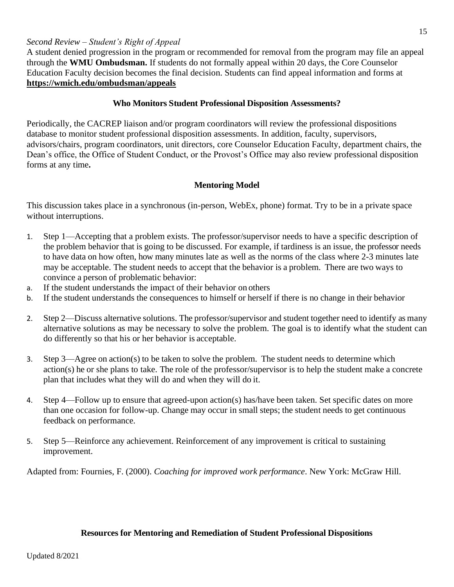#### *Second Review – Student's Right of Appeal*

A student denied progression in the program or recommended for removal from the program may file an appeal through the **WMU Ombudsman.** If students do not formally appeal within 20 days, the Core Counselor Education Faculty decision becomes the final decision. Students can find appeal information and forms at **<https://wmich.edu/ombudsman/appeals>**

#### **Who Monitors Student Professional Disposition Assessments?**

<span id="page-19-0"></span>Periodically, the CACREP liaison and/or program coordinators will review the professional dispositions database to monitor student professional disposition assessments. In addition, faculty, supervisors, advisors/chairs, program coordinators, unit directors, core Counselor Education Faculty, department chairs, the Dean's office, the Office of Student Conduct, or the Provost's Office may also review professional disposition forms at any time**.**

#### **Mentoring Model**

<span id="page-19-1"></span>This discussion takes place in a synchronous (in-person, WebEx, phone) format. Try to be in a private space without interruptions.

- 1. Step 1—Accepting that a problem exists. The professor/supervisor needs to have a specific description of the problem behavior that is going to be discussed. For example, if tardiness is an issue, the professor needs to have data on how often, how many minutes late as well as the norms of the class where 2-3 minutes late may be acceptable. The student needs to accept that the behavior is a problem. There are two ways to convince a person of problematic behavior:
- a. If the student understands the impact of their behavior on others
- b. If the student understands the consequences to himself or herself if there is no change in their behavior
- 2. Step 2—Discuss alternative solutions. The professor/supervisor and student together need to identify as many alternative solutions as may be necessary to solve the problem. The goal is to identify what the student can do differently so that his or her behavior is acceptable.
- 3. Step 3—Agree on action(s) to be taken to solve the problem. The student needs to determine which action(s) he or she plans to take. The role of the professor/supervisor is to help the student make a concrete plan that includes what they will do and when they will do it.
- 4. Step 4—Follow up to ensure that agreed-upon action(s) has/have been taken. Set specific dates on more than one occasion for follow-up. Change may occur in small steps; the student needs to get continuous feedback on performance.
- 5. Step 5—Reinforce any achievement. Reinforcement of any improvement is critical to sustaining improvement.

Adapted from: Fournies, F. (2000). *Coaching for improved work performance*. New York: McGraw Hill.

#### <span id="page-19-2"></span>**Resources for Mentoring and Remediation of Student Professional Dispositions**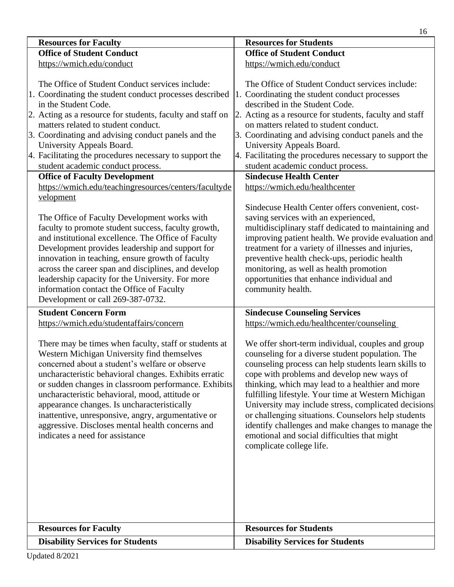|                                                                                                                                                                                                                                                                                                                                                                                                                                                                                                                                                                                                                                                  | 16                                                                                                                                                                                                                                                                                                                                                                                                                                                                                                                                                                                                                                                  |  |
|--------------------------------------------------------------------------------------------------------------------------------------------------------------------------------------------------------------------------------------------------------------------------------------------------------------------------------------------------------------------------------------------------------------------------------------------------------------------------------------------------------------------------------------------------------------------------------------------------------------------------------------------------|-----------------------------------------------------------------------------------------------------------------------------------------------------------------------------------------------------------------------------------------------------------------------------------------------------------------------------------------------------------------------------------------------------------------------------------------------------------------------------------------------------------------------------------------------------------------------------------------------------------------------------------------------------|--|
| <b>Resources for Faculty</b>                                                                                                                                                                                                                                                                                                                                                                                                                                                                                                                                                                                                                     | <b>Resources for Students</b>                                                                                                                                                                                                                                                                                                                                                                                                                                                                                                                                                                                                                       |  |
| <b>Office of Student Conduct</b>                                                                                                                                                                                                                                                                                                                                                                                                                                                                                                                                                                                                                 | <b>Office of Student Conduct</b>                                                                                                                                                                                                                                                                                                                                                                                                                                                                                                                                                                                                                    |  |
| https://wmich.edu/conduct                                                                                                                                                                                                                                                                                                                                                                                                                                                                                                                                                                                                                        | https://wmich.edu/conduct                                                                                                                                                                                                                                                                                                                                                                                                                                                                                                                                                                                                                           |  |
| The Office of Student Conduct services include:<br>1. Coordinating the student conduct processes described<br>in the Student Code.<br>2. Acting as a resource for students, faculty and staff on<br>matters related to student conduct.<br>3. Coordinating and advising conduct panels and the<br>University Appeals Board.<br>4. Facilitating the procedures necessary to support the<br>student academic conduct process.<br><b>Office of Faculty Development</b><br>https://wmich.edu/teachingresources/centers/facultyde<br>velopment<br>The Office of Faculty Development works with<br>faculty to promote student success, faculty growth, | The Office of Student Conduct services include:<br>1. Coordinating the student conduct processes<br>described in the Student Code.<br>2. Acting as a resource for students, faculty and staff<br>on matters related to student conduct.<br>3. Coordinating and advising conduct panels and the<br>University Appeals Board.<br>4. Facilitating the procedures necessary to support the<br>student academic conduct process.<br><b>Sindecuse Health Center</b><br>https://wmich.edu/healthcenter<br>Sindecuse Health Center offers convenient, cost-<br>saving services with an experienced,<br>multidisciplinary staff dedicated to maintaining and |  |
| and institutional excellence. The Office of Faculty<br>Development provides leadership and support for<br>innovation in teaching, ensure growth of faculty<br>across the career span and disciplines, and develop<br>leadership capacity for the University. For more<br>information contact the Office of Faculty<br>Development or call 269-387-0732.                                                                                                                                                                                                                                                                                          | improving patient health. We provide evaluation and<br>treatment for a variety of illnesses and injuries,<br>preventive health check-ups, periodic health<br>monitoring, as well as health promotion<br>opportunities that enhance individual and<br>community health.                                                                                                                                                                                                                                                                                                                                                                              |  |
| <b>Student Concern Form</b><br>https://wmich.edu/studentaffairs/concern                                                                                                                                                                                                                                                                                                                                                                                                                                                                                                                                                                          | <b>Sindecuse Counseling Services</b><br>https://wmich.edu/healthcenter/counseling                                                                                                                                                                                                                                                                                                                                                                                                                                                                                                                                                                   |  |
| There may be times when faculty, staff or students at<br>Western Michigan University find themselves<br>concerned about a student's welfare or observe<br>uncharacteristic behavioral changes. Exhibits erratic<br>or sudden changes in classroom performance. Exhibits<br>uncharacteristic behavioral, mood, attitude or<br>appearance changes. Is uncharacteristically<br>inattentive, unresponsive, angry, argumentative or<br>aggressive. Discloses mental health concerns and<br>indicates a need for assistance                                                                                                                            | We offer short-term individual, couples and group<br>counseling for a diverse student population. The<br>counseling process can help students learn skills to<br>cope with problems and develop new ways of<br>thinking, which may lead to a healthier and more<br>fulfilling lifestyle. Your time at Western Michigan<br>University may include stress, complicated decisions<br>or challenging situations. Counselors help students<br>identify challenges and make changes to manage the<br>emotional and social difficulties that might<br>complicate college life.                                                                             |  |
| <b>Resources for Faculty</b><br><b>Disability Services for Students</b>                                                                                                                                                                                                                                                                                                                                                                                                                                                                                                                                                                          | <b>Resources for Students</b><br><b>Disability Services for Students</b>                                                                                                                                                                                                                                                                                                                                                                                                                                                                                                                                                                            |  |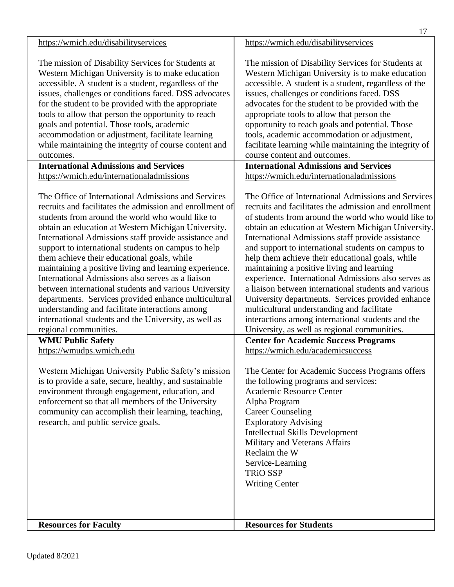|                                                                                                                                                                                                                                                                                                                                                                                                                                                                                                                                                                                                                                                                                                                                                                                                                                                                                                                                                                                                                                                                                                                                             | 17                                                                                                                                                                                                                                                                                                                                                                                                                                                                                                                                                                                                                                                                                                                                                                                                                                                                                                                                                                                                                                                                                                                                                                                                                |
|---------------------------------------------------------------------------------------------------------------------------------------------------------------------------------------------------------------------------------------------------------------------------------------------------------------------------------------------------------------------------------------------------------------------------------------------------------------------------------------------------------------------------------------------------------------------------------------------------------------------------------------------------------------------------------------------------------------------------------------------------------------------------------------------------------------------------------------------------------------------------------------------------------------------------------------------------------------------------------------------------------------------------------------------------------------------------------------------------------------------------------------------|-------------------------------------------------------------------------------------------------------------------------------------------------------------------------------------------------------------------------------------------------------------------------------------------------------------------------------------------------------------------------------------------------------------------------------------------------------------------------------------------------------------------------------------------------------------------------------------------------------------------------------------------------------------------------------------------------------------------------------------------------------------------------------------------------------------------------------------------------------------------------------------------------------------------------------------------------------------------------------------------------------------------------------------------------------------------------------------------------------------------------------------------------------------------------------------------------------------------|
| https://wmich.edu/disabilityservices                                                                                                                                                                                                                                                                                                                                                                                                                                                                                                                                                                                                                                                                                                                                                                                                                                                                                                                                                                                                                                                                                                        | https://wmich.edu/disabilityservices                                                                                                                                                                                                                                                                                                                                                                                                                                                                                                                                                                                                                                                                                                                                                                                                                                                                                                                                                                                                                                                                                                                                                                              |
| The mission of Disability Services for Students at<br>Western Michigan University is to make education<br>accessible. A student is a student, regardless of the<br>issues, challenges or conditions faced. DSS advocates<br>for the student to be provided with the appropriate<br>tools to allow that person the opportunity to reach<br>goals and potential. Those tools, academic<br>accommodation or adjustment, facilitate learning<br>while maintaining the integrity of course content and<br>outcomes.                                                                                                                                                                                                                                                                                                                                                                                                                                                                                                                                                                                                                              | The mission of Disability Services for Students at<br>Western Michigan University is to make education<br>accessible. A student is a student, regardless of the<br>issues, challenges or conditions faced. DSS<br>advocates for the student to be provided with the<br>appropriate tools to allow that person the<br>opportunity to reach goals and potential. Those<br>tools, academic accommodation or adjustment,<br>facilitate learning while maintaining the integrity of<br>course content and outcomes.                                                                                                                                                                                                                                                                                                                                                                                                                                                                                                                                                                                                                                                                                                    |
| <b>International Admissions and Services</b><br>https://wmich.edu/internationaladmissions                                                                                                                                                                                                                                                                                                                                                                                                                                                                                                                                                                                                                                                                                                                                                                                                                                                                                                                                                                                                                                                   | <b>International Admissions and Services</b><br>https://wmich.edu/internationaladmissions                                                                                                                                                                                                                                                                                                                                                                                                                                                                                                                                                                                                                                                                                                                                                                                                                                                                                                                                                                                                                                                                                                                         |
| The Office of International Admissions and Services<br>recruits and facilitates the admission and enrollment of<br>students from around the world who would like to<br>obtain an education at Western Michigan University.<br>International Admissions staff provide assistance and<br>support to international students on campus to help<br>them achieve their educational goals, while<br>maintaining a positive living and learning experience.<br>International Admissions also serves as a liaison<br>between international students and various University<br>departments. Services provided enhance multicultural<br>understanding and facilitate interactions among<br>international students and the University, as well as<br>regional communities.<br><b>WMU Public Safety</b><br>https://wmudps.wmich.edu<br>Western Michigan University Public Safety's mission<br>is to provide a safe, secure, healthy, and sustainable<br>environment through engagement, education, and<br>enforcement so that all members of the University<br>community can accomplish their learning, teaching,<br>research, and public service goals. | The Office of International Admissions and Services<br>recruits and facilitates the admission and enrollment<br>of students from around the world who would like to<br>obtain an education at Western Michigan University.<br>International Admissions staff provide assistance<br>and support to international students on campus to<br>help them achieve their educational goals, while<br>maintaining a positive living and learning<br>experience. International Admissions also serves as<br>a liaison between international students and various<br>University departments. Services provided enhance<br>multicultural understanding and facilitate<br>interactions among international students and the<br>University, as well as regional communities.<br><b>Center for Academic Success Programs</b><br>https://wmich.edu/academicsuccess<br>The Center for Academic Success Programs offers<br>the following programs and services:<br>Academic Resource Center<br>Alpha Program<br><b>Career Counseling</b><br><b>Exploratory Advising</b><br><b>Intellectual Skills Development</b><br>Military and Veterans Affairs<br>Reclaim the W<br>Service-Learning<br><b>TRiO SSP</b><br><b>Writing Center</b> |
| <b>Resources for Faculty</b>                                                                                                                                                                                                                                                                                                                                                                                                                                                                                                                                                                                                                                                                                                                                                                                                                                                                                                                                                                                                                                                                                                                | <b>Resources for Students</b>                                                                                                                                                                                                                                                                                                                                                                                                                                                                                                                                                                                                                                                                                                                                                                                                                                                                                                                                                                                                                                                                                                                                                                                     |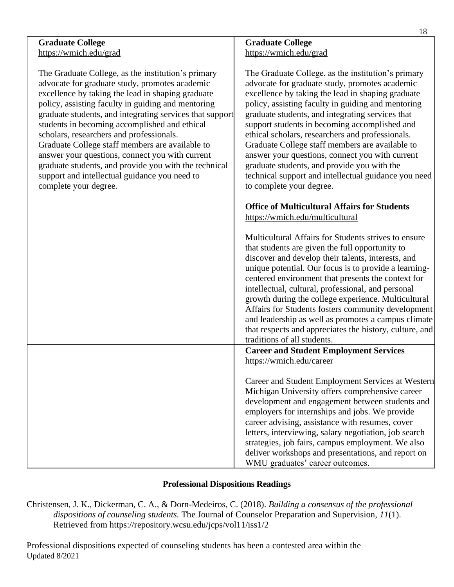|                                                                                                                                                                                                                                                                                                                                                                                                                                                                                                                                                                                                                   | 10                                                                                                                                                                                                                                                                                                                                                                                                                                                                                                                                                                                                                |
|-------------------------------------------------------------------------------------------------------------------------------------------------------------------------------------------------------------------------------------------------------------------------------------------------------------------------------------------------------------------------------------------------------------------------------------------------------------------------------------------------------------------------------------------------------------------------------------------------------------------|-------------------------------------------------------------------------------------------------------------------------------------------------------------------------------------------------------------------------------------------------------------------------------------------------------------------------------------------------------------------------------------------------------------------------------------------------------------------------------------------------------------------------------------------------------------------------------------------------------------------|
| <b>Graduate College</b>                                                                                                                                                                                                                                                                                                                                                                                                                                                                                                                                                                                           | <b>Graduate College</b>                                                                                                                                                                                                                                                                                                                                                                                                                                                                                                                                                                                           |
| https://wmich.edu/grad                                                                                                                                                                                                                                                                                                                                                                                                                                                                                                                                                                                            | https://wmich.edu/grad                                                                                                                                                                                                                                                                                                                                                                                                                                                                                                                                                                                            |
|                                                                                                                                                                                                                                                                                                                                                                                                                                                                                                                                                                                                                   |                                                                                                                                                                                                                                                                                                                                                                                                                                                                                                                                                                                                                   |
| The Graduate College, as the institution's primary<br>advocate for graduate study, promotes academic<br>excellence by taking the lead in shaping graduate<br>policy, assisting faculty in guiding and mentoring<br>graduate students, and integrating services that support<br>students in becoming accomplished and ethical<br>scholars, researchers and professionals.<br>Graduate College staff members are available to<br>answer your questions, connect you with current<br>graduate students, and provide you with the technical<br>support and intellectual guidance you need to<br>complete your degree. | The Graduate College, as the institution's primary<br>advocate for graduate study, promotes academic<br>excellence by taking the lead in shaping graduate<br>policy, assisting faculty in guiding and mentoring<br>graduate students, and integrating services that<br>support students in becoming accomplished and<br>ethical scholars, researchers and professionals.<br>Graduate College staff members are available to<br>answer your questions, connect you with current<br>graduate students, and provide you with the<br>technical support and intellectual guidance you need<br>to complete your degree. |
|                                                                                                                                                                                                                                                                                                                                                                                                                                                                                                                                                                                                                   |                                                                                                                                                                                                                                                                                                                                                                                                                                                                                                                                                                                                                   |
|                                                                                                                                                                                                                                                                                                                                                                                                                                                                                                                                                                                                                   | <b>Office of Multicultural Affairs for Students</b>                                                                                                                                                                                                                                                                                                                                                                                                                                                                                                                                                               |
|                                                                                                                                                                                                                                                                                                                                                                                                                                                                                                                                                                                                                   | https://wmich.edu/multicultural                                                                                                                                                                                                                                                                                                                                                                                                                                                                                                                                                                                   |
|                                                                                                                                                                                                                                                                                                                                                                                                                                                                                                                                                                                                                   | Multicultural Affairs for Students strives to ensure<br>that students are given the full opportunity to<br>discover and develop their talents, interests, and<br>unique potential. Our focus is to provide a learning-<br>centered environment that presents the context for<br>intellectual, cultural, professional, and personal<br>growth during the college experience. Multicultural<br>Affairs for Students fosters community development<br>and leadership as well as promotes a campus climate<br>that respects and appreciates the history, culture, and<br>traditions of all students.                  |
|                                                                                                                                                                                                                                                                                                                                                                                                                                                                                                                                                                                                                   | <b>Career and Student Employment Services</b>                                                                                                                                                                                                                                                                                                                                                                                                                                                                                                                                                                     |
|                                                                                                                                                                                                                                                                                                                                                                                                                                                                                                                                                                                                                   | https://wmich.edu/career<br>Career and Student Employment Services at Western<br>Michigan University offers comprehensive career<br>development and engagement between students and<br>employers for internships and jobs. We provide<br>career advising, assistance with resumes, cover<br>letters, interviewing, salary negotiation, job search<br>strategies, job fairs, campus employment. We also<br>deliver workshops and presentations, and report on<br>WMU graduates' career outcomes.                                                                                                                   |

## **Professional Dispositions Readings**

<span id="page-22-0"></span>Christensen, J. K., Dickerman, C. A., & Dorn-Medeiros, C. (2018). *Building a consensus of the professional dispositions of counseling students.* The Journal of Counselor Preparation and Supervision, *11*(1). Retrieved from<https://repository.wcsu.edu/jcps/vol11/iss1/2>

Updated 8/2021 Professional dispositions expected of counseling students has been a contested area within the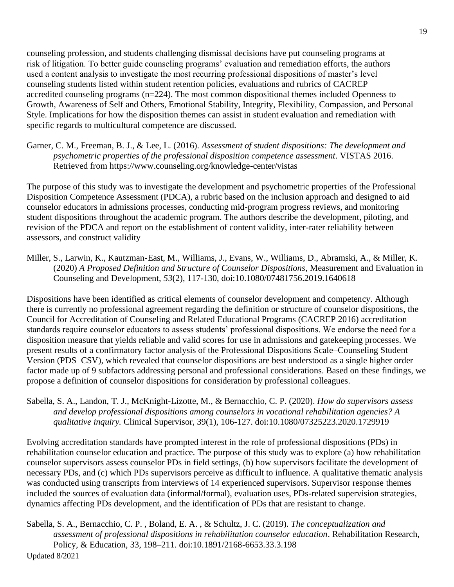counseling profession, and students challenging dismissal decisions have put counseling programs at risk of litigation. To better guide counseling programs' evaluation and remediation efforts, the authors used a content analysis to investigate the most recurring professional dispositions of master's level counseling students listed within student retention policies, evaluations and rubrics of CACREP accredited counseling programs (n=224). The most common dispositional themes included Openness to Growth, Awareness of Self and Others, Emotional Stability, Integrity, Flexibility, Compassion, and Personal Style. Implications for how the disposition themes can assist in student evaluation and remediation with specific regards to multicultural competence are discussed.

Garner, C. M., Freeman, B. J., & Lee, L. (2016). *Assessment of student dispositions: The development and psychometric properties of the professional disposition competence assessment*. VISTAS 2016. Retrieved from<https://www.counseling.org/knowledge-center/vistas>

The purpose of this study was to investigate the development and psychometric properties of the Professional Disposition Competence Assessment (PDCA), a rubric based on the inclusion approach and designed to aid counselor educators in admissions processes, conducting mid-program progress reviews, and monitoring student dispositions throughout the academic program. The authors describe the development, piloting, and revision of the PDCA and report on the establishment of content validity, inter-rater reliability between assessors, and construct validity

Miller, S., Larwin, K., Kautzman-East, M., Williams, J., Evans, W., Williams, D., Abramski, A., & Miller, K. (2020) *A Proposed Definition and Structure of Counselor Dispositions*, Measurement and Evaluation in Counseling and Development, *53*(2), 117-130, doi:10.1080/07481756.2019.1640618

Dispositions have been identified as critical elements of counselor development and competency. Although there is currently no professional agreement regarding the definition or structure of counselor dispositions, the Council for Accreditation of Counseling and Related Educational Programs (CACREP 2016) accreditation standards require counselor educators to assess students' professional dispositions. We endorse the need for a disposition measure that yields reliable and valid scores for use in admissions and gatekeeping processes. We present results of a confirmatory factor analysis of the Professional Dispositions Scale–Counseling Student Version (PDS–CSV), which revealed that counselor dispositions are best understood as a single higher order factor made up of 9 subfactors addressing personal and professional considerations. Based on these findings, we propose a definition of counselor dispositions for consideration by professional colleagues.

Sabella, S. A., Landon, T. J., McKnight-Lizotte, M., & Bernacchio, C. P. (2020). *How do supervisors assess and develop professional dispositions among counselors in vocational rehabilitation agencies? A qualitative inquiry.* Clinical Supervisor, 39(1), 106-127. doi:10.1080/07325223.2020.1729919

Evolving accreditation standards have prompted interest in the role of professional dispositions (PDs) in rehabilitation counselor education and practice. The purpose of this study was to explore (a) how rehabilitation counselor supervisors assess counselor PDs in field settings, (b) how supervisors facilitate the development of necessary PDs, and (c) which PDs supervisors perceive as difficult to influence. A qualitative thematic analysis was conducted using transcripts from interviews of 14 experienced supervisors. Supervisor response themes included the sources of evaluation data (informal/formal), evaluation uses, PDs-related supervision strategies, dynamics affecting PDs development, and the identification of PDs that are resistant to change.

Updated 8/2021 Sabella, S. A., Bernacchio, C. P. , Boland, E. A. , & Schultz, J. C. (2019). *The conceptualization and assessment of professional dispositions in rehabilitation counselor education*. Rehabilitation Research, Policy, & Education, 33, 198–211. doi:10.1891/2168-6653.33.3.198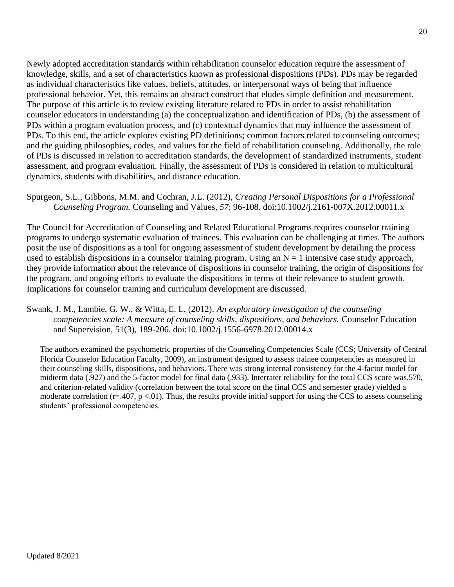Newly adopted accreditation standards within rehabilitation counselor education require the assessment of knowledge, skills, and a set of characteristics known as professional dispositions (PDs). PDs may be regarded as individual characteristics like values, beliefs, attitudes, or interpersonal ways of being that influence professional behavior. Yet, this remains an abstract construct that eludes simple definition and measurement. The purpose of this article is to review existing literature related to PDs in order to assist rehabilitation counselor educators in understanding (a) the conceptualization and identification of PDs, (b) the assessment of PDs within a program evaluation process, and (c) contextual dynamics that may influence the assessment of PDs. To this end, the article explores existing PD definitions; common factors related to counseling outcomes; and the guiding philosophies, codes, and values for the field of rehabilitation counseling. Additionally, the role of PDs is discussed in relation to accreditation standards, the development of standardized instruments, student assessment, and program evaluation. Finally, the assessment of PDs is considered in relation to multicultural dynamics, students with disabilities, and distance education.

#### Spurgeon, S.L., Gibbons, M.M. and Cochran, J.L. (2012), *Creating Personal Dispositions for a Professional Counseling Program.* Counseling and Values, *57*: 96-108. doi:10.1002/j.2161-007X.2012.00011.x

The Council for Accreditation of Counseling and Related Educational Programs requires counselor training programs to undergo systematic evaluation of trainees. This evaluation can be challenging at times. The authors posit the use of dispositions as a tool for ongoing assessment of student development by detailing the process used to establish dispositions in a counselor training program. Using an  $N = 1$  intensive case study approach, they provide information about the relevance of dispositions in counselor training, the origin of dispositions for the program, and ongoing efforts to evaluate the dispositions in terms of their relevance to student growth. Implications for counselor training and curriculum development are discussed.

## Swank, J. M., Lambie, G. W., & Witta, E. L. (2012). *An exploratory investigation of the counseling competencies scale: A measure of counseling skills, dispositions, and behaviors.* Counselor Education and Supervision, 51(3), 189-206. doi:10.1002/j.1556-6978.2012.00014.x

The authors examined the psychometric properties of the Counseling Competencies Scale (CCS; University of Central Florida Counselor Education Faculty, 2009), an instrument designed to assess trainee competencies as measured in their counseling skills, dispositions, and behaviors. There was strong internal consistency for the 4-factor model for midterm data (.927) and the 5-factor model for final data (.933). Interrater reliability for the total CCS score was.570, and criterion-related validity (correlation between the total score on the final CCS and semester grade) yielded a moderate correlation ( $r=407$ ,  $p < 01$ ). Thus, the results provide initial support for using the CCS to assess counseling students' professional competencies.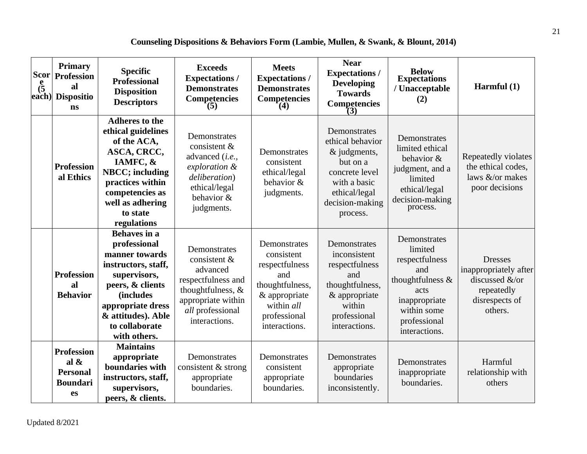## **Counseling Dispositions & Behaviors Form (Lambie, Mullen, & Swank, & Blount, 2014)**

<span id="page-25-0"></span>

| <b>Scor</b><br>$\frac{e}{(5)}$ | <b>Primary</b><br><b>Profession</b><br>al<br>each) Dispositio<br>ns      | <b>Specific</b><br><b>Professional</b><br><b>Disposition</b><br><b>Descriptors</b>                                                                                                                                        | <b>Exceeds</b><br><b>Expectations /</b><br><b>Demonstrates</b><br><b>Competencies</b><br>$\tilde{z}(5)$                                        | <b>Meets</b><br><b>Expectations/</b><br><b>Demonstrates</b><br><b>Competencies</b><br>(4)                                              | <b>Near</b><br><b>Expectations /</b><br><b>Developing</b><br><b>Towards</b><br><b>Competencies</b><br>(3)                                      | <b>Below</b><br><b>Expectations</b><br>/ Unacceptable<br>(2)                                                                                  | Harmful $(1)$                                                                                        |
|--------------------------------|--------------------------------------------------------------------------|---------------------------------------------------------------------------------------------------------------------------------------------------------------------------------------------------------------------------|------------------------------------------------------------------------------------------------------------------------------------------------|----------------------------------------------------------------------------------------------------------------------------------------|------------------------------------------------------------------------------------------------------------------------------------------------|-----------------------------------------------------------------------------------------------------------------------------------------------|------------------------------------------------------------------------------------------------------|
|                                | <b>Profession</b><br>al Ethics                                           | <b>Adheres to the</b><br>ethical guidelines<br>of the ACA,<br>ASCA, CRCC,<br>IAMFC, &<br><b>NBCC</b> ; including<br>practices within<br>competencies as<br>well as adhering<br>to state<br>regulations                    | Demonstrates<br>consistent &<br>advanced (i.e.,<br>exploration &<br>deliberation)<br>ethical/legal<br>behavior &<br>judgments.                 | Demonstrates<br>consistent<br>ethical/legal<br>behavior &<br>judgments.                                                                | Demonstrates<br>ethical behavior<br>& judgments,<br>but on a<br>concrete level<br>with a basic<br>ethical/legal<br>decision-making<br>process. | Demonstrates<br>limited ethical<br>behavior &<br>judgment, and a<br>limited<br>ethical/legal<br>decision-making<br>process.                   | Repeatedly violates<br>the ethical codes,<br>laws &/or makes<br>poor decisions                       |
|                                | <b>Profession</b><br>al<br><b>Behavior</b>                               | <b>Behaves</b> in a<br>professional<br>manner towards<br>instructors, staff,<br>supervisors,<br>peers, & clients<br><i><b>(includes)</b></i><br>appropriate dress<br>& attitudes). Able<br>to collaborate<br>with others. | Demonstrates<br>consistent &<br>advanced<br>respectfulness and<br>thoughtfulness, &<br>appropriate within<br>all professional<br>interactions. | Demonstrates<br>consistent<br>respectfulness<br>and<br>thoughtfulness,<br>& appropriate<br>within all<br>professional<br>interactions. | Demonstrates<br>inconsistent<br>respectfulness<br>and<br>thoughtfulness,<br>& appropriate<br>within<br>professional<br>interactions.           | Demonstrates<br>limited<br>respectfulness<br>and<br>thoughtfulness &<br>acts<br>inappropriate<br>within some<br>professional<br>interactions. | <b>Dresses</b><br>inappropriately after<br>discussed &/or<br>repeatedly<br>disrespects of<br>others. |
|                                | <b>Profession</b><br>al $\&$<br><b>Personal</b><br><b>Boundari</b><br>es | <b>Maintains</b><br>appropriate<br>boundaries with<br>instructors, staff,<br>supervisors,<br>peers, & clients.                                                                                                            | Demonstrates<br>consistent & strong<br>appropriate<br>boundaries.                                                                              | Demonstrates<br>consistent<br>appropriate<br>boundaries.                                                                               | Demonstrates<br>appropriate<br>boundaries<br>inconsistently.                                                                                   | Demonstrates<br>inappropriate<br>boundaries.                                                                                                  | Harmful<br>relationship with<br>others                                                               |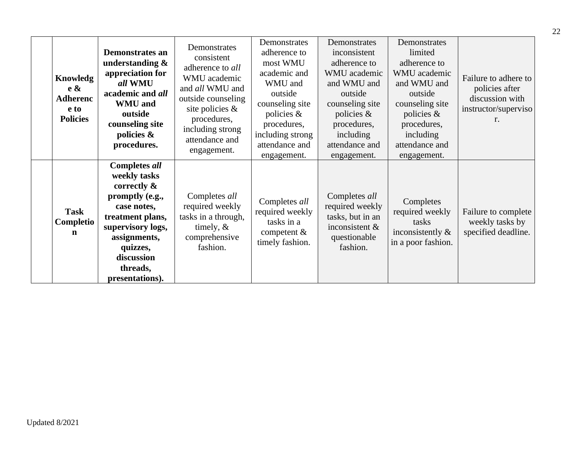| Knowledg<br>$e \&$<br><b>Adherenc</b><br>e to<br><b>Policies</b> | <b>Demonstrates an</b><br>understanding $\&$<br>appreciation for<br>all WMU<br>academic and all<br><b>WMU</b> and<br>outside<br>counseling site<br>policies $\&$<br>procedures.                            | Demonstrates<br>consistent<br>adherence to all<br>WMU academic<br>and all WMU and<br>outside counseling<br>site policies &<br>procedures,<br>including strong<br>attendance and<br>engagement. | Demonstrates<br>adherence to<br>most WMU<br>academic and<br>WMU and<br>outside<br>counseling site<br>policies &<br>procedures,<br>including strong<br>attendance and<br>engagement. | Demonstrates<br>inconsistent<br>adherence to<br>WMU academic<br>and WMU and<br>outside<br>counseling site<br>policies &<br>procedures,<br>including<br>attendance and<br>engagement. | Demonstrates<br>limited<br>adherence to<br>WMU academic<br>and WMU and<br>outside<br>counseling site<br>policies $\&$<br>procedures,<br>including<br>attendance and<br>engagement. | Failure to adhere to<br>policies after<br>discussion with<br>instructor/superviso<br>r. |
|------------------------------------------------------------------|------------------------------------------------------------------------------------------------------------------------------------------------------------------------------------------------------------|------------------------------------------------------------------------------------------------------------------------------------------------------------------------------------------------|-------------------------------------------------------------------------------------------------------------------------------------------------------------------------------------|--------------------------------------------------------------------------------------------------------------------------------------------------------------------------------------|------------------------------------------------------------------------------------------------------------------------------------------------------------------------------------|-----------------------------------------------------------------------------------------|
| <b>Task</b><br>Completio<br>n                                    | <b>Completes all</b><br>weekly tasks<br>correctly $\&$<br>promptly (e.g.,<br>case notes,<br>treatment plans,<br>supervisory logs,<br>assignments,<br>quizzes,<br>discussion<br>threads,<br>presentations). | Completes all<br>required weekly<br>tasks in a through,<br>timely, $\&$<br>comprehensive<br>fashion.                                                                                           | Completes all<br>required weekly<br>tasks in a<br>competent $\&$<br>timely fashion.                                                                                                 | Completes all<br>required weekly<br>tasks, but in an<br>inconsistent $\&$<br>questionable<br>fashion.                                                                                | Completes<br>required weekly<br>tasks<br>inconsistently $\&$<br>in a poor fashion.                                                                                                 | Failure to complete<br>weekly tasks by<br>specified deadline.                           |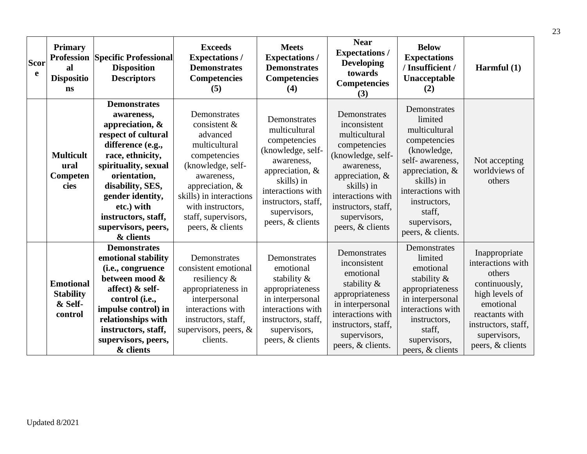| Scor | <b>Primary</b><br>al<br>e<br><b>Dispositio</b><br>ns       | <b>Profession Specific Professional</b><br><b>Disposition</b><br><b>Descriptors</b>                                                                                                                                                                                              | <b>Exceeds</b><br><b>Expectations/</b><br><b>Demonstrates</b><br><b>Competencies</b><br>(5)                                                                                                                                  | <b>Meets</b><br><b>Expectations/</b><br><b>Demonstrates</b><br><b>Competencies</b><br>(4)                                                                                                         | <b>Near</b><br><b>Expectations/</b><br><b>Developing</b><br>towards<br><b>Competencies</b><br>(3)                                                                                                                    | <b>Below</b><br><b>Expectations</b><br>/Insufficient /<br>Unacceptable<br>(2)                                                                                                                                       | Harmful $(1)$                                                                                                                                                             |
|------|------------------------------------------------------------|----------------------------------------------------------------------------------------------------------------------------------------------------------------------------------------------------------------------------------------------------------------------------------|------------------------------------------------------------------------------------------------------------------------------------------------------------------------------------------------------------------------------|---------------------------------------------------------------------------------------------------------------------------------------------------------------------------------------------------|----------------------------------------------------------------------------------------------------------------------------------------------------------------------------------------------------------------------|---------------------------------------------------------------------------------------------------------------------------------------------------------------------------------------------------------------------|---------------------------------------------------------------------------------------------------------------------------------------------------------------------------|
|      | <b>Multicult</b><br>ural<br>Competen<br>cies               | <b>Demonstrates</b><br>awareness,<br>appreciation, $\&$<br>respect of cultural<br>difference (e.g.,<br>race, ethnicity,<br>spirituality, sexual<br>orientation,<br>disability, SES,<br>gender identity,<br>etc.) with<br>instructors, staff,<br>supervisors, peers,<br>& clients | Demonstrates<br>consistent &<br>advanced<br>multicultural<br>competencies<br>(knowledge, self-<br>awareness,<br>appreciation, $&$<br>skills) in interactions<br>with instructors,<br>staff, supervisors,<br>peers, & clients | Demonstrates<br>multicultural<br>competencies<br>(knowledge, self-<br>awareness.<br>appreciation, &<br>skills) in<br>interactions with<br>instructors, staff,<br>supervisors,<br>peers, & clients | Demonstrates<br>inconsistent<br>multicultural<br>competencies<br>(knowledge, self-<br>awareness,<br>appreciation, $\&$<br>skills) in<br>interactions with<br>instructors, staff,<br>supervisors,<br>peers, & clients | Demonstrates<br>limited<br>multicultural<br>competencies<br>(knowledge,<br>self- awareness.<br>appreciation, $\&$<br>skills) in<br>interactions with<br>instructors,<br>staff.<br>supervisors,<br>peers, & clients. | Not accepting<br>worldviews of<br>others                                                                                                                                  |
|      | <b>Emotional</b><br><b>Stability</b><br>& Self-<br>control | <b>Demonstrates</b><br>emotional stability<br>(i.e., congruence<br>between mood &<br>affect) & self-<br>control (i.e.,<br>impulse control) in<br>relationships with<br>instructors, staff,<br>supervisors, peers,<br>& clients                                                   | Demonstrates<br>consistent emotional<br>resiliency &<br>appropriateness in<br>interpersonal<br>interactions with<br>instructors, staff,<br>supervisors, peers, $\&$<br>clients.                                              | Demonstrates<br>emotional<br>stability $\&$<br>appropriateness<br>in interpersonal<br>interactions with<br>instructors, staff,<br>supervisors,<br>peers, & clients                                | Demonstrates<br>inconsistent<br>emotional<br>stability &<br>appropriateness<br>in interpersonal<br>interactions with<br>instructors, staff,<br>supervisors,<br>peers, & clients.                                     | Demonstrates<br>limited<br>emotional<br>stability $\&$<br>appropriateness<br>in interpersonal<br>interactions with<br>instructors,<br>staff,<br>supervisors,<br>peers, & clients                                    | Inappropriate<br>interactions with<br>others<br>continuously,<br>high levels of<br>emotional<br>reactants with<br>instructors, staff,<br>supervisors,<br>peers, & clients |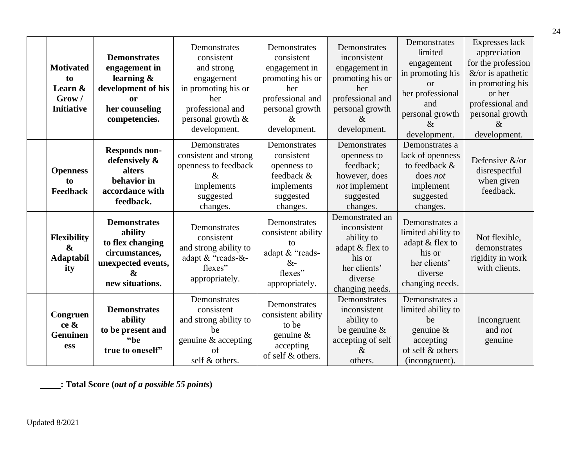| <b>Motivated</b><br>to<br>Learn &<br>Grow/<br><b>Initiative</b> | <b>Demonstrates</b><br>engagement in<br>learning $\&$<br>development of his<br>or<br>her counseling<br>competencies.               | Demonstrates<br>consistent<br>and strong<br>engagement<br>in promoting his or<br>her<br>professional and<br>personal growth &<br>development. | Demonstrates<br>consistent<br>engagement in<br>promoting his or<br>her<br>professional and<br>personal growth<br>&<br>development. | Demonstrates<br>inconsistent<br>engagement in<br>promoting his or<br>her<br>professional and<br>personal growth<br>$\&$<br>development. | Demonstrates<br>limited<br>engagement<br>in promoting his<br>$\alpha$<br>her professional<br>and<br>personal growth<br>$\&$<br>development. | Expresses lack<br>appreciation<br>for the profession<br>$&$ /or is apathetic<br>in promoting his<br>or her<br>professional and<br>personal growth<br>$\&$<br>development. |
|-----------------------------------------------------------------|------------------------------------------------------------------------------------------------------------------------------------|-----------------------------------------------------------------------------------------------------------------------------------------------|------------------------------------------------------------------------------------------------------------------------------------|-----------------------------------------------------------------------------------------------------------------------------------------|---------------------------------------------------------------------------------------------------------------------------------------------|---------------------------------------------------------------------------------------------------------------------------------------------------------------------------|
| <b>Openness</b><br>to<br>Feedback                               | <b>Responds non-</b><br>defensively &<br>alters<br>behavior in<br>accordance with<br>feedback.                                     | Demonstrates<br>consistent and strong<br>openness to feedback<br>$\&$<br>implements<br>suggested<br>changes.                                  | Demonstrates<br>consistent<br>openness to<br>feedback &<br>implements<br>suggested<br>changes.                                     | Demonstrates<br>openness to<br>feedback;<br>however, does<br>not implement<br>suggested<br>changes.                                     | Demonstrates a<br>lack of openness<br>to feedback &<br>does not<br>implement<br>suggested<br>changes.                                       | Defensive &/or<br>disrespectful<br>when given<br>feedback.                                                                                                                |
| Flexibility<br>$\boldsymbol{\alpha}$<br><b>Adaptabil</b><br>ity | <b>Demonstrates</b><br>ability<br>to flex changing<br>circumstances,<br>unexpected events,<br>$\boldsymbol{\&}$<br>new situations. | Demonstrates<br>consistent<br>and strong ability to<br>adapt & "reads-&-<br>flexes"<br>appropriately.                                         | Demonstrates<br>consistent ability<br>tο<br>adapt & "reads-<br>$&-$<br>flexes"<br>appropriately.                                   | Demonstrated an<br>inconsistent<br>ability to<br>adapt & flex to<br>his or<br>her clients'<br>diverse<br>changing needs.                | Demonstrates a<br>limited ability to<br>adapt & flex to<br>his or<br>her clients'<br>diverse<br>changing needs.                             | Not flexible,<br>demonstrates<br>rigidity in work<br>with clients.                                                                                                        |
| Congruen<br>ce &<br><b>Genuinen</b><br>ess                      | <b>Demonstrates</b><br>ability<br>to be present and<br>"be<br>true to oneself"                                                     | Demonstrates<br>consistent<br>and strong ability to<br>be<br>genuine & accepting<br>of<br>self & others.                                      | Demonstrates<br>consistent ability<br>to be<br>genuine $\&$<br>accepting<br>of self & others.                                      | Demonstrates<br>inconsistent<br>ability to<br>be genuine $\&$<br>accepting of self<br>$\&$<br>others.                                   | Demonstrates a<br>limited ability to<br>be<br>genuine $\&$<br>accepting<br>of self & others<br>(incongruent).                               | Incongruent<br>and not<br>genuine                                                                                                                                         |

**: Total Score (***out of a possible 55 points***)**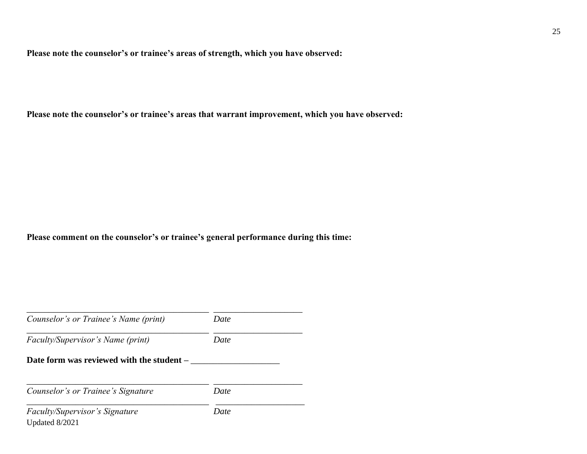**Please note the counselor's or trainee's areas of strength, which you have observed:** 

**Please note the counselor's or trainee's areas that warrant improvement, which you have observed:** 

**Please comment on the counselor's or trainee's general performance during this time:** 

| Counselor's or Trainee's Name (print)     | Date |
|-------------------------------------------|------|
| <i>Faculty/Supervisor's Name (print)</i>  | Date |
| Date form was reviewed with the student – |      |
|                                           |      |
| Counselor's or Trainee's Signature        | Date |
| <i>Faculty/Supervisor's Signature</i>     | Date |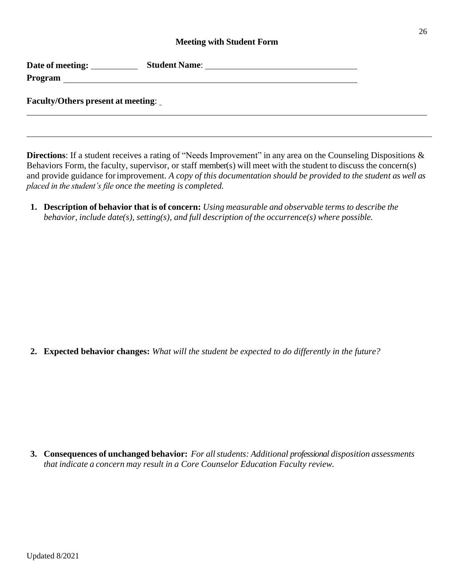#### **Meeting with Student Form**

<span id="page-30-0"></span>

| Date of meeting: | <b>Student Name:</b> |
|------------------|----------------------|
| Program          |                      |

**Faculty/Others present at meeting**:

**Directions**: If a student receives a rating of "Needs Improvement" in any area on the Counseling Dispositions & Behaviors Form, the faculty, supervisor, or staff member(s) will meet with the student to discuss the concern(s) and provide guidance forimprovement. *A copy of this documentation should be provided to the student as well as placed in the student's file once the meeting is completed.*

**1. Description of behavior that is of concern:** *Using measurable and observable terms to describe the behavior, include date(s), setting(s), and full description of the occurrence(s) where possible.*

**2. Expected behavior changes:** *What will the student be expected to do differently in the future?*

**3. Consequences of unchanged behavior:** *For allstudents: Additional professional disposition assessments that indicate a concern may result in a Core Counselor Education Faculty review.*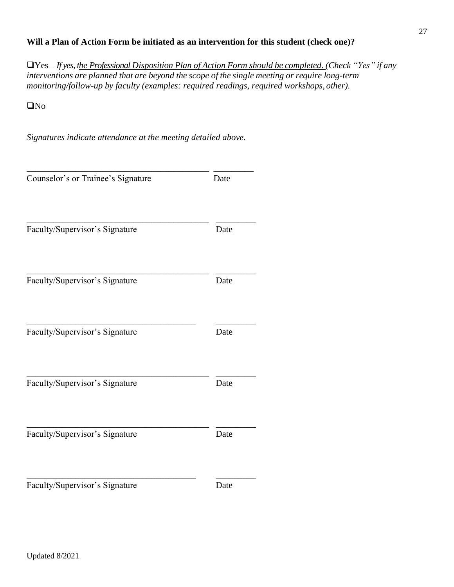## **Will a Plan of Action Form be initiated as an intervention for this student (check one)?**

❑Yes – *If yes, the Professional Disposition Plan of Action Form should be completed. (Check "Yes" if any interventions are planned that are beyond the scope of the single meeting or require long-term monitoring/follow-up by faculty (examples: required readings, required workshops, other).*

❑No

*Signatures indicate attendance at the meeting detailed above.*

| Counselor's or Trainee's Signature | Date |
|------------------------------------|------|
| Faculty/Supervisor's Signature     | Date |
| Faculty/Supervisor's Signature     | Date |
| Faculty/Supervisor's Signature     | Date |
| Faculty/Supervisor's Signature     | Date |
| Faculty/Supervisor's Signature     | Date |
| Faculty/Supervisor's Signature     | Date |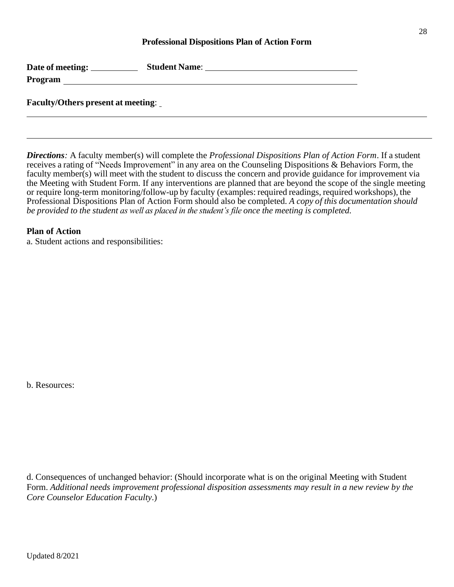#### **Professional Dispositions Plan of Action Form**

<span id="page-32-0"></span>

| Date of meeting: | <b>Student Name:</b> |
|------------------|----------------------|
| Program          |                      |
|                  |                      |

**Faculty/Others present at meeting**:

*Directions:* A faculty member(s) will complete the *Professional Dispositions Plan of Action Form*. If a student receives a rating of "Needs Improvement" in any area on the Counseling Dispositions & Behaviors Form, the faculty member(s) will meet with the student to discuss the concern and provide guidance for improvement via the Meeting with Student Form. If any interventions are planned that are beyond the scope of the single meeting or require long-term monitoring/follow-up by faculty (examples: required readings, required workshops), the Professional Dispositions Plan of Action Form should also be completed. *A copy of this documentation should be provided to the student as well as placed in the student's file once the meeting is completed.*

#### **Plan of Action**

a. Student actions and responsibilities:

b. Resources:

d. Consequences of unchanged behavior: (Should incorporate what is on the original Meeting with Student Form. *Additional needs improvement professional disposition assessments may result in a new review by the Core Counselor Education Faculty*.)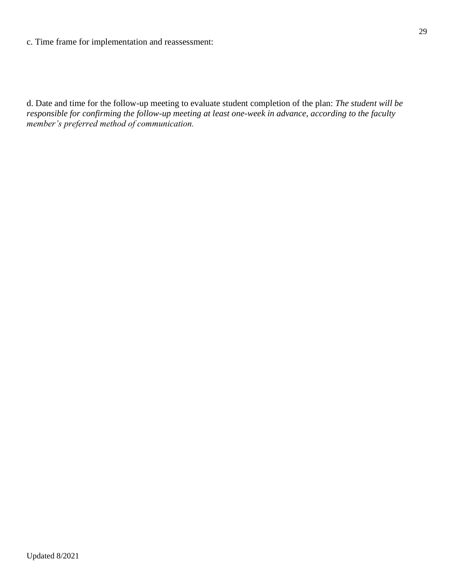#### c. Time frame for implementation and reassessment:

d. Date and time for the follow-up meeting to evaluate student completion of the plan: *The student will be responsible for confirming the follow-up meeting at least one-week in advance, according to the faculty member's preferred method of communication.*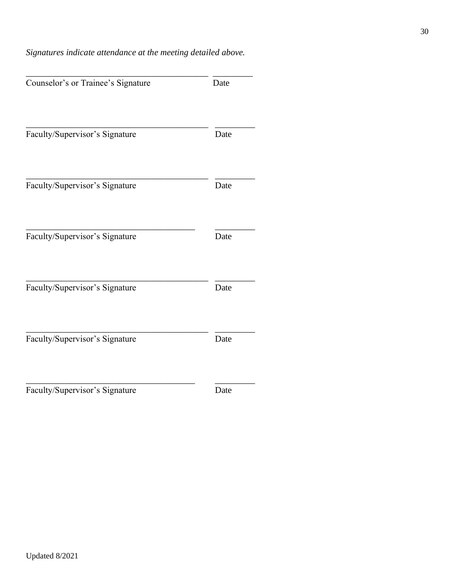## *Signatures indicate attendance at the meeting detailed above.*

| Counselor's or Trainee's Signature | Date |
|------------------------------------|------|
| Faculty/Supervisor's Signature     | Date |
| Faculty/Supervisor's Signature     | Date |
| Faculty/Supervisor's Signature     | Date |
| Faculty/Supervisor's Signature     | Date |
| Faculty/Supervisor's Signature     | Date |
| Faculty/Supervisor's Signature     | Date |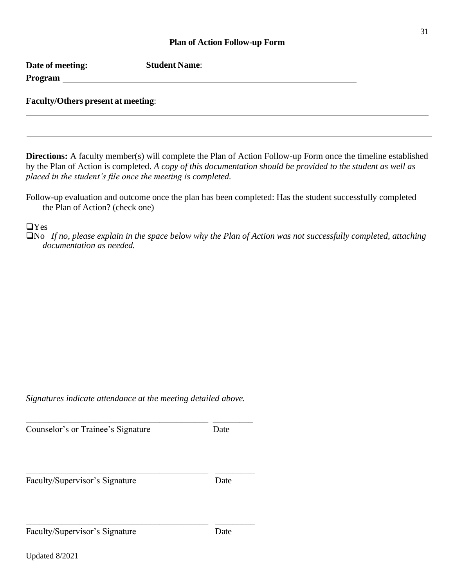#### **Plan of Action Follow-up Form**

<span id="page-35-0"></span>

| Date of meeting: | <b>Student Name:</b> |
|------------------|----------------------|
| Program          |                      |

#### **Faculty/Others present at meeting**:

**Directions:** A faculty member(s) will complete the Plan of Action Follow-up Form once the timeline established by the Plan of Action is completed. *A copy of this documentation should be provided to the student as well as placed in the student's file once the meeting is completed.*

Follow-up evaluation and outcome once the plan has been completed: Has the student successfully completed the Plan of Action? (check one)

#### ❑Yes

❑No *If no, please explain in the space below why the Plan of Action was not successfully completed, attaching documentation as needed.*

*Signatures indicate attendance at the meeting detailed above.*

\_\_\_\_\_\_\_\_\_\_\_\_\_\_\_\_\_\_\_\_\_\_\_\_\_\_\_\_\_\_\_\_\_\_\_\_\_\_\_\_\_ \_\_\_\_\_\_\_\_\_

\_\_\_\_\_\_\_\_\_\_\_\_\_\_\_\_\_\_\_\_\_\_\_\_\_\_\_\_\_\_\_\_\_\_\_\_\_\_\_\_\_ \_\_\_\_\_\_\_\_\_

\_\_\_\_\_\_\_\_\_\_\_\_\_\_\_\_\_\_\_\_\_\_\_\_\_\_\_\_\_\_\_\_\_\_\_\_\_\_\_\_\_ \_\_\_\_\_\_\_\_\_

Counselor's or Trainee's Signature Date

Faculty/Supervisor's Signature Date

Updated 8/2021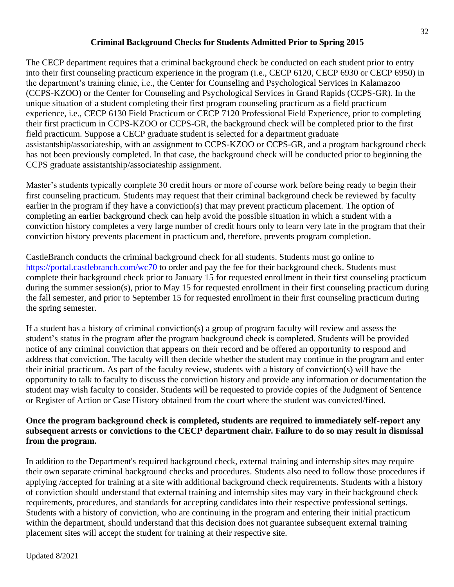#### **Criminal Background Checks for Students Admitted Prior to Spring 2015**

<span id="page-36-0"></span>The CECP department requires that a criminal background check be conducted on each student prior to entry into their first counseling practicum experience in the program (i.e., CECP 6120, CECP 6930 or CECP 6950) in the department's training clinic, i.e., the Center for Counseling and Psychological Services in Kalamazoo (CCPS-KZOO) or the Center for Counseling and Psychological Services in Grand Rapids (CCPS-GR). In the unique situation of a student completing their first program counseling practicum as a field practicum experience, i.e., CECP 6130 Field Practicum or CECP 7120 Professional Field Experience, prior to completing their first practicum in CCPS-KZOO or CCPS-GR, the background check will be completed prior to the first field practicum. Suppose a CECP graduate student is selected for a department graduate assistantship/associateship, with an assignment to CCPS-KZOO or CCPS-GR, and a program background check has not been previously completed. In that case, the background check will be conducted prior to beginning the CCPS graduate assistantship/associateship assignment.

Master's students typically complete 30 credit hours or more of course work before being ready to begin their first counseling practicum. Students may request that their criminal background check be reviewed by faculty earlier in the program if they have a conviction(s) that may prevent practicum placement. The option of completing an earlier background check can help avoid the possible situation in which a student with a conviction history completes a very large number of credit hours only to learn very late in the program that their conviction history prevents placement in practicum and, therefore, prevents program completion.

CastleBranch conducts the criminal background check for all students. Students must go online to <https://portal.castlebranch.com/wc70> to order and pay the fee for their background check. Students must complete their background check prior to January 15 for requested enrollment in their first counseling practicum during the summer session(s), prior to May 15 for requested enrollment in their first counseling practicum during the fall semester, and prior to September 15 for requested enrollment in their first counseling practicum during the spring semester.

If a student has a history of criminal conviction(s) a group of program faculty will review and assess the student's status in the program after the program background check is completed. Students will be provided notice of any criminal conviction that appears on their record and be offered an opportunity to respond and address that conviction. The faculty will then decide whether the student may continue in the program and enter their initial practicum. As part of the faculty review, students with a history of conviction(s) will have the opportunity to talk to faculty to discuss the conviction history and provide any information or documentation the student may wish faculty to consider. Students will be requested to provide copies of the Judgment of Sentence or Register of Action or Case History obtained from the court where the student was convicted/fined.

#### **Once the program background check is completed, students are required to immediately self-report any subsequent arrests or convictions to the CECP department chair. Failure to do so may result in dismissal from the program.**

In addition to the Department's required background check, external training and internship sites may require their own separate criminal background checks and procedures. Students also need to follow those procedures if applying /accepted for training at a site with additional background check requirements. Students with a history of conviction should understand that external training and internship sites may vary in their background check requirements, procedures, and standards for accepting candidates into their respective professional settings. Students with a history of conviction, who are continuing in the program and entering their initial practicum within the department, should understand that this decision does not guarantee subsequent external training placement sites will accept the student for training at their respective site.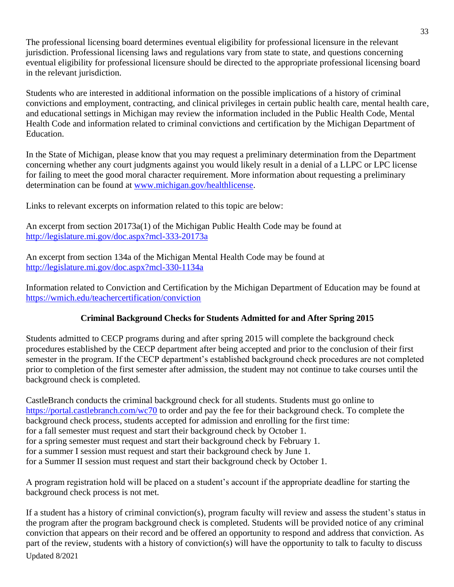The professional licensing board determines eventual eligibility for professional licensure in the relevant jurisdiction. Professional licensing laws and regulations vary from state to state, and questions concerning eventual eligibility for professional licensure should be directed to the appropriate professional licensing board in the relevant jurisdiction.

Students who are interested in additional information on the possible implications of a history of criminal convictions and employment, contracting, and clinical privileges in certain public health care, mental health care, and educational settings in Michigan may review the information included in the Public Health Code, Mental Health Code and information related to criminal convictions and certification by the Michigan Department of Education.

In the State of Michigan, please know that you may request a preliminary determination from the Department concerning whether any court judgments against you would likely result in a denial of a LLPC or LPC license for failing to meet the good moral character requirement. More information about requesting a preliminary determination can be found at [www.michigan.gov/healthlicense.](http://www.michigan.gov/healthlicense)

Links to relevant excerpts on information related to this topic are below:

An excerpt from section 20173a(1) of the Michigan Public Health Code may be found at <http://legislature.mi.gov/doc.aspx?mcl-333-20173a>

An excerpt from section 134a of the Michigan Mental Health Code may be found at <http://legislature.mi.gov/doc.aspx?mcl-330-1134a>

Information related to Conviction and Certification by the Michigan Department of Education may be found at <https://wmich.edu/teachercertification/conviction>

## **Criminal Background Checks for Students Admitted for and After Spring 2015**

<span id="page-37-0"></span>Students admitted to CECP programs during and after spring 2015 will complete the background check procedures established by the CECP department after being accepted and prior to the conclusion of their first semester in the program. If the CECP department's established background check procedures are not completed prior to completion of the first semester after admission, the student may not continue to take courses until the background check is completed.

CastleBranch conducts the criminal background check for all students. Students must go online to <https://portal.castlebranch.com/wc70> to order and pay the fee for their background check. To complete the background check process, students accepted for admission and enrolling for the first time: for a fall semester must request and start their background check by October 1. for a spring semester must request and start their background check by February 1. for a summer I session must request and start their background check by June 1. for a Summer II session must request and start their background check by October 1.

A program registration hold will be placed on a student's account if the appropriate deadline for starting the background check process is not met.

Updated 8/2021 If a student has a history of criminal conviction(s), program faculty will review and assess the student's status in the program after the program background check is completed. Students will be provided notice of any criminal conviction that appears on their record and be offered an opportunity to respond and address that conviction. As part of the review, students with a history of conviction(s) will have the opportunity to talk to faculty to discuss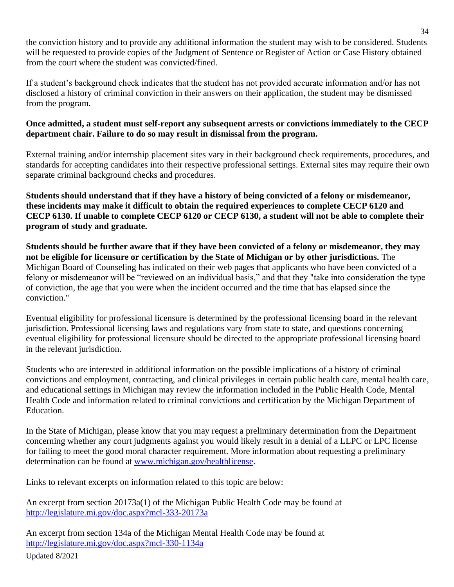the conviction history and to provide any additional information the student may wish to be considered. Students will be requested to provide copies of the Judgment of Sentence or Register of Action or Case History obtained from the court where the student was convicted/fined.

If a student's background check indicates that the student has not provided accurate information and/or has not disclosed a history of criminal conviction in their answers on their application, the student may be dismissed from the program.

## **Once admitted, a student must self-report any subsequent arrests or convictions immediately to the CECP department chair. Failure to do so may result in dismissal from the program.**

External training and/or internship placement sites vary in their background check requirements, procedures, and standards for accepting candidates into their respective professional settings. External sites may require their own separate criminal background checks and procedures.

**Students should understand that if they have a history of being convicted of a felony or misdemeanor, these incidents may make it difficult to obtain the required experiences to complete CECP 6120 and CECP 6130. If unable to complete CECP 6120 or CECP 6130, a student will not be able to complete their program of study and graduate.**

**Students should be further aware that if they have been convicted of a felony or misdemeanor, they may not be eligible for licensure or certification by the State of Michigan or by other jurisdictions.** The Michigan Board of Counseling has indicated on their web pages that applicants who have been convicted of a felony or misdemeanor will be "reviewed on an individual basis," and that they "take into consideration the type of conviction, the age that you were when the incident occurred and the time that has elapsed since the conviction."

Eventual eligibility for professional licensure is determined by the professional licensing board in the relevant jurisdiction. Professional licensing laws and regulations vary from state to state, and questions concerning eventual eligibility for professional licensure should be directed to the appropriate professional licensing board in the relevant jurisdiction.

Students who are interested in additional information on the possible implications of a history of criminal convictions and employment, contracting, and clinical privileges in certain public health care, mental health care, and educational settings in Michigan may review the information included in the Public Health Code, Mental Health Code and information related to criminal convictions and certification by the Michigan Department of Education.

In the State of Michigan, please know that you may request a preliminary determination from the Department concerning whether any court judgments against you would likely result in a denial of a LLPC or LPC license for failing to meet the good moral character requirement. More information about requesting a preliminary determination can be found at [www.michigan.gov/healthlicense.](http://www.michigan.gov/healthlicense)

Links to relevant excerpts on information related to this topic are below:

An excerpt from section 20173a(1) of the Michigan Public Health Code may be found at <http://legislature.mi.gov/doc.aspx?mcl-333-20173a>

An excerpt from section 134a of the Michigan Mental Health Code may be found at <http://legislature.mi.gov/doc.aspx?mcl-330-1134a>

Updated 8/2021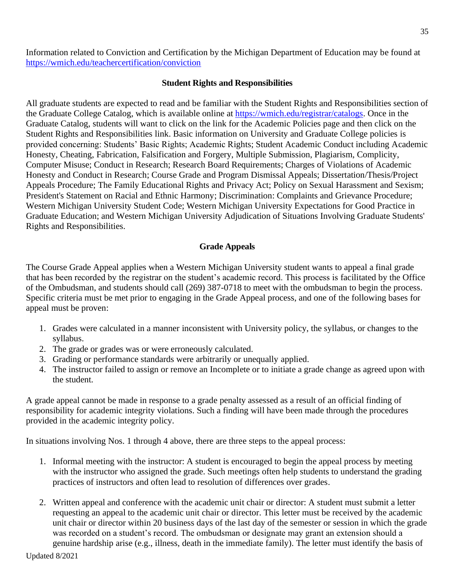Information related to Conviction and Certification by the Michigan Department of Education may be found at <https://wmich.edu/teachercertification/conviction>

#### **Student Rights and Responsibilities**

<span id="page-39-0"></span>All graduate students are expected to read and be familiar with the Student Rights and Responsibilities section of the Graduate College Catalog, which is available online at [https://wmich.edu/registrar/catalogs.](https://wmich.edu/registrar/catalogs) Once in the Graduate Catalog, students will want to click on the link for the Academic Policies page and then click on the Student Rights and Responsibilities link. Basic information on University and Graduate College policies is provided concerning: Students' Basic Rights; Academic Rights; Student Academic Conduct including Academic Honesty, Cheating, Fabrication, Falsification and Forgery, Multiple Submission, Plagiarism, Complicity, Computer Misuse; Conduct in Research; Research Board Requirements; Charges of Violations of Academic Honesty and Conduct in Research; Course Grade and Program Dismissal Appeals; Dissertation/Thesis/Project Appeals Procedure; The Family Educational Rights and Privacy Act; Policy on Sexual Harassment and Sexism; President's Statement on Racial and Ethnic Harmony; Discrimination: Complaints and Grievance Procedure; Western Michigan University Student Code; Western Michigan University Expectations for Good Practice in Graduate Education; and Western Michigan University Adjudication of Situations Involving Graduate Students' Rights and Responsibilities.

## **Grade Appeals**

<span id="page-39-1"></span>The Course Grade Appeal applies when a Western Michigan University student wants to appeal a final grade that has been recorded by the registrar on the student's academic record. This process is facilitated by the Office of the Ombudsman, and students should call (269) 387-0718 to meet with the ombudsman to begin the process. Specific criteria must be met prior to engaging in the Grade Appeal process, and one of the following bases for appeal must be proven:

- 1. Grades were calculated in a manner inconsistent with University policy, the syllabus, or changes to the syllabus.
- 2. The grade or grades was or were erroneously calculated.
- 3. Grading or performance standards were arbitrarily or unequally applied.
- 4. The instructor failed to assign or remove an Incomplete or to initiate a grade change as agreed upon with the student.

A grade appeal cannot be made in response to a grade penalty assessed as a result of an official finding of responsibility for academic integrity violations. Such a finding will have been made through the procedures provided in the academic integrity policy.

In situations involving Nos. 1 through 4 above, there are three steps to the appeal process:

- 1. Informal meeting with the instructor: A student is encouraged to begin the appeal process by meeting with the instructor who assigned the grade. Such meetings often help students to understand the grading practices of instructors and often lead to resolution of differences over grades.
- 2. Written appeal and conference with the academic unit chair or director: A student must submit a letter requesting an appeal to the academic unit chair or director. This letter must be received by the academic unit chair or director within 20 business days of the last day of the semester or session in which the grade was recorded on a student's record. The ombudsman or designate may grant an extension should a genuine hardship arise (e.g., illness, death in the immediate family). The letter must identify the basis of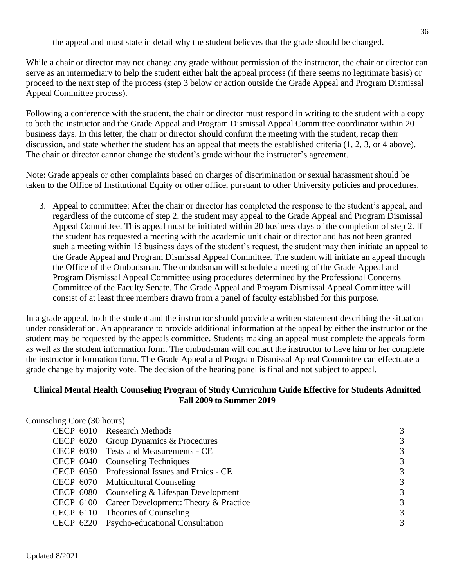the appeal and must state in detail why the student believes that the grade should be changed.

While a chair or director may not change any grade without permission of the instructor, the chair or director can serve as an intermediary to help the student either halt the appeal process (if there seems no legitimate basis) or proceed to the next step of the process (step 3 below or action outside the Grade Appeal and Program Dismissal Appeal Committee process).

Following a conference with the student, the chair or director must respond in writing to the student with a copy to both the instructor and the Grade Appeal and Program Dismissal Appeal Committee coordinator within 20 business days. In this letter, the chair or director should confirm the meeting with the student, recap their discussion, and state whether the student has an appeal that meets the established criteria (1, 2, 3, or 4 above). The chair or director cannot change the student's grade without the instructor's agreement.

Note: Grade appeals or other complaints based on charges of discrimination or sexual harassment should be taken to the Office of Institutional Equity or other office, pursuant to other University policies and procedures.

3. Appeal to committee: After the chair or director has completed the response to the student's appeal, and regardless of the outcome of step 2, the student may appeal to the Grade Appeal and Program Dismissal Appeal Committee. This appeal must be initiated within 20 business days of the completion of step 2. If the student has requested a meeting with the academic unit chair or director and has not been granted such a meeting within 15 business days of the student's request, the student may then initiate an appeal to the Grade Appeal and Program Dismissal Appeal Committee. The student will initiate an appeal through the Office of the Ombudsman. The ombudsman will schedule a meeting of the Grade Appeal and Program Dismissal Appeal Committee using procedures determined by the Professional Concerns Committee of the Faculty Senate. The Grade Appeal and Program Dismissal Appeal Committee will consist of at least three members drawn from a panel of faculty established for this purpose.

In a grade appeal, both the student and the instructor should provide a written statement describing the situation under consideration. An appearance to provide additional information at the appeal by either the instructor or the student may be requested by the appeals committee. Students making an appeal must complete the appeals form as well as the student information form. The ombudsman will contact the instructor to have him or her complete the instructor information form. The Grade Appeal and Program Dismissal Appeal Committee can effectuate a grade change by majority vote. The decision of the hearing panel is final and not subject to appeal.

#### <span id="page-40-0"></span>**Clinical Mental Health Counseling Program of Study Curriculum Guide Effective for Students Admitted Fall 2009 to Summer 2019**

| Counseling Core (30 hours) |                                                 |   |
|----------------------------|-------------------------------------------------|---|
|                            | CECP 6010 Research Methods                      | 3 |
|                            | CECP 6020 Group Dynamics & Procedures           | 3 |
|                            | CECP 6030 Tests and Measurements - CE           | 3 |
|                            | CECP 6040 Counseling Techniques                 | 3 |
|                            | CECP 6050 Professional Issues and Ethics - CE   | 3 |
|                            | CECP 6070 Multicultural Counseling              | 3 |
|                            | CECP 6080 Counseling & Lifespan Development     | 3 |
|                            | CECP 6100 Career Development: Theory & Practice | 3 |
|                            | CECP 6110 Theories of Counseling                | 3 |
|                            | CECP 6220 Psycho-educational Consultation       | 3 |
|                            |                                                 |   |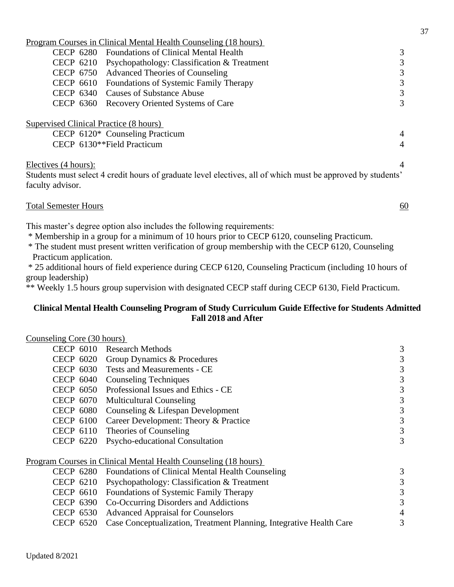|                                          | Program Courses in Clinical Mental Health Counseling (18 hours)                                             |   |
|------------------------------------------|-------------------------------------------------------------------------------------------------------------|---|
|                                          | CECP 6280 Foundations of Clinical Mental Health                                                             |   |
| CECP 6210                                | Psychopathology: Classification & Treatment                                                                 |   |
|                                          | CECP 6750 Advanced Theories of Counseling                                                                   | 3 |
|                                          | CECP 6610 Foundations of Systemic Family Therapy                                                            |   |
|                                          | CECP 6340 Causes of Substance Abuse                                                                         |   |
|                                          | CECP 6360 Recovery Oriented Systems of Care                                                                 |   |
| Supervised Clinical Practice (8 hours)   | CECP 6120* Counseling Practicum<br>CECP 6130**Field Practicum                                               |   |
| Electives (4 hours):<br>faculty advisor. | Students must select 4 credit hours of graduate level electives, all of which must be approved by students' |   |

| <b>Total Semester Hours</b> |  |
|-----------------------------|--|
|-----------------------------|--|

This master's degree option also includes the following requirements:

\* Membership in a group for a minimum of 10 hours prior to CECP 6120, counseling Practicum.

\* The student must present written verification of group membership with the CECP 6120, Counseling Practicum application.

\* 25 additional hours of field experience during CECP 6120, Counseling Practicum (including 10 hours of group leadership)

\*\* Weekly 1.5 hours group supervision with designated CECP staff during CECP 6130, Field Practicum.

## <span id="page-41-0"></span>**Clinical Mental Health Counseling Program of Study Curriculum Guide Effective for Students Admitted Fall 2018 and After**

## Counseling Core (30 hours)

| <b>CECP 6010</b> | <b>Research Methods</b>                                                | 3 |
|------------------|------------------------------------------------------------------------|---|
| CECP 6020        | Group Dynamics & Procedures                                            | 3 |
| CECP 6030        | <b>Tests and Measurements - CE</b>                                     | 3 |
| CECP 6040        | <b>Counseling Techniques</b>                                           | 3 |
| <b>CECP 6050</b> | Professional Issues and Ethics - CE                                    | 3 |
| CECP 6070        | <b>Multicultural Counseling</b>                                        | 3 |
| CECP 6080        | Counseling & Lifespan Development                                      | 3 |
| CECP 6100        | Career Development: Theory & Practice                                  | 3 |
| CECP 6110        | Theories of Counseling                                                 | 3 |
| CECP 6220        | Psycho-educational Consultation                                        | 3 |
|                  | <u>Program Courses in Clinical Mental Health Counseling (18 hours)</u> |   |
| CECP 6280        | <b>Foundations of Clinical Mental Health Counseling</b>                | 3 |
| CECP 6210        | Psychopathology: Classification & Treatment                            | 3 |
| CECP 6610        | Foundations of Systemic Family Therapy                                 | 3 |
| CECP 6390        | Co-Occurring Disorders and Addictions                                  | 3 |
| <b>CECP 6530</b> | <b>Advanced Appraisal for Counselors</b>                               | 4 |
| <b>CECP 6520</b> | Case Conceptualization, Treatment Planning, Integrative Health Care    | 3 |
|                  |                                                                        |   |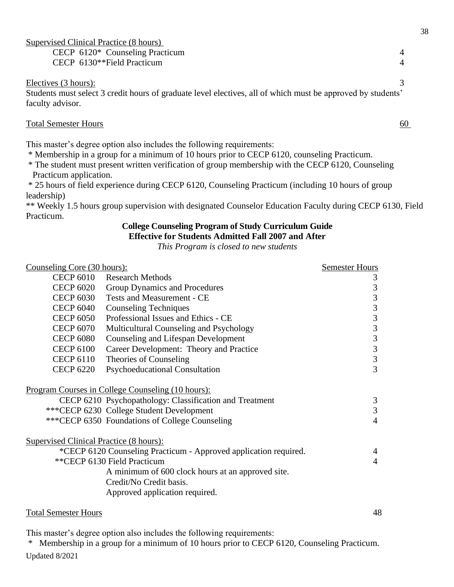| Supervised Clinical Practice (8 hours)                                                                      |   |
|-------------------------------------------------------------------------------------------------------------|---|
| CECP 6120* Counseling Practicum                                                                             |   |
| CECP 6130**Field Practicum                                                                                  | 4 |
|                                                                                                             |   |
| Electives (3 hours):                                                                                        |   |
| Students must select 3 credit hours of graduate level electives, all of which must be approved by students' |   |
| faculty advisor.                                                                                            |   |

#### Total Semester Hours 60

This master's degree option also includes the following requirements:

- \* Membership in a group for a minimum of 10 hours prior to CECP 6120, counseling Practicum.
- \* The student must present written verification of group membership with the CECP 6120, Counseling Practicum application.

\* 25 hours of field experience during CECP 6120, Counseling Practicum (including 10 hours of group leadership)

<span id="page-42-0"></span>\*\* Weekly 1.5 hours group supervision with designated Counselor Education Faculty during CECP 6130, Field Practicum.

#### **College Counseling Program of Study Curriculum Guide Effective for Students Admitted Fall 2007 and After**

*This Program is closed to new students* 

| Counseling Core (30 hours):                    |                                                                  | <b>Semester Hours</b> |
|------------------------------------------------|------------------------------------------------------------------|-----------------------|
| <b>CECP 6010</b>                               | <b>Research Methods</b>                                          | 3                     |
|                                                | CECP 6020 Group Dynamics and Procedures                          | $\mathfrak{Z}$        |
|                                                | CECP 6030 Tests and Measurement - CE                             | 3                     |
| <b>CECP 6040</b>                               | <b>Counseling Techniques</b>                                     | $\mathfrak{Z}$        |
| <b>CECP 6050</b>                               | Professional Issues and Ethics - CE                              | $\mathfrak{Z}$        |
| <b>CECP 6070</b>                               | Multicultural Counseling and Psychology                          | $\mathfrak{Z}$        |
| <b>CECP 6080</b>                               | <b>Counseling and Lifespan Development</b>                       | $\mathfrak{Z}$        |
| <b>CECP 6100</b>                               | Career Development: Theory and Practice                          | 3                     |
| <b>CECP 6110</b>                               | Theories of Counseling                                           | 3                     |
| <b>CECP 6220</b>                               | <b>Psychoeducational Consultation</b>                            | 3                     |
|                                                | <u><b>Program Courses in College Counseling (10 hours):</b></u>  |                       |
|                                                | CECP 6210 Psychopathology: Classification and Treatment          | 3                     |
|                                                | *** CECP 6230 College Student Development                        | 3                     |
|                                                | ***CECP 6350 Foundations of College Counseling                   | $\overline{4}$        |
| <b>Supervised Clinical Practice (8 hours):</b> |                                                                  |                       |
|                                                | *CECP 6120 Counseling Practicum - Approved application required. | 4                     |
|                                                | **CECP 6130 Field Practicum                                      | $\overline{4}$        |
|                                                | A minimum of 600 clock hours at an approved site.                |                       |
|                                                | Credit/No Credit basis.                                          |                       |
|                                                | Approved application required.                                   |                       |
|                                                |                                                                  |                       |

#### Total Semester Hours 48

This master's degree option also includes the following requirements:

Updated 8/2021 \* Membership in a group for a minimum of 10 hours prior to CECP 6120, Counseling Practicum.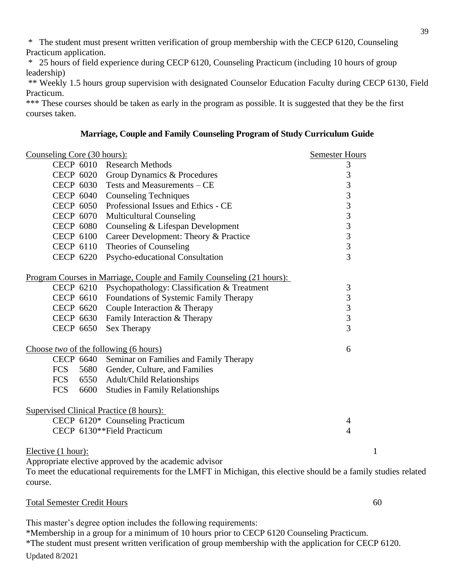\* The student must present written verification of group membership with the CECP 6120, Counseling Practicum application.

\* 25 hours of field experience during CECP 6120, Counseling Practicum (including 10 hours of group leadership)

\*\* Weekly 1.5 hours group supervision with designated Counselor Education Faculty during CECP 6130, Field Practicum.

\*\*\* These courses should be taken as early in the program as possible. It is suggested that they be the first courses taken.

#### **Marriage, Couple and Family Counseling Program of Study Curriculum Guide**

<span id="page-43-0"></span>

| Counseling Core (30 hours):                    |                                                                       | <b>Semester Hours</b>                           |
|------------------------------------------------|-----------------------------------------------------------------------|-------------------------------------------------|
|                                                | CECP 6010 Research Methods                                            | $\mathfrak{Z}$                                  |
|                                                | CECP 6020 Group Dynamics & Procedures                                 |                                                 |
|                                                | CECP 6030 Tests and Measurements – CE                                 | $\frac{3}{3}$                                   |
|                                                | CECP 6040 Counseling Techniques                                       | $\overline{\mathbf{3}}$                         |
|                                                | CECP 6050 Professional Issues and Ethics - CE                         | $\begin{array}{c} 3 \\ 3 \\ 3 \\ 3 \end{array}$ |
|                                                | CECP 6070 Multicultural Counseling                                    |                                                 |
|                                                | CECP 6080 Counseling & Lifespan Development                           |                                                 |
| <b>CECP 6100</b>                               | Career Development: Theory & Practice                                 |                                                 |
|                                                | CECP 6110 Theories of Counseling                                      |                                                 |
|                                                | CECP 6220 Psycho-educational Consultation                             | $\overline{3}$                                  |
|                                                | Program Courses in Marriage, Couple and Family Counseling (21 hours): |                                                 |
|                                                | CECP 6210 Psychopathology: Classification & Treatment                 | 3                                               |
|                                                | CECP 6610 Foundations of Systemic Family Therapy                      | $\mathfrak{Z}$                                  |
|                                                | CECP 6620 Couple Interaction & Therapy                                | $\frac{3}{3}$                                   |
|                                                | CECP 6630 Family Interaction & Therapy                                |                                                 |
| CECP 6650                                      | Sex Therapy                                                           | $\overline{3}$                                  |
| Choose two of the following (6 hours)          |                                                                       | 6                                               |
|                                                | CECP 6640 Seminar on Families and Family Therapy                      |                                                 |
|                                                | FCS 5680 Gender, Culture, and Families                                |                                                 |
|                                                | FCS 6550 Adult/Child Relationships                                    |                                                 |
| FCS                                            | 6600 Studies in Family Relationships                                  |                                                 |
| <b>Supervised Clinical Practice (8 hours):</b> |                                                                       |                                                 |
|                                                | CECP 6120* Counseling Practicum                                       | 4                                               |
|                                                | CECP 6130**Field Practicum                                            | $\overline{4}$                                  |
| Elective (1 hour):                             |                                                                       | $\mathbf{1}$                                    |
|                                                | Appropriate elective approved by the academic advisor                 |                                                 |

To meet the educational requirements for the LMFT in Michigan, this elective should be a family studies related course.

Total Semester Credit Hours 60

This master's degree option includes the following requirements:

Updated 8/2021 \*Membership in a group for a minimum of 10 hours prior to CECP 6120 Counseling Practicum. \*The student must present written verification of group membership with the application for CECP 6120.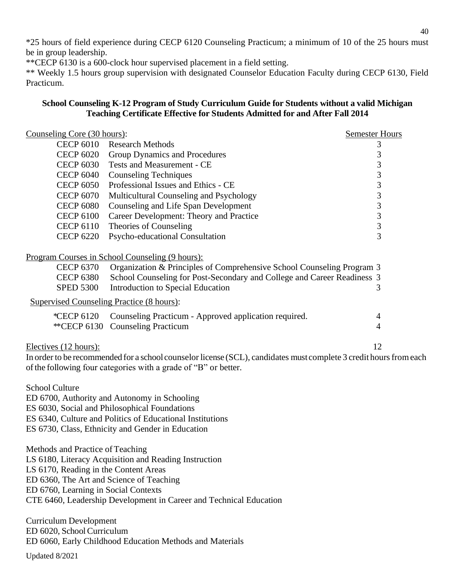\*25 hours of field experience during CECP 6120 Counseling Practicum; a minimum of 10 of the 25 hours must be in group leadership.

\*\*CECP 6130 is a 600-clock hour supervised placement in a field setting.

\*\* Weekly 1.5 hours group supervision with designated Counselor Education Faculty during CECP 6130, Field Practicum.

## <span id="page-44-0"></span>**School Counseling K-12 Program of Study Curriculum Guide for Students without a valid Michigan Teaching Certificate Effective for Students Admitted for and After Fall 2014**

| Counseling Core (30 hours):              |                                                                                                                                                                                       | <b>Semester Hours</b> |
|------------------------------------------|---------------------------------------------------------------------------------------------------------------------------------------------------------------------------------------|-----------------------|
| <b>CECP 6010</b>                         | <b>Research Methods</b>                                                                                                                                                               | 3                     |
| <b>CECP 6020</b>                         | <b>Group Dynamics and Procedures</b>                                                                                                                                                  | 3                     |
| <b>CECP 6030</b>                         | <b>Tests and Measurement - CE</b>                                                                                                                                                     | 3                     |
| <b>CECP 6040</b>                         | <b>Counseling Techniques</b>                                                                                                                                                          | 3                     |
| <b>CECP 6050</b>                         | Professional Issues and Ethics - CE                                                                                                                                                   | 3                     |
| <b>CECP 6070</b>                         | Multicultural Counseling and Psychology                                                                                                                                               | 3                     |
| <b>CECP 6080</b>                         | Counseling and Life Span Development                                                                                                                                                  | 3                     |
| <b>CECP 6100</b>                         | Career Development: Theory and Practice                                                                                                                                               | $\frac{3}{3}$         |
| <b>CECP 6110</b>                         | Theories of Counseling                                                                                                                                                                |                       |
| <b>CECP 6220</b>                         | Psycho-educational Consultation                                                                                                                                                       | $\overline{3}$        |
|                                          | Program Courses in School Counseling (9 hours):                                                                                                                                       |                       |
| <b>CECP 6370</b>                         | Organization & Principles of Comprehensive School Counseling Program 3                                                                                                                |                       |
| <b>CECP 6380</b>                         | School Counseling for Post-Secondary and College and Career Readiness 3                                                                                                               |                       |
| <b>SPED 5300</b>                         | Introduction to Special Education                                                                                                                                                     | 3                     |
|                                          | <b>Supervised Counseling Practice (8 hours):</b>                                                                                                                                      |                       |
| *CECP 6120                               | Counseling Practicum - Approved application required.                                                                                                                                 | 4                     |
|                                          | ** CECP 6130 Counseling Practicum                                                                                                                                                     | 4                     |
| Electives (12 hours):                    |                                                                                                                                                                                       | 12                    |
|                                          | In order to be recommended for a school counselor license (SCL), candidates must complete 3 credit hours from each<br>of the following four categories with a grade of "B" or better. |                       |
|                                          |                                                                                                                                                                                       |                       |
| <b>School Culture</b>                    |                                                                                                                                                                                       |                       |
|                                          | ED 6700, Authority and Autonomy in Schooling                                                                                                                                          |                       |
|                                          | ES 6030, Social and Philosophical Foundations                                                                                                                                         |                       |
|                                          | ES 6340, Culture and Politics of Educational Institutions                                                                                                                             |                       |
|                                          | ES 6730, Class, Ethnicity and Gender in Education                                                                                                                                     |                       |
| Methods and Practice of Teaching         |                                                                                                                                                                                       |                       |
|                                          | LS 6180, Literacy Acquisition and Reading Instruction                                                                                                                                 |                       |
| LS 6170, Reading in the Content Areas    |                                                                                                                                                                                       |                       |
| ED 6360, The Art and Science of Teaching |                                                                                                                                                                                       |                       |
| ED 6760, Learning in Social Contexts     |                                                                                                                                                                                       |                       |
|                                          | CTE 6460, Leadership Development in Career and Technical Education                                                                                                                    |                       |
| <b>Curriculum Development</b>            |                                                                                                                                                                                       |                       |
| ED 6020, School Curriculum               |                                                                                                                                                                                       |                       |
|                                          | ED 6060, Early Childhood Education Methods and Materials                                                                                                                              |                       |

Updated 8/2021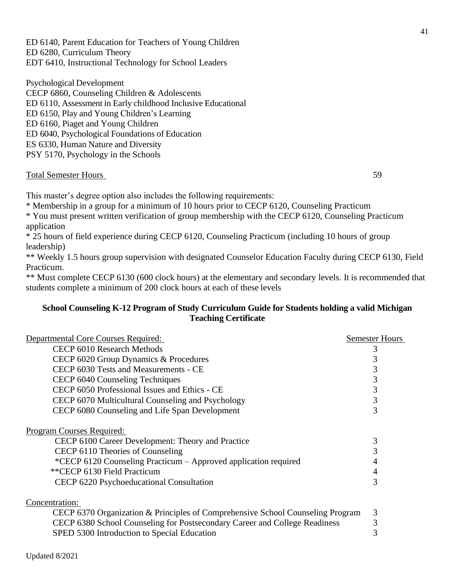ED 6140, Parent Education for Teachers of Young Children ED 6280, Curriculum Theory EDT 6410, Instructional Technology for School Leaders

Psychological Development CECP 6860, Counseling Children & Adolescents ED 6110, Assessment in Early childhood Inclusive Educational ED 6150, Play and Young Children's Learning ED 6160, Piaget and Young Children ED 6040, Psychological Foundations of Education ES 6330, Human Nature and Diversity PSY 5170, Psychology in the Schools

#### Total Semester Hours 59

This master's degree option also includes the following requirements:

\* Membership in a group for a minimum of 10 hours prior to CECP 6120, Counseling Practicum

\* You must present written verification of group membership with the CECP 6120, Counseling Practicum application

\* 25 hours of field experience during CECP 6120, Counseling Practicum (including 10 hours of group leadership)

\*\* Weekly 1.5 hours group supervision with designated Counselor Education Faculty during CECP 6130, Field Practicum.

\*\* Must complete CECP 6130 (600 clock hours) at the elementary and secondary levels. It is recommended that students complete a minimum of 200 clock hours at each of these levels

## <span id="page-45-0"></span>**School Counseling K-12 Program of Study Curriculum Guide for Students holding a valid Michigan Teaching Certificate**

| <b>Departmental Core Courses Required:</b>                                     | <b>Semester Hours</b> |
|--------------------------------------------------------------------------------|-----------------------|
| CECP 6010 Research Methods                                                     | 3                     |
| CECP 6020 Group Dynamics & Procedures                                          | 3                     |
| CECP 6030 Tests and Measurements - CE                                          | 3                     |
| CECP 6040 Counseling Techniques                                                | 3                     |
| CECP 6050 Professional Issues and Ethics - CE                                  | 3                     |
| CECP 6070 Multicultural Counseling and Psychology                              | 3                     |
| CECP 6080 Counseling and Life Span Development                                 | 3                     |
| <b>Program Courses Required:</b>                                               |                       |
| CECP 6100 Career Development: Theory and Practice                              | 3                     |
| CECP 6110 Theories of Counseling                                               | 3                     |
| *CECP 6120 Counseling Practicum - Approved application required                | 4                     |
| **CECP 6130 Field Practicum                                                    | 4                     |
| CECP 6220 Psychoeducational Consultation                                       | 3                     |
| Concentration:                                                                 |                       |
| CECP 6370 Organization & Principles of Comprehensive School Counseling Program | 3                     |
| CECP 6380 School Counseling for Postsecondary Career and College Readiness     | 3                     |
| SPED 5300 Introduction to Special Education                                    | 3                     |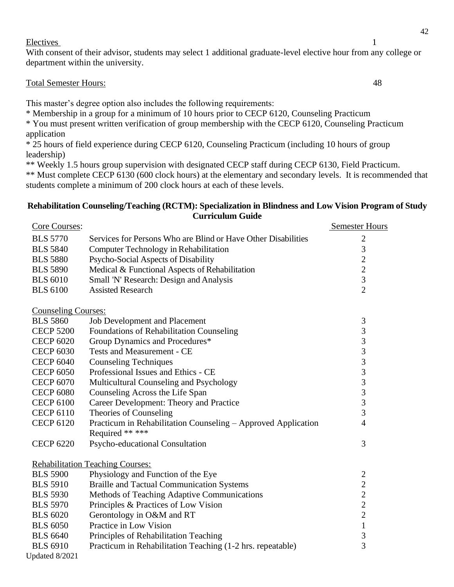#### Electives 1

With consent of their advisor, students may select 1 additional graduate-level elective hour from any college or department within the university.

#### Total Semester Hours: 48

This master's degree option also includes the following requirements:

\* Membership in a group for a minimum of 10 hours prior to CECP 6120, Counseling Practicum

\* You must present written verification of group membership with the CECP 6120, Counseling Practicum application

\* 25 hours of field experience during CECP 6120, Counseling Practicum (including 10 hours of group leadership)

\*\* Weekly 1.5 hours group supervision with designated CECP staff during CECP 6130, Field Practicum.

\*\* Must complete CECP 6130 (600 clock hours) at the elementary and secondary levels. It is recommended that students complete a minimum of 200 clock hours at each of these levels.

#### <span id="page-46-0"></span>**Rehabilitation Counseling/Teaching (RCTM): Specialization in Blindness and Low Vision Program of Study Curriculum Guide**

| Core Courses:              |                                                               | <b>Semester Hours</b>                      |
|----------------------------|---------------------------------------------------------------|--------------------------------------------|
| <b>BLS 5770</b>            | Services for Persons Who are Blind or Have Other Disabilities | $\overline{c}$                             |
| <b>BLS 5840</b>            | Computer Technology in Rehabilitation                         | 3                                          |
| <b>BLS 5880</b>            | Psycho-Social Aspects of Disability                           | $\overline{c}$                             |
| <b>BLS 5890</b>            | Medical & Functional Aspects of Rehabilitation                | $\overline{c}$                             |
| <b>BLS 6010</b>            | Small 'N' Research: Design and Analysis                       | $\overline{3}$                             |
| <b>BLS 6100</b>            | <b>Assisted Research</b>                                      | $\overline{2}$                             |
| <b>Counseling Courses:</b> |                                                               |                                            |
| <b>BLS 5860</b>            | <b>Job Development and Placement</b>                          | $\mathfrak{Z}$                             |
| <b>CECP 5200</b>           | Foundations of Rehabilitation Counseling                      | 3                                          |
| <b>CECP 6020</b>           | Group Dynamics and Procedures*                                | $\overline{\mathbf{3}}$                    |
| <b>CECP 6030</b>           | <b>Tests and Measurement - CE</b>                             | 3                                          |
| <b>CECP 6040</b>           | <b>Counseling Techniques</b>                                  | $\overline{3}$                             |
| <b>CECP 6050</b>           | Professional Issues and Ethics - CE                           |                                            |
| <b>CECP 6070</b>           | Multicultural Counseling and Psychology                       | $\begin{array}{c} 3 \\ 3 \\ 3 \end{array}$ |
| <b>CECP 6080</b>           | Counseling Across the Life Span                               |                                            |
| <b>CECP 6100</b>           | Career Development: Theory and Practice                       | $\overline{3}$                             |
| <b>CECP 6110</b>           | Theories of Counseling                                        | $\overline{3}$                             |
| <b>CECP 6120</b>           | Practicum in Rehabilitation Counseling - Approved Application | $\overline{4}$                             |
|                            | Required ** ***                                               |                                            |
| <b>CECP 6220</b>           | Psycho-educational Consultation                               | 3                                          |
|                            | <b>Rehabilitation Teaching Courses:</b>                       |                                            |
| <b>BLS 5900</b>            | Physiology and Function of the Eye                            | $\overline{c}$                             |
| <b>BLS 5910</b>            | <b>Braille and Tactual Communication Systems</b>              | $\overline{2}$                             |
| <b>BLS 5930</b>            | Methods of Teaching Adaptive Communications                   |                                            |
| <b>BLS 5970</b>            | Principles & Practices of Low Vision                          | $\frac{2}{2}$                              |
| <b>BLS 6020</b>            | Gerontology in O&M and RT                                     | $\overline{2}$                             |
| <b>BLS 6050</b>            | Practice in Low Vision                                        | $\mathbf{1}$                               |
| <b>BLS</b> 6640            | Principles of Rehabilitation Teaching                         | $\overline{\mathbf{3}}$                    |
| <b>BLS 6910</b>            | Practicum in Rehabilitation Teaching (1-2 hrs. repeatable)    | 3                                          |
| Updated 8/2021             |                                                               |                                            |

42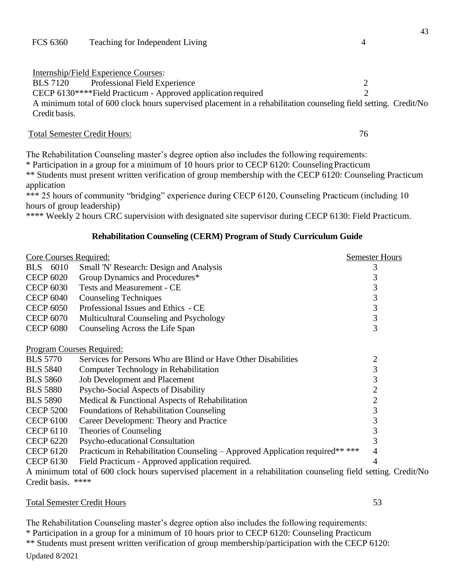Internship/Field Experience Courses:

BLS 7120 Professional Field Experience 2

CECP 6130\*\*\*\*Field Practicum - Approved application required 2

A minimum total of 600 clock hours supervised placement in a rehabilitation counseling field setting. Credit/No Credit basis.

#### Total Semester Credit Hours: 76

The Rehabilitation Counseling master's degree option also includes the following requirements:

\* Participation in a group for a minimum of 10 hours prior to CECP 6120: CounselingPracticum \*\* Students must present written verification of group membership with the CECP 6120: Counseling Practicum application

\*\*\* 25 hours of community "bridging" experience during CECP 6120, Counseling Practicum (including 10 hours of group leadership)

\*\*\*\* Weekly 2 hours CRC supervision with designated site supervisor during CECP 6130: Field Practicum.

#### **Rehabilitation Counseling (CERM) Program of Study Curriculum Guide**

<span id="page-47-0"></span>

| <b>Core Courses Required:</b>    |                                                                              | <b>Semester Hours</b> |
|----------------------------------|------------------------------------------------------------------------------|-----------------------|
| BLS 6010                         | Small 'N' Research: Design and Analysis                                      |                       |
| <b>CECP 6020</b>                 | Group Dynamics and Procedures*                                               |                       |
| <b>CECP 6030</b>                 | <b>Tests and Measurement - CE</b>                                            | 3                     |
| <b>CECP 6040</b>                 | <b>Counseling Techniques</b>                                                 | 3                     |
| <b>CECP 6050</b>                 | Professional Issues and Ethics - CE                                          | 3                     |
| <b>CECP 6070</b>                 | Multicultural Counseling and Psychology                                      | 3                     |
| <b>CECP 6080</b>                 | Counseling Across the Life Span                                              | 3                     |
|                                  |                                                                              |                       |
| <u>Program Courses Required:</u> |                                                                              |                       |
| <b>BLS 5770</b>                  | Services for Persons Who are Blind or Have Other Disabilities                | $\overline{c}$        |
| <b>BLS 5840</b>                  | Computer Technology in Rehabilitation                                        | 3                     |
| <b>BLS 5860</b>                  | <b>Job Development and Placement</b>                                         | 3                     |
| <b>BLS 5880</b>                  | Psycho-Social Aspects of Disability                                          | 2                     |
| <b>BLS 5890</b>                  | Medical & Functional Aspects of Rehabilitation                               | $\overline{2}$        |
| <b>CECP 5200</b>                 | Foundations of Rehabilitation Counseling                                     | 3                     |
| <b>CECP 6100</b>                 | Career Development: Theory and Practice                                      | 3                     |
| <b>CECP 6110</b>                 | Theories of Counseling                                                       |                       |
| <b>CECP 6220</b>                 | Psycho-educational Consultation                                              |                       |
| <b>CECP 6120</b>                 | Practicum in Rehabilitation Counseling - Approved Application required** *** | 4                     |
| <b>CECP 6130</b>                 | Field Practicum - Approved application required.                             |                       |
|                                  |                                                                              |                       |

A minimum total of 600 clock hours supervised placement in a rehabilitation counseling field setting. Credit/No Credit basis. \*\*\*\*

#### Total Semester Credit Hours 53

Updated 8/2021 The Rehabilitation Counseling master's degree option also includes the following requirements: \* Participation in a group for a minimum of 10 hours prior to CECP 6120: Counseling Practicum \*\* Students must present written verification of group membership/participation with the CECP 6120: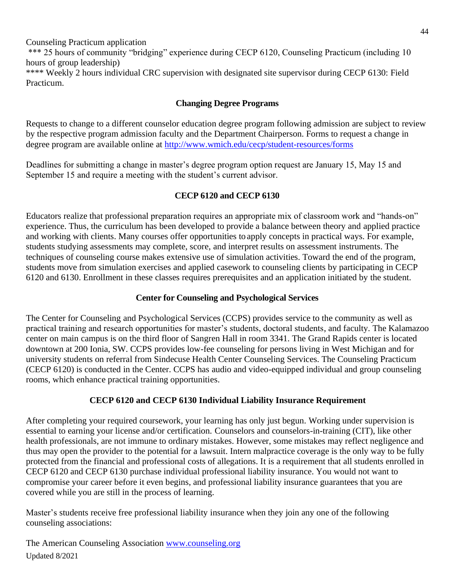Counseling Practicum application \*\*\* 25 hours of community "bridging" experience during CECP 6120, Counseling Practicum (including 10 hours of group leadership) \*\*\*\* Weekly 2 hours individual CRC supervision with designated site supervisor during CECP 6130: Field Practicum.

## **Changing Degree Programs**

<span id="page-48-0"></span>Requests to change to a different counselor education degree program following admission are subject to review by the respective program admission faculty and the Department Chairperson. Forms to request a change in degree program are available online at<http://www.wmich.edu/cecp/student-resources/forms>

Deadlines for submitting a change in master's degree program option request are January 15, May 15 and September 15 and require a meeting with the student's current advisor.

## **CECP 6120 and CECP 6130**

<span id="page-48-1"></span>Educators realize that professional preparation requires an appropriate mix of classroom work and "hands-on" experience. Thus, the curriculum has been developed to provide a balance between theory and applied practice and working with clients. Many courses offer opportunities to apply concepts in practical ways. For example, students studying assessments may complete, score, and interpret results on assessment instruments. The techniques of counseling course makes extensive use of simulation activities. Toward the end of the program, students move from simulation exercises and applied casework to counseling clients by participating in CECP 6120 and 6130. Enrollment in these classes requires prerequisites and an application initiated by the student.

## **Center for Counseling and Psychological Services**

<span id="page-48-2"></span>The Center for Counseling and Psychological Services (CCPS) provides service to the community as well as practical training and research opportunities for master's students, doctoral students, and faculty. The Kalamazoo center on main campus is on the third floor of Sangren Hall in room 3341. The Grand Rapids center is located downtown at 200 Ionia, SW. CCPS provides low-fee counseling for persons living in West Michigan and for university students on referral from Sindecuse Health Center Counseling Services. The Counseling Practicum (CECP 6120) is conducted in the Center. CCPS has audio and video-equipped individual and group counseling rooms, which enhance practical training opportunities.

## **CECP 6120 and CECP 6130 Individual Liability Insurance Requirement**

After completing your required coursework, your learning has only just begun. Working under supervision is essential to earning your license and/or certification. Counselors and counselors-in-training (CIT), like other health professionals, are not immune to ordinary mistakes. However, some mistakes may reflect negligence and thus may open the provider to the potential for a lawsuit. Intern malpractice coverage is the only way to be fully protected from the financial and professional costs of allegations. It is a requirement that all students enrolled in CECP 6120 and CECP 6130 purchase individual professional liability insurance. You would not want to compromise your career before it even begins, and professional liability insurance guarantees that you are covered while you are still in the process of learning.

Master's students receive free professional liability insurance when they join any one of the following counseling associations:

Updated 8/2021 The American Counseling Association [www.counseling.org](http://www.counseling.org/)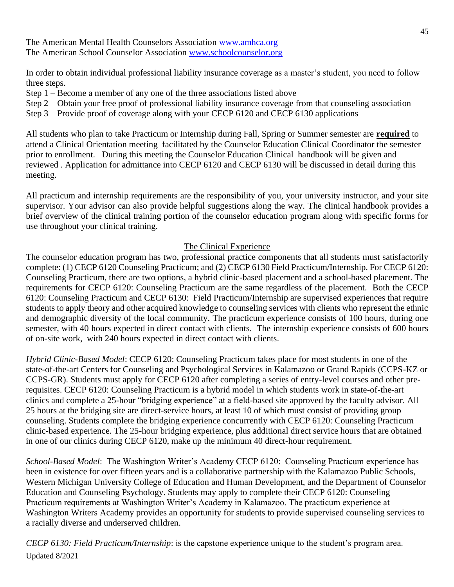The American Mental Health Counselors Association [www.amhca.org](http://www.amhca.org/) The American School Counselor Association [www.schoolcounselor.org](http://www.schoolcounselor.org/)

In order to obtain individual professional liability insurance coverage as a master's student, you need to follow three steps.

- Step 1 Become a member of any one of the three associations listed above
- Step 2 Obtain your free proof of professional liability insurance coverage from that counseling association
- Step 3 Provide proof of coverage along with your CECP 6120 and CECP 6130 applications

All students who plan to take Practicum or Internship during Fall, Spring or Summer semester are **required** to attend a Clinical Orientation meeting facilitated by the Counselor Education Clinical Coordinator the semester prior to enrollment. During this meeting the Counselor Education Clinical handbook will be given and reviewed . Application for admittance into CECP 6120 and CECP 6130 will be discussed in detail during this meeting.

All practicum and internship requirements are the responsibility of you, your university instructor, and your site supervisor. Your advisor can also provide helpful suggestions along the way. The clinical handbook provides a brief overview of the clinical training portion of the counselor education program along with specific forms for use throughout your clinical training.

#### The Clinical Experience

The counselor education program has two, professional practice components that all students must satisfactorily complete: (1) CECP 6120 Counseling Practicum; and (2) CECP 6130 Field Practicum/Internship. For CECP 6120: Counseling Practicum, there are two options, a hybrid clinic-based placement and a school-based placement. The requirements for CECP 6120: Counseling Practicum are the same regardless of the placement. Both the CECP 6120: Counseling Practicum and CECP 6130: Field Practicum/Internship are supervised experiences that require students to apply theory and other acquired knowledge to counseling services with clients who represent the ethnic and demographic diversity of the local community. The practicum experience consists of 100 hours, during one semester, with 40 hours expected in direct contact with clients. The internship experience consists of 600 hours of on-site work, with 240 hours expected in direct contact with clients.

*Hybrid Clinic-Based Model*: CECP 6120: Counseling Practicum takes place for most students in one of the state-of-the-art Centers for Counseling and Psychological Services in Kalamazoo or Grand Rapids (CCPS-KZ or CCPS-GR). Students must apply for CECP 6120 after completing a series of entry-level courses and other prerequisites. CECP 6120: Counseling Practicum is a hybrid model in which students work in state-of-the-art clinics and complete a 25-hour "bridging experience" at a field-based site approved by the faculty advisor. All 25 hours at the bridging site are direct-service hours, at least 10 of which must consist of providing group counseling. Students complete the bridging experience concurrently with CECP 6120: Counseling Practicum clinic-based experience. The 25-hour bridging experience, plus additional direct service hours that are obtained in one of our clinics during CECP 6120, make up the minimum 40 direct-hour requirement.

*School-Based Model*: The Washington Writer's Academy CECP 6120: Counseling Practicum experience has been in existence for over fifteen years and is a collaborative partnership with the Kalamazoo Public Schools, Western Michigan University College of Education and Human Development, and the Department of Counselor Education and Counseling Psychology. Students may apply to complete their CECP 6120: Counseling Practicum requirements at Washington Writer's Academy in Kalamazoo. The practicum experience at Washington Writers Academy provides an opportunity for students to provide supervised counseling services to a racially diverse and underserved children.

Updated 8/2021 *CECP 6130: Field Practicum/Internship*: is the capstone experience unique to the student's program area.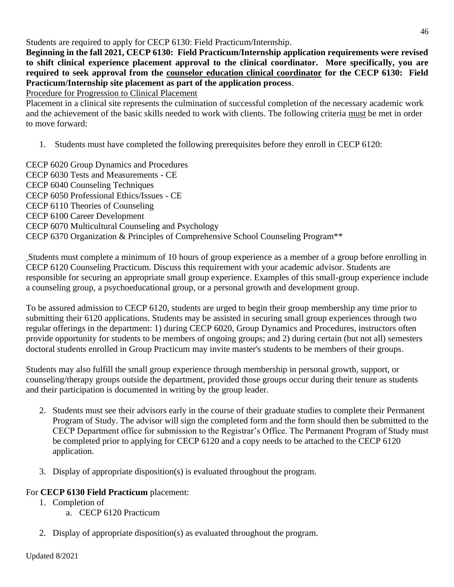Students are required to apply for CECP 6130: Field Practicum/Internship.

**Beginning in the fall 2021, CECP 6130: Field Practicum/Internship application requirements were revised to shift clinical experience placement approval to the clinical coordinator. More specifically, you are required to seek approval from the counselor education clinical coordinator for the CECP 6130: Field Practicum/Internship site placement as part of the application process**.

Procedure for Progression to Clinical Placement

Placement in a clinical site represents the culmination of successful completion of the necessary academic work and the achievement of the basic skills needed to work with clients. The following criteria must be met in order to move forward:

1. Students must have completed the following prerequisites before they enroll in CECP 6120:

CECP 6020 Group Dynamics and Procedures CECP 6030 Tests and Measurements - CE CECP 6040 Counseling Techniques CECP 6050 Professional Ethics/Issues - CE CECP 6110 Theories of Counseling CECP 6100 Career Development CECP 6070 Multicultural Counseling and Psychology CECP 6370 Organization & Principles of Comprehensive School Counseling Program\*\*

Students must complete a minimum of 10 hours of group experience as a member of a group before enrolling in CECP 6120 Counseling Practicum. Discuss this requirement with your academic advisor. Students are responsible for securing an appropriate small group experience. Examples of this small-group experience include a counseling group, a psychoeducational group, or a personal growth and development group.

To be assured admission to CECP 6120, students are urged to begin their group membership any time prior to submitting their 6120 applications. Students may be assisted in securing small group experiences through two regular offerings in the department: 1) during CECP 6020, Group Dynamics and Procedures, instructors often provide opportunity for students to be members of ongoing groups; and 2) during certain (but not all) semesters doctoral students enrolled in Group Practicum may invite master's students to be members of their groups.

Students may also fulfill the small group experience through membership in personal growth, support, or counseling/therapy groups outside the department, provided those groups occur during their tenure as students and their participation is documented in writing by the group leader.

- 2. Students must see their advisors early in the course of their graduate studies to complete their Permanent Program of Study. The advisor will sign the completed form and the form should then be submitted to the CECP Department office for submission to the Registrar's Office. The Permanent Program of Study must be completed prior to applying for CECP 6120 and a copy needs to be attached to the CECP 6120 application.
- 3. Display of appropriate disposition(s) is evaluated throughout the program.

## For **CECP 6130 Field Practicum** placement:

- 1. Completion of
	- a. CECP 6120 Practicum
- 2. Display of appropriate disposition(s) as evaluated throughout the program.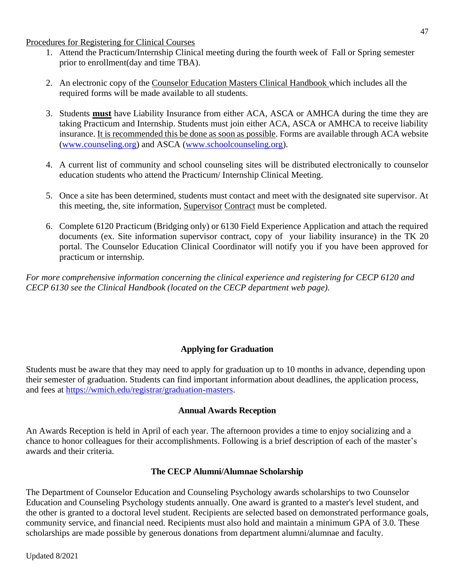Procedures for Registering for Clinical Courses

- 1. Attend the Practicum/Internship Clinical meeting during the fourth week of Fall or Spring semester prior to enrollment(day and time TBA).
- 2. An electronic copy of the Counselor Education Masters Clinical Handbook which includes all the required forms will be made available to all students.
- 3. Students **must** have Liability Insurance from either ACA, ASCA or AMHCA during the time they are taking Practicum and Internship. Students must join either ACA, ASCA or AMHCA to receive liability insurance. It is recommended this be done as soon as possible. Forms are available through ACA website [\(www.counseling.org\)](http://www.counseling.org/) and ASCA [\(www.schoolcounseling.org\)](http://www.schoolcounseling.org/).
- 4. A current list of community and school counseling sites will be distributed electronically to counselor education students who attend the Practicum/ Internship Clinical Meeting.
- 5. Once a site has been determined, students must contact and meet with the designated site supervisor. At this meeting, the, site information, Supervisor Contract must be completed.
- 6. Complete 6120 Practicum (Bridging only) or 6130 Field Experience Application and attach the required documents (ex. Site information supervisor contract, copy of your liability insurance) in the TK 20 portal. The Counselor Education Clinical Coordinator will notify you if you have been approved for practicum or internship.

*For more comprehensive information concerning the clinical experience and registering for CECP 6120 and CECP 6130 see the Clinical Handbook (located on the CECP department web page).*

## **Applying for Graduation**

<span id="page-51-0"></span>Students must be aware that they may need to apply for graduation up to 10 months in advance, depending upon their semester of graduation. Students can find important information about deadlines, the application process, and fees at [https://wmich.edu/registrar/graduation-masters.](https://wmich.edu/registrar/graduation-masters)

#### **Annual Awards Reception**

<span id="page-51-1"></span>An Awards Reception is held in April of each year. The afternoon provides a time to enjoy socializing and a chance to honor colleagues for their accomplishments. Following is a brief description of each of the master's awards and their criteria.

## **The CECP Alumni/Alumnae Scholarship**

<span id="page-51-2"></span>The Department of Counselor Education and Counseling Psychology awards scholarships to two Counselor Education and Counseling Psychology students annually. One award is granted to a master's level student, and the other is granted to a doctoral level student. Recipients are selected based on demonstrated performance goals, community service, and financial need. Recipients must also hold and maintain a minimum GPA of 3.0. These scholarships are made possible by generous donations from department alumni/alumnae and faculty.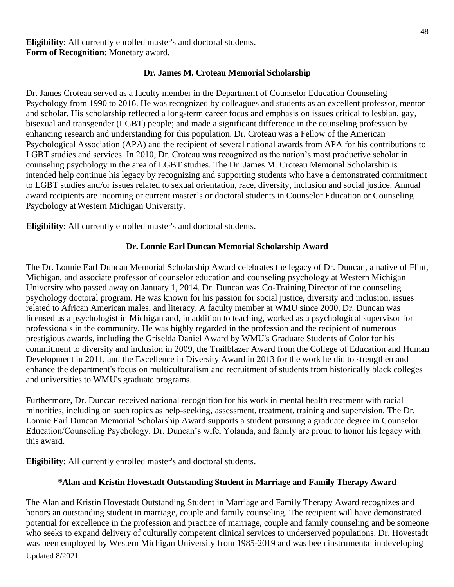**Eligibility**: All currently enrolled master's and doctoral students. **Form of Recognition**: Monetary award.

#### **Dr. James M. Croteau Memorial Scholarship**

<span id="page-52-0"></span>Dr. James Croteau served as a faculty member in the Department of Counselor Education Counseling Psychology from 1990 to 2016. He was recognized by colleagues and students as an excellent professor, mentor and scholar. His scholarship reflected a long-term career focus and emphasis on issues critical to lesbian, gay, bisexual and transgender (LGBT) people; and made a significant difference in the counseling profession by enhancing research and understanding for this population. Dr. Croteau was a Fellow of the American Psychological Association (APA) and the recipient of several national awards from APA for his contributions to LGBT studies and services. In 2010, Dr. Croteau was recognized as the nation's most productive scholar in counseling psychology in the area of LGBT studies. The Dr. James M. Croteau Memorial Scholarship is intended help continue his legacy by recognizing and supporting students who have a demonstrated commitment to LGBT studies and/or issues related to sexual orientation, race, diversity, inclusion and social justice. Annual award recipients are incoming or current master's or doctoral students in Counselor Education or Counseling Psychology atWestern Michigan University.

<span id="page-52-1"></span>**Eligibility**: All currently enrolled master's and doctoral students.

## **Dr. Lonnie Earl Duncan Memorial Scholarship Award**

The Dr. Lonnie Earl Duncan Memorial Scholarship Award celebrates the legacy of Dr. Duncan, a native of Flint, Michigan, and associate professor of counselor education and counseling psychology at Western Michigan University who passed away on January 1, 2014. Dr. Duncan was Co-Training Director of the counseling psychology doctoral program. He was known for his passion for social justice, diversity and inclusion, issues related to African American males, and literacy. A faculty member at WMU since 2000, Dr. Duncan was licensed as a psychologist in Michigan and, in addition to teaching, worked as a psychological supervisor for professionals in the community. He was highly regarded in the profession and the recipient of numerous prestigious awards, including the Griselda Daniel Award by WMU's Graduate Students of Color for his commitment to diversity and inclusion in 2009, the Trailblazer Award from the College of Education and Human Development in 2011, and the Excellence in Diversity Award in 2013 for the work he did to strengthen and enhance the department's focus on multiculturalism and recruitment of students from historically black colleges and universities to WMU's graduate programs.

Furthermore, Dr. Duncan received national recognition for his work in mental health treatment with racial minorities, including on such topics as help-seeking, assessment, treatment, training and supervision. The Dr. Lonnie Earl Duncan Memorial Scholarship Award supports a student pursuing a graduate degree in Counselor Education/Counseling Psychology. Dr. Duncan's wife, Yolanda, and family are proud to honor his legacy with this award.

<span id="page-52-2"></span>**Eligibility**: All currently enrolled master's and doctoral students.

## **\*Alan and Kristin Hovestadt Outstanding Student in Marriage and Family Therapy Award**

Updated 8/2021 The Alan and Kristin Hovestadt Outstanding Student in Marriage and Family Therapy Award recognizes and honors an outstanding student in marriage, couple and family counseling. The recipient will have demonstrated potential for excellence in the profession and practice of marriage, couple and family counseling and be someone who seeks to expand delivery of culturally competent clinical services to underserved populations. Dr. Hovestadt was been employed by Western Michigan University from 1985-2019 and was been instrumental in developing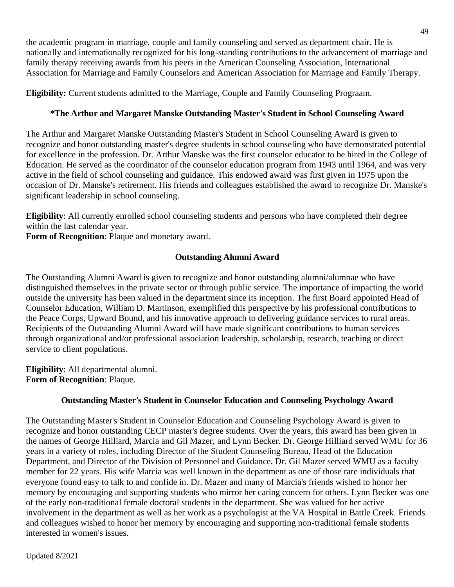the academic program in marriage, couple and family counseling and served as department chair. He is nationally and internationally recognized for his long-standing contributions to the advancement of marriage and family therapy receiving awards from his peers in the American Counseling Association, International Association for Marriage and Family Counselors and American Association for Marriage and Family Therapy.

<span id="page-53-0"></span>**Eligibility:** Current students admitted to the Marriage, Couple and Family Counseling Prograam.

## **\*The Arthur and Margaret Manske Outstanding Master's Student in School Counseling Award**

The Arthur and Margaret Manske Outstanding Master's Student in School Counseling Award is given to recognize and honor outstanding master's degree students in school counseling who have demonstrated potential for excellence in the profession. Dr. Arthur Manske was the first counselor educator to be hired in the College of Education. He served as the coordinator of the counselor education program from 1943 until 1964, and was very active in the field of school counseling and guidance. This endowed award was first given in 1975 upon the occasion of Dr. Manske's retirement. His friends and colleagues established the award to recognize Dr. Manske's significant leadership in school counseling.

**Eligibility**: All currently enrolled school counseling students and persons who have completed their degree within the last calendar year.

<span id="page-53-1"></span>**Form of Recognition**: Plaque and monetary award.

## **Outstanding Alumni Award**

The Outstanding Alumni Award is given to recognize and honor outstanding alumni/alumnae who have distinguished themselves in the private sector or through public service. The importance of impacting the world outside the university has been valued in the department since its inception. The first Board appointed Head of Counselor Education, William D. Martinson, exemplified this perspective by his professional contributions to the Peace Corps, Upward Bound, and his innovative approach to delivering guidance services to rural areas. Recipients of the Outstanding Alumni Award will have made significant contributions to human services through organizational and/or professional association leadership, scholarship, research, teaching or direct service to client populations.

**Eligibility**: All departmental alumni. **Form of Recognition**: Plaque.

## **Outstanding Master's Student in Counselor Education and Counseling Psychology Award**

<span id="page-53-2"></span>The Outstanding Master's Student in Counselor Education and Counseling Psychology Award is given to recognize and honor outstanding CECP master's degree students. Over the years, this award has been given in the names of George Hilliard, Marcia and Gil Mazer, and Lynn Becker. Dr. George Hilliard served WMU for 36 years in a variety of roles, including Director of the Student Counseling Bureau, Head of the Education Department, and Director of the Division of Personnel and Guidance. Dr. Gil Mazer served WMU as a faculty member for 22 years. His wife Marcia was well known in the department as one of those rare individuals that everyone found easy to talk to and confide in. Dr. Mazer and many of Marcia's friends wished to honor her memory by encouraging and supporting students who mirror her caring concern for others. Lynn Becker was one of the early non-traditional female doctoral students in the department. She was valued for her active involvement in the department as well as her work as a psychologist at the VA Hospital in Battle Creek. Friends and colleagues wished to honor her memory by encouraging and supporting non-traditional female students interested in women's issues.

Updated 8/2021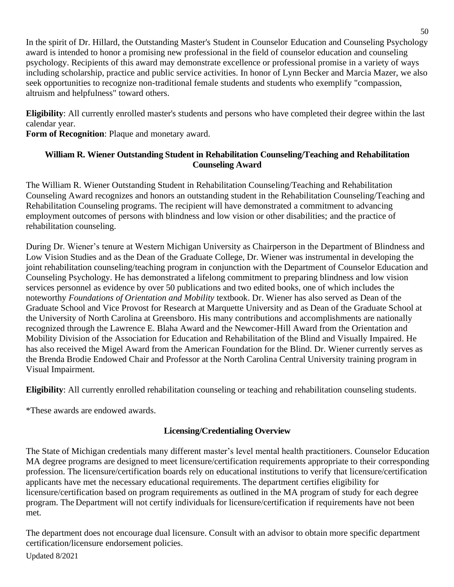In the spirit of Dr. Hillard, the Outstanding Master's Student in Counselor Education and Counseling Psychology award is intended to honor a promising new professional in the field of counselor education and counseling psychology. Recipients of this award may demonstrate excellence or professional promise in a variety of ways including scholarship, practice and public service activities. In honor of Lynn Becker and Marcia Mazer, we also seek opportunities to recognize non-traditional female students and students who exemplify "compassion, altruism and helpfulness" toward others.

**Eligibility**: All currently enrolled master's students and persons who have completed their degree within the last calendar year.

<span id="page-54-0"></span>**Form of Recognition**: Plaque and monetary award.

## **William R. Wiener Outstanding Student in Rehabilitation Counseling/Teaching and Rehabilitation Counseling Award**

The William R. Wiener Outstanding Student in Rehabilitation Counseling/Teaching and Rehabilitation Counseling Award recognizes and honors an outstanding student in the Rehabilitation Counseling/Teaching and Rehabilitation Counseling programs. The recipient will have demonstrated a commitment to advancing employment outcomes of persons with blindness and low vision or other disabilities; and the practice of rehabilitation counseling.

During Dr. Wiener's tenure at Western Michigan University as Chairperson in the Department of Blindness and Low Vision Studies and as the Dean of the Graduate College, Dr. Wiener was instrumental in developing the joint rehabilitation counseling/teaching program in conjunction with the Department of Counselor Education and Counseling Psychology. He has demonstrated a lifelong commitment to preparing blindness and low vision services personnel as evidence by over 50 publications and two edited books, one of which includes the noteworthy *Foundations of Orientation and Mobility* textbook. Dr. Wiener has also served as Dean of the Graduate School and Vice Provost for Research at Marquette University and as Dean of the Graduate School at the University of North Carolina at Greensboro. His many contributions and accomplishments are nationally recognized through the Lawrence E. Blaha Award and the Newcomer-Hill Award from the Orientation and Mobility Division of the Association for Education and Rehabilitation of the Blind and Visually Impaired. He has also received the Migel Award from the American Foundation for the Blind. Dr. Wiener currently serves as the Brenda Brodie Endowed Chair and Professor at the North Carolina Central University training program in Visual Impairment.

**Eligibility**: All currently enrolled rehabilitation counseling or teaching and rehabilitation counseling students.

<span id="page-54-1"></span>\*These awards are endowed awards.

## **Licensing/Credentialing Overview**

The State of Michigan credentials many different master's level mental health practitioners. Counselor Education MA degree programs are designed to meet licensure/certification requirements appropriate to their corresponding profession. The licensure/certification boards rely on educational institutions to verify that licensure/certification applicants have met the necessary educational requirements. The department certifies eligibility for licensure/certification based on program requirements as outlined in the MA program of study for each degree program. The Department will not certify individuals for licensure/certification if requirements have not been met.

The department does not encourage dual licensure. Consult with an advisor to obtain more specific department certification/licensure endorsement policies.

Updated 8/2021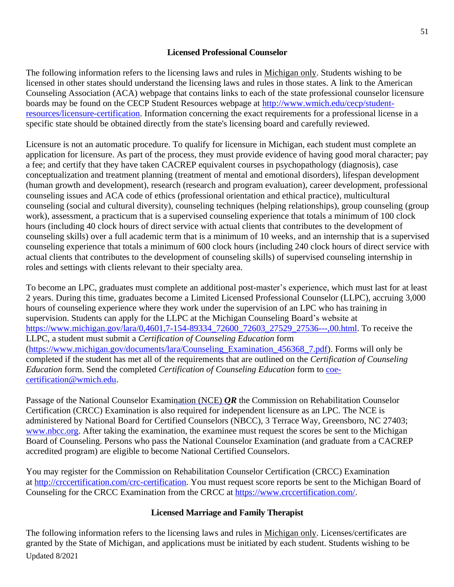## **Licensed Professional Counselor**

<span id="page-55-0"></span>The following information refers to the licensing laws and rules in Michigan only. Students wishing to be licensed in other states should understand the licensing laws and rules in those states. A link to the American Counseling Association (ACA) webpage that contains links to each of the state professional counselor licensure boards may be found on the CECP Student Resources webpage at [http://www.wmich.edu/cecp/student](http://www.wmich.edu/cecp/student-resources/licensure-certification)[resources/licensure-certification.](http://www.wmich.edu/cecp/student-resources/licensure-certification) Information concerning the exact requirements for a professional license in a specific state should be obtained directly from the state's licensing board and carefully reviewed.

Licensure is not an automatic procedure. To qualify for licensure in Michigan, each student must complete an application for licensure. As part of the process, they must provide evidence of having good moral character; pay a fee; and certify that they have taken CACREP equivalent courses in psychopathology (diagnosis), case conceptualization and treatment planning (treatment of mental and emotional disorders), lifespan development (human growth and development), research (research and program evaluation), career development, professional counseling issues and ACA code of ethics (professional orientation and ethical practice), multicultural counseling (social and cultural diversity), counseling techniques (helping relationships), group counseling (group work), assessment, a practicum that is a supervised counseling experience that totals a minimum of 100 clock hours (including 40 clock hours of direct service with actual clients that contributes to the development of counseling skills) over a full academic term that is a minimum of 10 weeks, and an internship that is a supervised counseling experience that totals a minimum of 600 clock hours (including 240 clock hours of direct service with actual clients that contributes to the development of counseling skills) of supervised counseling internship in roles and settings with clients relevant to their specialty area.

To become an LPC, graduates must complete an additional post-master's experience, which must last for at least 2 years. During this time, graduates become a Limited Licensed Professional Counselor (LLPC), accruing 3,000 hours of counseling experience where they work under the supervision of an LPC who has training in supervision. Students can apply for the LLPC at the Michigan Counseling Board's website at [https://www.michigan.gov/lara/0,4601,7-154-89334\\_72600\\_72603\\_27529\\_27536---,00.html.](https://www.michigan.gov/lara/0,4601,7-154-89334_72600_72603_27529_27536---,00.html) To receive the LLPC, a student must submit a *Certification of Counseling Education* form [\(https://www.michigan.gov/documents/lara/Counseling\\_Examination\\_456368\\_7.pdf\)](https://www.michigan.gov/documents/lara/Counseling_Examination_456368_7.pdf). Forms will only be completed if the student has met all of the requirements that are outlined on the *Certification of Counseling Education* form. Send the completed *Certification of Counseling Education* form to [coe](mailto:coe-certification@wmich.edu)[certification@wmich.edu.](mailto:coe-certification@wmich.edu)

Passage of the National Counselor Examination (NCE) *OR* the Commission on Rehabilitation Counselor Certification (CRCC) Examination is also required for independent licensure as an LPC. The NCE is administered by National Board for Certified Counselors (NBCC), 3 Terrace Way, Greensboro, NC 27403; [www.nbcc.org.](http://www.nbcc.org/) After taking the examination, the examinee must request the scores be sent to the Michigan Board of Counseling. Persons who pass the National Counselor Examination (and graduate from a CACREP accredited program) are eligible to become National Certified Counselors.

You may register for the Commission on Rehabilitation Counselor Certification (CRCC) Examination at [http://crccertification.com/crc-certification.](http://crccertification.com/crc-certification) You must request score reports be sent to the Michigan Board of Counseling for the CRCC Examination from the CRCC at [https://www.crccertification.com/.](https://www.crccertification.com/)

## **Licensed Marriage and Family Therapist**

<span id="page-55-1"></span>Updated 8/2021 The following information refers to the licensing laws and rules in Michigan only. Licenses/certificates are granted by the State of Michigan, and applications must be initiated by each student. Students wishing to be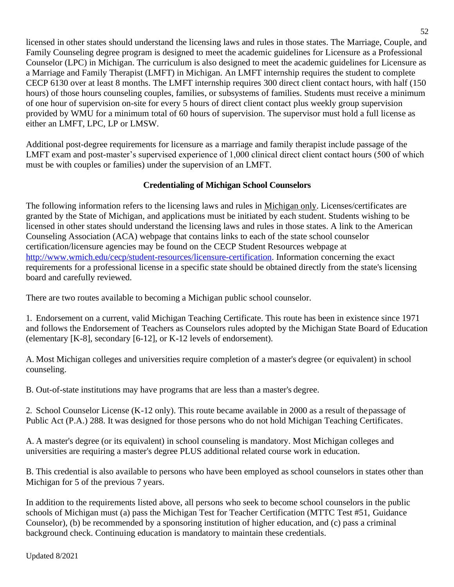licensed in other states should understand the licensing laws and rules in those states. The Marriage, Couple, and Family Counseling degree program is designed to meet the academic guidelines for Licensure as a Professional Counselor (LPC) in Michigan. The curriculum is also designed to meet the academic guidelines for Licensure as a Marriage and Family Therapist (LMFT) in Michigan. An LMFT internship requires the student to complete CECP 6130 over at least 8 months. The LMFT internship requires 300 direct client contact hours, with half (150 hours) of those hours counseling couples, families, or subsystems of families. Students must receive a minimum of one hour of supervision on-site for every 5 hours of direct client contact plus weekly group supervision provided by WMU for a minimum total of 60 hours of supervision. The supervisor must hold a full license as either an LMFT, LPC, LP or LMSW.

Additional post-degree requirements for licensure as a marriage and family therapist include passage of the LMFT exam and post-master's supervised experience of 1,000 clinical direct client contact hours (500 of which must be with couples or families) under the supervision of an LMFT.

## **Credentialing of Michigan School Counselors**

<span id="page-56-0"></span>The following information refers to the licensing laws and rules in Michigan only. Licenses/certificates are granted by the State of Michigan, and applications must be initiated by each student. Students wishing to be licensed in other states should understand the licensing laws and rules in those states. A link to the American Counseling Association (ACA) webpage that contains links to each of the state school counselor certification/licensure agencies may be found on the CECP Student Resources webpage at [http://www.wmich.edu/cecp/student-resources/licensure-certification.](http://www.wmich.edu/cecp/student-resources/licensure-certification) Information concerning the exact requirements for a professional license in a specific state should be obtained directly from the state's licensing board and carefully reviewed.

There are two routes available to becoming a Michigan public school counselor.

1. Endorsement on a current, valid Michigan Teaching Certificate. This route has been in existence since 1971 and follows the Endorsement of Teachers as Counselors rules adopted by the Michigan State Board of Education (elementary [K-8], secondary [6-12], or K-12 levels of endorsement).

A. Most Michigan colleges and universities require completion of a master's degree (or equivalent) in school counseling.

B. Out-of-state institutions may have programs that are less than a master's degree.

2. School Counselor License (K-12 only). This route became available in 2000 as a result of thepassage of Public Act (P.A.) 288. It was designed for those persons who do not hold Michigan Teaching Certificates.

A. A master's degree (or its equivalent) in school counseling is mandatory. Most Michigan colleges and universities are requiring a master's degree PLUS additional related course work in education.

B. This credential is also available to persons who have been employed as school counselors in states other than Michigan for 5 of the previous 7 years.

In addition to the requirements listed above, all persons who seek to become school counselors in the public schools of Michigan must (a) pass the Michigan Test for Teacher Certification (MTTC Test #51, Guidance Counselor), (b) be recommended by a sponsoring institution of higher education, and (c) pass a criminal background check. Continuing education is mandatory to maintain these credentials.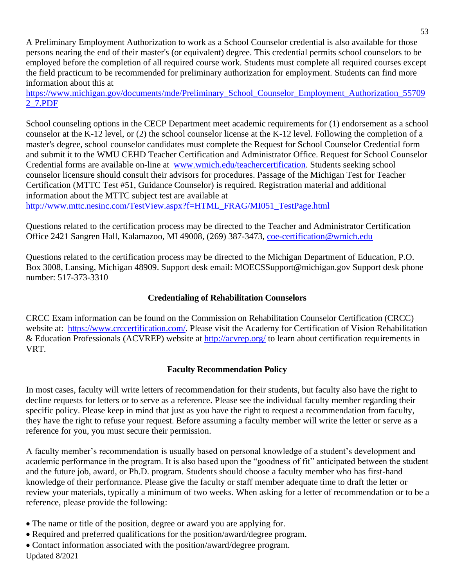A Preliminary Employment Authorization to work as a School Counselor credential is also available for those persons nearing the end of their master's (or equivalent) degree. This credential permits school counselors to be employed before the completion of all required course work. Students must complete all required courses except the field practicum to be recommended for preliminary authorization for employment. Students can find more information about this at

[https://www.michigan.gov/documents/mde/Preliminary\\_School\\_Counselor\\_Employment\\_Authorization\\_55709](https://www.michigan.gov/documents/mde/Preliminary_School_Counselor_Employment_Authorization_557092_7.PDF) [2\\_7.PDF](https://www.michigan.gov/documents/mde/Preliminary_School_Counselor_Employment_Authorization_557092_7.PDF)

School counseling options in the CECP Department meet academic requirements for (1) endorsement as a school counselor at the K-12 level, or (2) the school counselor license at the K-12 level. Following the completion of a master's degree, school counselor candidates must complete the Request for School Counselor Credential form and submit it to the WMU CEHD Teacher Certification and Administrator Office. Request for School Counselor Credential forms are available on-line [at www.wmich.edu/teachercertification.](http://www.wmich.edu/teachercertification) Students seeking school counselor licensure should consult their advisors for procedures. Passage of the Michigan Test for Teacher Certification (MTTC Test #51, Guidance Counselor) is required. Registration material and additional information about the MTTC subject test are available at [http://www.mttc.nesinc.com/TestView.aspx?f=HTML\\_FRAG/MI051\\_TestPage.html](http://www.mttc.nesinc.com/TestView.aspx?f=HTML_FRAG/MI051_TestPage.html)

Questions related to the certification process may be directed to the Teacher and Administrator Certification Office 2421 Sangren Hall, Kalamazoo, MI 49008, (269) 387-3473, [coe-certification@wmich.edu](mailto:coe-certification@wmich.edu)

Questions related to the certification process may be directed to the Michigan Department of Education, P.O. Box 3008, Lansing, Michigan 48909. Support desk email: [MOECSSupport@michigan.gov](mailto:MOECSSupport@michigan.gov) Support desk phone number: 517-373-3310

## **Credentialing of Rehabilitation Counselors**

<span id="page-57-0"></span>CRCC Exam information can be found on the Commission on Rehabilitation Counselor Certification (CRCC) website at: [https://www.crccertification.com/.](https://www.crccertification.com/) Please visit the Academy for Certification of Vision Rehabilitation & Education Professionals (ACVREP) website at<http://acvrep.org/> to learn about certification requirements in VRT.

## **Faculty Recommendation Policy**

<span id="page-57-1"></span>In most cases, faculty will write letters of recommendation for their students, but faculty also have the right to decline requests for letters or to serve as a reference. Please see the individual faculty member regarding their specific policy. Please keep in mind that just as you have the right to request a recommendation from faculty, they have the right to refuse your request. Before assuming a faculty member will write the letter or serve as a reference for you, you must secure their permission.

A faculty member's recommendation is usually based on personal knowledge of a student's development and academic performance in the program. It is also based upon the "goodness of fit" anticipated between the student and the future job, award, or Ph.D. program. Students should choose a faculty member who has first-hand knowledge of their performance. Please give the faculty or staff member adequate time to draft the letter or review your materials, typically a minimum of two weeks. When asking for a letter of recommendation or to be a reference, please provide the following:

- The name or title of the position, degree or award you are applying for.
- Required and preferred qualifications for the position/award/degree program.
- Updated 8/2021 • Contact information associated with the position/award/degree program.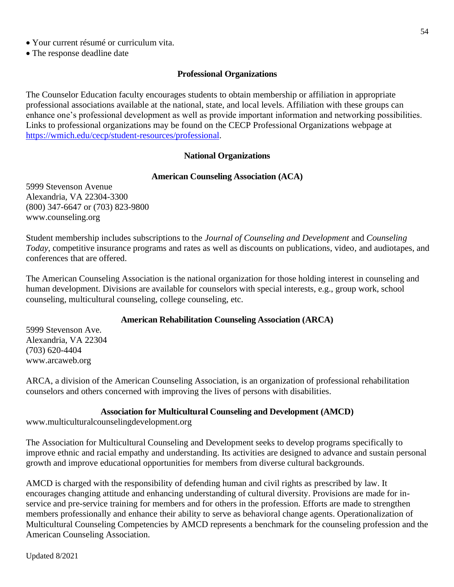- Your current résumé or curriculum vita.
- <span id="page-58-0"></span>• The response deadline date

## **Professional Organizations**

The Counselor Education faculty encourages students to obtain membership or affiliation in appropriate professional associations available at the national, state, and local levels. Affiliation with these groups can enhance one's professional development as well as provide important information and networking possibilities. Links to professional organizations may be found on the CECP Professional Organizations webpage at [https://wmich.edu/cecp/student-resources/professional.](https://wmich.edu/cecp/student-resources/professional)

## **National Organizations**

## **American Counseling Association (ACA)**

<span id="page-58-2"></span><span id="page-58-1"></span>5999 Stevenson Avenue Alexandria, VA 22304-3300 (800) 347-6647 or (703) 823-9800 www[.counseling.org](http://www.aamft.org/)

Student membership includes subscriptions to the *Journal of Counseling and Development* and *Counseling Today*, competitive insurance programs and rates as well as discounts on publications, video, and audiotapes, and conferences that are offered.

The American Counseling Association is the national organization for those holding interest in counseling and human development. Divisions are available for counselors with special interests, e.g., group work, school counseling, multicultural counseling, college counseling, etc.

## **American Rehabilitation Counseling Association (ARCA)**

<span id="page-58-3"></span>5999 Stevenson Ave. Alexandria, VA 22304 (703) 620-4404 www.arcaweb.org

ARCA, a division of the American Counseling Association, is an organization of professional rehabilitation counselors and others concerned with improving the lives of persons with disabilities.

## **Association for Multicultural Counseling and Development (AMCD)**

<span id="page-58-4"></span>www.multiculturalcounselingdevelopment.org

The Association for Multicultural Counseling and Development seeks to develop programs specifically to improve ethnic and racial empathy and understanding. Its activities are designed to advance and sustain personal growth and improve educational opportunities for members from diverse cultural backgrounds.

AMCD is charged with the responsibility of defending human and civil rights as prescribed by law. It encourages changing attitude and enhancing understanding of cultural diversity. Provisions are made for inservice and pre-service training for members and for others in the profession. Efforts are made to strengthen members professionally and enhance their ability to serve as behavioral change agents. Operationalization of Multicultural Counseling Competencies by AMCD represents a benchmark for the counseling profession and the American Counseling Association.

Updated 8/2021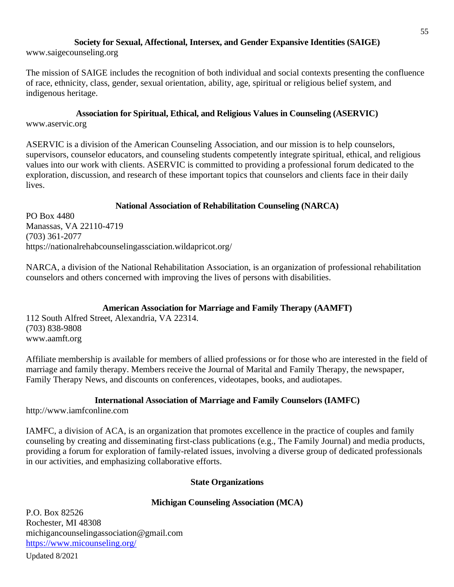#### **Society for Sexual, Affectional, Intersex, and Gender Expansive Identities (SAIGE)**

<span id="page-59-0"></span>www.saigecounseling.org

The mission of SAIGE includes the recognition of both individual and social contexts presenting the confluence of race, ethnicity, class, gender, sexual orientation, ability, age, spiritual or religious belief system, and indigenous heritage.

#### **Association for Spiritual, Ethical, and Religious Values in Counseling (ASERVIC)**

<span id="page-59-1"></span>www.aservic.org

ASERVIC is a division of the American Counseling Association, and our mission is to help counselors, supervisors, counselor educators, and counseling students competently integrate spiritual, ethical, and religious values into our work with clients. ASERVIC is committed to providing a professional forum dedicated to the exploration, discussion, and research of these important topics that counselors and clients face in their daily lives.

## **National Association of Rehabilitation Counseling (NARCA)**

<span id="page-59-2"></span>PO Box 4480 Manassas, VA 22110-4719 (703) 361-2077 https://nationalrehabcounselingassciation.wildapricot.org/

NARCA, a division of the National Rehabilitation Association, is an organization of professional rehabilitation counselors and others concerned with improving the lives of persons with disabilities.

## **American Association for Marriage and Family Therapy (AAMFT)**

<span id="page-59-3"></span>112 South Alfred Street, Alexandria, VA 22314. (703) 838-9808 [www.aamft.org](http://www.aamft.org/)

Affiliate membership is available for members of allied professions or for those who are interested in the field of marriage and family therapy. Members receive the Journal of Marital and Family Therapy, the newspaper, Family Therapy News, and discounts on conferences, videotapes, books, and audiotapes.

#### **International Association of Marriage and Family Counselors (IAMFC)**

<span id="page-59-4"></span>http://www.iamfconline.com

IAMFC, a division of ACA, is an organization that promotes excellence in the practice of couples and family counseling by creating and disseminating first-class publications (e.g., The Family Journal) and media products, providing a forum for exploration of family-related issues, involving a diverse group of dedicated professionals in our activities, and emphasizing collaborative efforts.

#### **State Organizations**

## **Michigan Counseling Association (MCA)**

<span id="page-59-6"></span><span id="page-59-5"></span>P.O. Box 82526 Rochester, MI 48308 michigancounselingassociation@gmail.com <https://www.micounseling.org/>

Updated 8/2021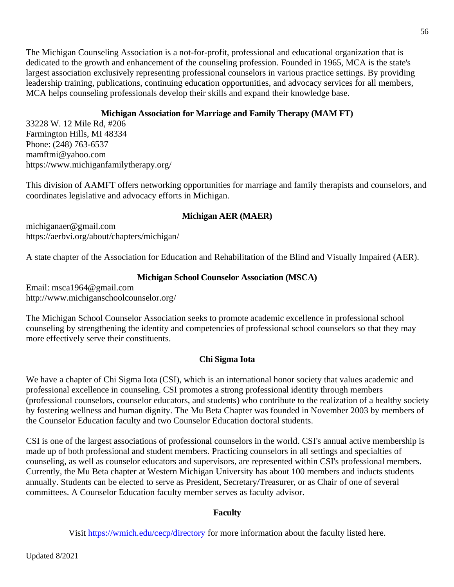The Michigan Counseling Association is a not-for-profit, professional and educational organization that is dedicated to the growth and enhancement of the counseling profession. Founded in 1965, MCA is the state's largest association exclusively representing professional counselors in various practice settings. By providing leadership training, publications, continuing education opportunities, and advocacy services for all members, MCA helps counseling professionals develop their skills and expand their knowledge base.

## **Michigan Association for Marriage and Family Therapy (MAM FT)**

<span id="page-60-0"></span>33228 W. 12 Mile Rd, #206 Farmington Hills, MI 48334 Phone: (248) 763-6537 mamftmi@yahoo.com https://www.michiganfamilytherapy.org/

This division of AAMFT offers networking opportunities for marriage and family therapists and counselors, and coordinates legislative and advocacy efforts in Michigan.

## **Michigan AER (MAER)**

<span id="page-60-1"></span>michiganaer@gmail.com https://aerbvi.org/about/chapters/michigan/

A state chapter of the Association for Education and Rehabilitation of the Blind and Visually Impaired (AER).

## **Michigan School Counselor Association (MSCA)**

<span id="page-60-2"></span>Email: msca1964@gmail.com http://www.michiganschoolcounselor.org/

The Michigan School Counselor Association seeks to promote academic excellence in professional school counseling by strengthening the identity and competencies of professional school counselors so that they may more effectively serve their constituents.

## **Chi Sigma Iota**

<span id="page-60-3"></span>We have a chapter of Chi Sigma Iota (CSI), which is an international honor society that values academic and professional excellence in counseling. CSI promotes a strong professional identity through members (professional counselors, counselor educators, and students) who contribute to the realization of a healthy society by fostering wellness and human dignity. The Mu Beta Chapter was founded in November 2003 by members of the Counselor Education faculty and two Counselor Education doctoral students.

CSI is one of the largest associations of professional counselors in the world. CSI's annual active membership is made up of both professional and student members. Practicing counselors in all settings and specialties of counseling, as well as counselor educators and supervisors, are represented within CSI's professional members. Currently, the Mu Beta chapter at Western Michigan University has about 100 members and inducts students annually. Students can be elected to serve as President, Secretary/Treasurer, or as Chair of one of several committees. A Counselor Education faculty member serves as faculty advisor.

## **Faculty**

<span id="page-60-4"></span>Visit <https://wmich.edu/cecp/directory> for more information about the faculty listed here.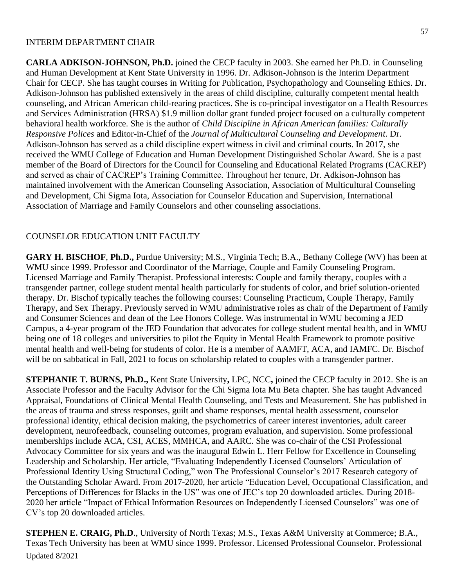#### INTERIM DEPARTMENT CHAIR

**CARLA ADKISON-JOHNSON, Ph.D.** joined the CECP faculty in 2003. She earned her Ph.D. in Counseling and Human Development at Kent State University in 1996. Dr. Adkison-Johnson is the Interim Department Chair for CECP. She has taught courses in Writing for Publication, Psychopathology and Counseling Ethics. Dr. Adkison-Johnson has published extensively in the areas of child discipline, culturally competent mental health counseling, and African American child-rearing practices. She is co-principal investigator on a Health Resources and Services Administration (HRSA) \$1.9 million dollar grant funded project focused on a culturally competent behavioral health workforce. She is the author of *Child Discipline in African American families: Culturally Responsive Polices* and Editor-in-Chief of the *Journal of Multicultural Counseling and Development*. Dr. Adkison-Johnson has served as a child discipline expert witness in civil and criminal courts. In 2017, she received the WMU College of Education and Human Development Distinguished Scholar Award. She is a past member of the Board of Directors for the Council for Counseling and Educational Related Programs (CACREP) and served as chair of CACREP's Training Committee. Throughout her tenure, Dr. Adkison-Johnson has maintained involvement with the American Counseling Association, Association of Multicultural Counseling and Development, Chi Sigma Iota, Association for Counselor Education and Supervision, International Association of Marriage and Family Counselors and other counseling associations.

#### COUNSELOR EDUCATION UNIT FACULTY

**GARY H. BISCHOF**, **Ph.D.,** Purdue University; M.S., Virginia Tech; B.A., Bethany College (WV) has been at WMU since 1999. Professor and Coordinator of the Marriage, Couple and Family Counseling Program. Licensed Marriage and Family Therapist. Professional interests: Couple and family therapy, couples with a transgender partner, college student mental health particularly for students of color, and brief solution-oriented therapy. Dr. Bischof typically teaches the following courses: Counseling Practicum, Couple Therapy, Family Therapy, and Sex Therapy. Previously served in WMU administrative roles as chair of the Department of Family and Consumer Sciences and dean of the Lee Honors College. Was instrumental in WMU becoming a JED Campus, a 4-year program of the JED Foundation that advocates for college student mental health, and in WMU being one of 18 colleges and universities to pilot the Equity in Mental Health Framework to promote positive mental health and well-being for students of color. He is a member of AAMFT, ACA, and IAMFC. Dr. Bischof will be on sabbatical in Fall, 2021 to focus on scholarship related to couples with a transgender partner.

**STEPHANIE T. BURNS, Ph.D.,** Kent State University**,** LPC, NCC**,** joined the CECP faculty in 2012. She is an Associate Professor and the Faculty Advisor for the Chi Sigma Iota Mu Beta chapter. She has taught Advanced Appraisal, Foundations of Clinical Mental Health Counseling, and Tests and Measurement. She has published in the areas of trauma and stress responses, guilt and shame responses, mental health assessment, counselor professional identity, ethical decision making, the psychometrics of career interest inventories, adult career development, neurofeedback, counseling outcomes, program evaluation, and supervision. Some professional memberships include ACA, CSI, ACES, MMHCA, and AARC. She was co-chair of the CSI Professional Advocacy Committee for six years and was the inaugural Edwin L. Herr Fellow for Excellence in Counseling Leadership and Scholarship. Her article, "Evaluating Independently Licensed Counselors' Articulation of Professional Identity Using Structural Coding," won The Professional Counselor's 2017 Research category of the Outstanding Scholar Award. From 2017-2020, her article "Education Level, Occupational Classification, and Perceptions of Differences for Blacks in the US" was one of JEC's top 20 downloaded articles. During 2018- 2020 her article "Impact of Ethical Information Resources on Independently Licensed Counselors" was one of CV's top 20 downloaded articles.

Updated 8/2021 **STEPHEN E. CRAIG, Ph.D**., University of North Texas; M.S., Texas A&M University at Commerce; B.A., Texas Tech University has been at WMU since 1999. Professor. Licensed Professional Counselor. Professional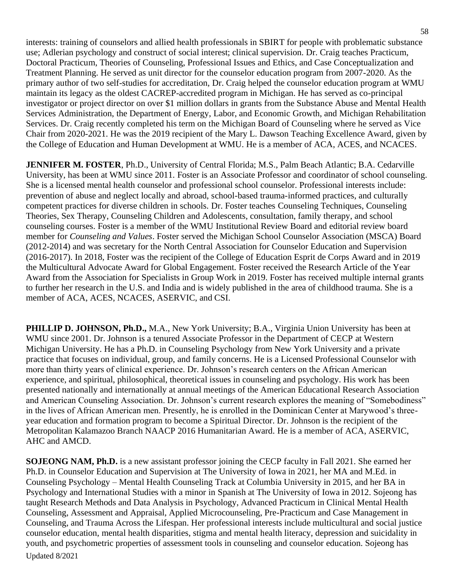interests: training of counselors and allied health professionals in SBIRT for people with problematic substance use; Adlerian psychology and construct of social interest; clinical supervision. Dr. Craig teaches Practicum, Doctoral Practicum, Theories of Counseling, Professional Issues and Ethics, and Case Conceptualization and Treatment Planning. He served as unit director for the counselor education program from 2007-2020. As the primary author of two self-studies for accreditation, Dr. Craig helped the counselor education program at WMU maintain its legacy as the oldest CACREP-accredited program in Michigan. He has served as co-principal investigator or project director on over \$1 million dollars in grants from the Substance Abuse and Mental Health Services Administration, the Department of Energy, Labor, and Economic Growth, and Michigan Rehabilitation Services. Dr. Craig recently completed his term on the Michigan Board of Counseling where he served as Vice Chair from 2020-2021. He was the 2019 recipient of the Mary L. Dawson Teaching Excellence Award, given by the College of Education and Human Development at WMU. He is a member of ACA, ACES, and NCACES.

**JENNIFER M. FOSTER**, Ph.D., University of Central Florida; M.S., Palm Beach Atlantic; B.A. Cedarville University, has been at WMU since 2011. Foster is an Associate Professor and coordinator of school counseling. She is a licensed mental health counselor and professional school counselor. Professional interests include: prevention of abuse and neglect locally and abroad, school-based trauma-informed practices, and culturally competent practices for diverse children in schools. Dr. Foster teaches Counseling Techniques, Counseling Theories, Sex Therapy, Counseling Children and Adolescents, consultation, family therapy, and school counseling courses. Foster is a member of the WMU Institutional Review Board and editorial review board member for *Counseling and Values*. Foster served the Michigan School Counselor Association (MSCA) Board (2012-2014) and was secretary for the North Central Association for Counselor Education and Supervision (2016-2017). In 2018, Foster was the recipient of the College of Education Esprit de Corps Award and in 2019 the Multicultural Advocate Award for Global Engagement. Foster received the Research Article of the Year Award from the Association for Specialists in Group Work in 2019. Foster has received multiple internal grants to further her research in the U.S. and India and is widely published in the area of childhood trauma. She is a member of ACA, ACES, NCACES, ASERVIC, and CSI.

**PHILLIP D. JOHNSON, Ph.D.,** M.A., New York University; B.A., Virginia Union University has been at WMU since 2001. Dr. Johnson is a tenured Associate Professor in the Department of CECP at Western Michigan University. He has a Ph.D. in Counseling Psychology from New York University and a private practice that focuses on individual, group, and family concerns. He is a Licensed Professional Counselor with more than thirty years of clinical experience. Dr. Johnson's research centers on the African American experience, and spiritual, philosophical, theoretical issues in counseling and psychology. His work has been presented nationally and internationally at annual meetings of the American Educational Research Association and American Counseling Association. Dr. Johnson's current research explores the meaning of "Somebodiness" in the lives of African American men. Presently, he is enrolled in the Dominican Center at Marywood's threeyear education and formation program to become a Spiritual Director. Dr. Johnson is the recipient of the Metropolitan Kalamazoo Branch NAACP 2016 Humanitarian Award. He is a member of ACA, ASERVIC, AHC and AMCD.

Updated 8/2021 **SOJEONG NAM, Ph.D.** is a new assistant professor joining the CECP faculty in Fall 2021. She earned her Ph.D. in Counselor Education and Supervision at The University of Iowa in 2021, her MA and M.Ed. in Counseling Psychology – Mental Health Counseling Track at Columbia University in 2015, and her BA in Psychology and International Studies with a minor in Spanish at The University of Iowa in 2012. Sojeong has taught Research Methods and Data Analysis in Psychology, Advanced Practicum in Clinical Mental Health Counseling, Assessment and Appraisal, Applied Microcounseling, Pre-Practicum and Case Management in Counseling, and Trauma Across the Lifespan. Her professional interests include multicultural and social justice counselor education, mental health disparities, stigma and mental health literacy, depression and suicidality in youth, and psychometric properties of assessment tools in counseling and counselor education. Sojeong has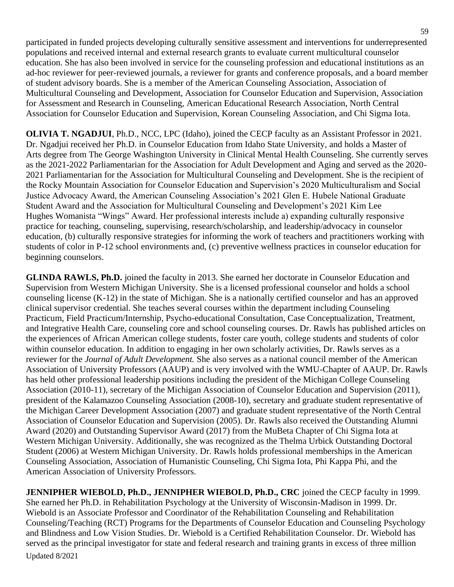participated in funded projects developing culturally sensitive assessment and interventions for underrepresented populations and received internal and external research grants to evaluate current multicultural counselor education. She has also been involved in service for the counseling profession and educational institutions as an ad-hoc reviewer for peer-reviewed journals, a reviewer for grants and conference proposals, and a board member of student advisory boards. She is a member of the American Counseling Association, Association of Multicultural Counseling and Development, Association for Counselor Education and Supervision, Association for Assessment and Research in Counseling, American Educational Research Association, North Central Association for Counselor Education and Supervision, Korean Counseling Association, and Chi Sigma Iota.

**OLIVIA T. NGADJUI**, Ph.D., NCC, LPC (Idaho), joined the CECP faculty as an Assistant Professor in 2021. Dr. Ngadjui received her Ph.D. in Counselor Education from Idaho State University, and holds a Master of Arts degree from The George Washington University in Clinical Mental Health Counseling. She currently serves as the 2021-2022 Parliamentarian for the Association for Adult Development and Aging and served as the 2020- 2021 Parliamentarian for the Association for Multicultural Counseling and Development. She is the recipient of the Rocky Mountain Association for Counselor Education and Supervision's 2020 Multiculturalism and Social Justice Advocacy Award, the American Counseling Association's 2021 Glen E. Hubele National Graduate Student Award and the Association for Multicultural Counseling and Development's 2021 Kim Lee Hughes Womanista "Wings" Award. Her professional interests include a) expanding culturally responsive practice for teaching, counseling, supervising, research/scholarship, and leadership/advocacy in counselor education, (b) culturally responsive strategies for informing the work of teachers and practitioners working with students of color in P-12 school environments and, (c) preventive wellness practices in counselor education for beginning counselors.

**GLINDA RAWLS, Ph.D.** joined the faculty in 2013. She earned her doctorate in Counselor Education and Supervision from Western Michigan University. She is a licensed professional counselor and holds a school counseling license (K-12) in the state of Michigan. She is a nationally certified counselor and has an approved clinical supervisor credential. She teaches several courses within the department including Counseling Practicum, Field Practicum/Internship, Psycho-educational Consultation, Case Conceptualization, Treatment, and Integrative Health Care, counseling core and school counseling courses. Dr. Rawls has published articles on the experiences of African American college students, foster care youth, college students and students of color within counselor education. In addition to engaging in her own scholarly activities, Dr. Rawls serves as a reviewer for the *Journal of Adult Development.* She also serves as a national council member of the American Association of University Professors (AAUP) and is very involved with the WMU-Chapter of AAUP. Dr. Rawls has held other professional leadership positions including the president of the Michigan College Counseling Association (2010-11), secretary of the Michigan Association of Counselor Education and Supervision (2011), president of the Kalamazoo Counseling Association (2008-10), secretary and graduate student representative of the Michigan Career Development Association (2007) and graduate student representative of the North Central Association of Counselor Education and Supervision (2005). Dr. Rawls also received the Outstanding Alumni Award (2020) and Outstanding Supervisor Award (2017) from the MuBeta Chapter of Chi Sigma Iota at Western Michigan University. Additionally, she was recognized as the Thelma Urbick Outstanding Doctoral Student (2006) at Western Michigan University. Dr. Rawls holds professional memberships in the American Counseling Association, Association of Humanistic Counseling, Chi Sigma Iota, Phi Kappa Phi, and the American Association of University Professors.

Updated 8/2021 **JENNIPHER WIEBOLD, Ph.D., JENNIPHER WIEBOLD, Ph.D., CRC** joined the CECP faculty in 1999. She earned her Ph.D. in Rehabilitation Psychology at the University of Wisconsin-Madison in 1999. Dr. Wiebold is an Associate Professor and Coordinator of the Rehabilitation Counseling and Rehabilitation Counseling/Teaching (RCT) Programs for the Departments of Counselor Education and Counseling Psychology and Blindness and Low Vision Studies. Dr. Wiebold is a Certified Rehabilitation Counselor. Dr. Wiebold has served as the principal investigator for state and federal research and training grants in excess of three million